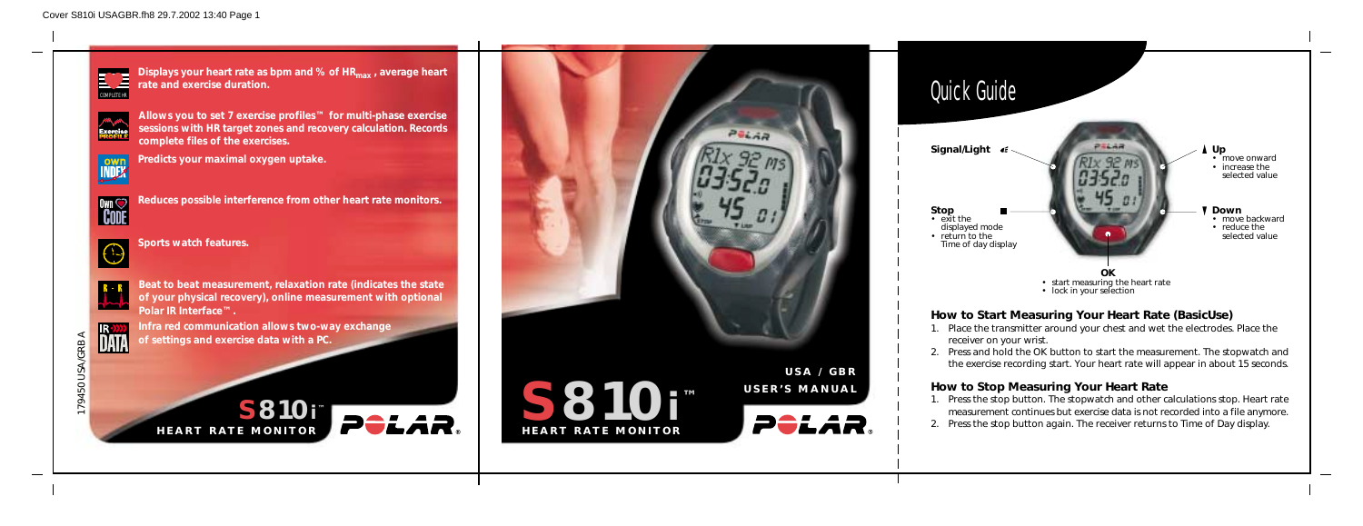**Displays your heart rate as bpm and % of HRmax , average heart rate and exercise duration.** COMPLETE HR





**Allows you to set 7 exercise profiles™ for multi-phase exercise sessions with HR target zones and recovery calculation. Records complete files of the exercises.**



179450 USA/GRB A 79450 USA/GRB **Predicts your maximal oxygen uptake.**



**Reduces possible interference from other heart rate monitors.**



**Sports watch features.**



**Beat to beat measurement, relaxation rate (indicates the state of your physical recovery), online measurement with optional Polar IR Interface™.**

**Infra red communication allows two-way exchange of settings and exercise data with a PC.**

## **How to Start Measuring Your Heart Rate (BasicUse)**



1. Place the transmitter around your chest and wet the electrodes. Place the

- receiver on your wrist.
- 

2. Press and hold the OK button to start the measurement. The stopwatch and the exercise recording start. Your heart rate will appear in about 15 seconds.

## **How to Stop Measuring Your Heart Rate**

- 
- 

1. Press the stop button. The stopwatch and other calculations stop. Heart rate measurement continues but exercise data is not recorded into a file anymore. 2. Press the stop button again. The receiver returns to Time of Day display.

**S810i ™**

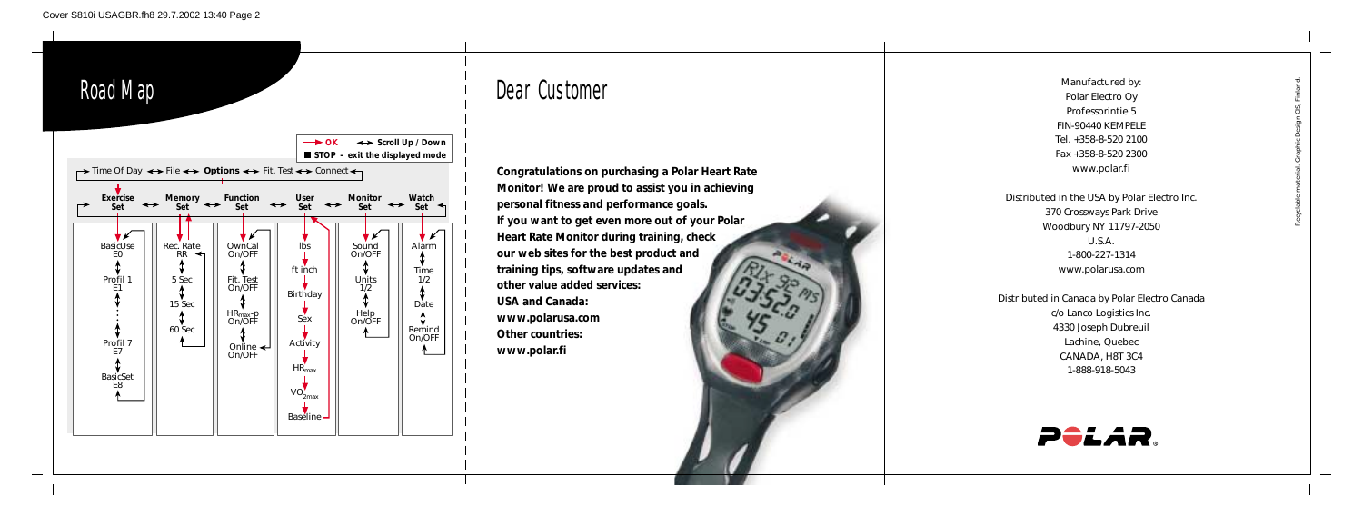# Dear Customer

**Congratulations on purchasing a Polar Heart Rate Monitor! We are proud to assist you in achieving personal fitness and performance goals. If you want to get even more out of your Polar Heart Rate Monitor during training, check our web sites for the best product and training tips, software updates and other value added services: USA and Canada: www.polarusa.com Other countries: www.polar.fi**



Manufactured by: Polar Electro Oy Professorintie 5 FIN-90440 KEMPELE Tel. +358-8-520 2100 Fax +358-8-520 2300 www.polar.fi



Distributed in the USA by Polar Electro Inc. 370 Crossways Park Drive Woodbury NY 11797-2050 U.S.A. 1-800-227-1314 www.polarusa.com

Distributed in Canada by Polar Electro Canada c/o Lanco Logistics Inc. 4330 Joseph Dubreuil Lachine, Quebec CANADA, H8T 3C4 1-888-918-5043



Recyclable material. Graphic Design CIS, Finland.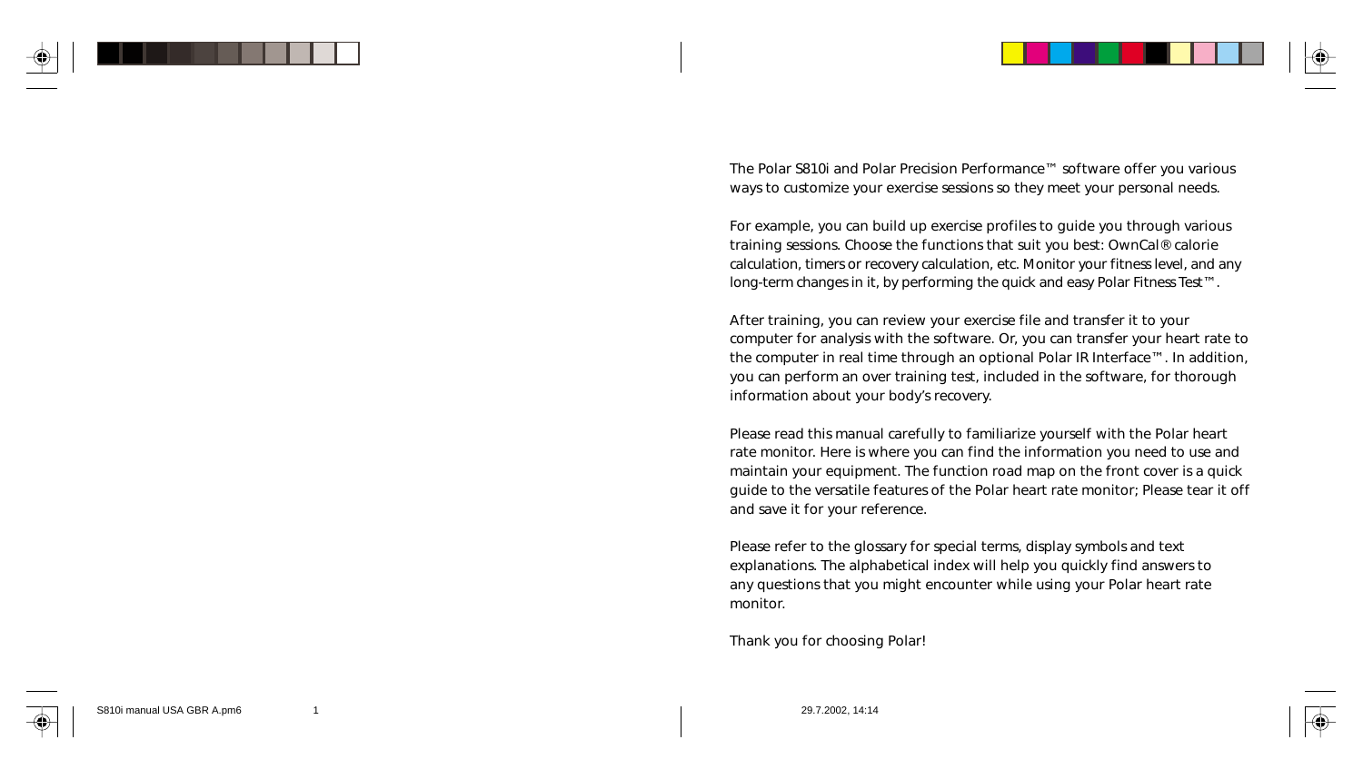

The Polar S810i and Polar Precision Performance™ software offer you various ways to customize your exercise sessions so they meet your personal needs.

For example, you can build up exercise profiles to guide you through various training sessions. Choose the functions that suit you best: OwnCal® calorie calculation, timers or recovery calculation, etc. Monitor your fitness level, and any long-term changes in it, by performing the quick and easy Polar Fitness Test™.

After training, you can review your exercise file and transfer it to your computer for analysis with the software. Or, you can transfer your heart rate to the computer in real time through an optional Polar IR Interface™. In addition, you can perform an over training test, included in the software, for thorough information about your body's recovery.

Please read this manual carefully to familiarize yourself with the Polar heart rate monitor. Here is where you can find the information you need to use and maintain your equipment. The function road map on the front cover is a quick guide to the versatile features of the Polar heart rate monitor; Please tear it off and save it for your reference.

Please refer to the glossary for special terms, display symbols and text explanations. The alphabetical index will help you quickly find answers to any questions that you might encounter while using your Polar heart rate monitor.

Thank you for choosing Polar!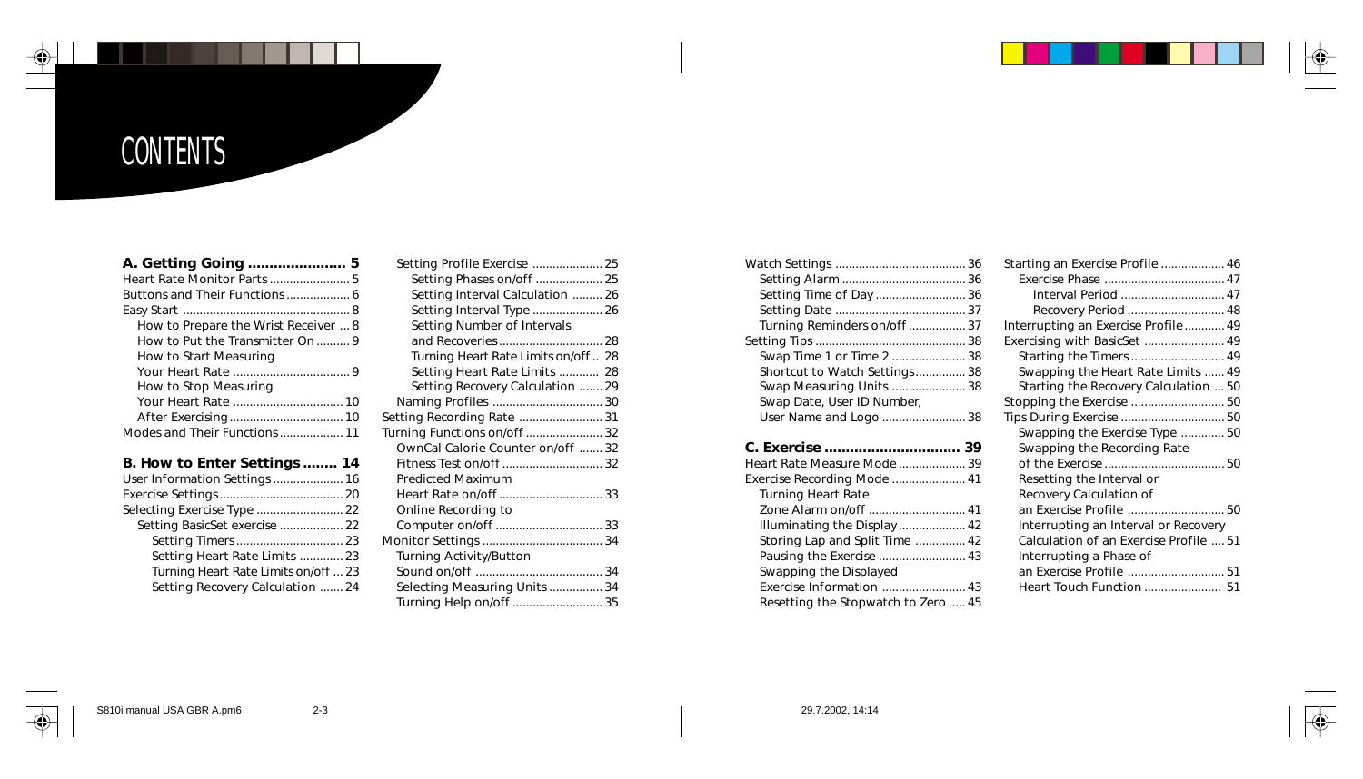# **CONTENTS**

#### **A. Getting Going ....................... 5**

| How to Prepare the Wrist Receiver  8 |
|--------------------------------------|
| How to Put the Transmitter On  9     |
| How to Start Measuring               |
|                                      |
| How to Stop Measuring                |
|                                      |
|                                      |
| Modes and Their Functions  11        |

#### **B. How to Enter Settings ........ 14**

| User Information Settings  16        |  |
|--------------------------------------|--|
|                                      |  |
| Selecting Exercise Type  22          |  |
| Setting BasicSet exercise  22        |  |
|                                      |  |
| Setting Heart Rate Limits  23        |  |
| Turning Heart Rate Limits on/off  23 |  |
| Setting Recovery Calculation  24     |  |
|                                      |  |

| Setting Profile Exercise  25        |  |
|-------------------------------------|--|
| Setting Phases on/off  25           |  |
| Setting Interval Calculation  26    |  |
| Setting Interval Type  26           |  |
| Setting Number of Intervals         |  |
| and Recoveries  28                  |  |
| Turning Heart Rate Limits on/off 28 |  |
| Setting Heart Rate Limits  28       |  |
| Setting Recovery Calculation  29    |  |
|                                     |  |
| Setting Recording Rate  31          |  |
| Turning Functions on/off  32        |  |
| OwnCal Calorie Counter on/off  32   |  |
|                                     |  |
| <b>Predicted Maximum</b>            |  |
| Heart Rate on/off 33                |  |
| Online Recording to                 |  |
| Computer on/off  33                 |  |
|                                     |  |
| <b>Turning Activity/Button</b>      |  |
|                                     |  |
| Selecting Measuring Units  34       |  |
| Turning Help on/off  35             |  |
|                                     |  |

| Setting Time of Day  36       |  |
|-------------------------------|--|
|                               |  |
| Turning Reminders on/off 37   |  |
|                               |  |
| Swap Time 1 or Time 2  38     |  |
| Shortcut to Watch Settings 38 |  |
| Swap Measuring Units  38      |  |
| Swap Date, User ID Number,    |  |
| User Name and Logo  38        |  |
|                               |  |

| Heart Rate Measure Mode  39         |  |
|-------------------------------------|--|
|                                     |  |
| <b>Turning Heart Rate</b>           |  |
|                                     |  |
| Illuminating the Display 42         |  |
| Storing Lap and Split Time  42      |  |
| Pausing the Exercise  43            |  |
| Swapping the Displayed              |  |
|                                     |  |
| Resetting the Stopwatch to Zero  45 |  |

| Starting an Exercise Profile  46       |  |
|----------------------------------------|--|
|                                        |  |
| Interval Period  47                    |  |
| Recovery Period  48                    |  |
| Interrupting an Exercise Profile 49    |  |
| Exercising with BasicSet  49           |  |
|                                        |  |
| Swapping the Heart Rate Limits  49     |  |
| Starting the Recovery Calculation  50  |  |
| Stopping the Exercise  50              |  |
|                                        |  |
| Swapping the Exercise Type  50         |  |
| Swapping the Recording Rate            |  |
|                                        |  |
| Resetting the Interval or              |  |
| Recovery Calculation of                |  |
| an Exercise Profile  50                |  |
| Interrupting an Interval or Recovery   |  |
| Calculation of an Exercise Profile  51 |  |
| Interrupting a Phase of                |  |
| an Exercise Profile  51                |  |
| Heart Touch Function  51               |  |
|                                        |  |



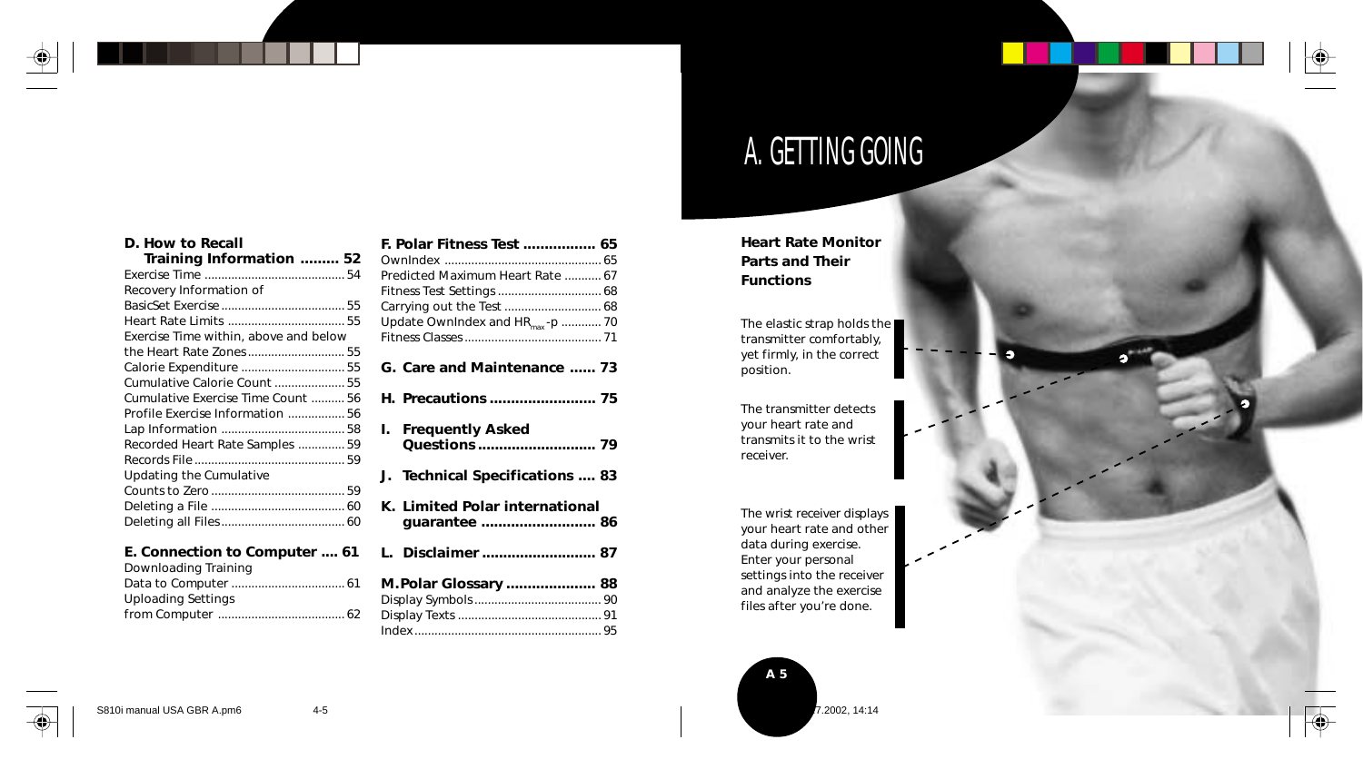

 $\sim$ 

 $\overline{\bigcirc}$ 

с

# A. GETTING GOING

**Heart Rate Monitor Parts and Their Functions**

The elastic strap holds the transmitter comfortably, yet firmly, in the correct position.

The transmitter detects your heart rate and transmits it to the wrist receiver.

The wrist receiver displays your heart rate and other data during exercise. Enter your personal settings into the receiver and analyze the exercise files after you're done.



**D. How to Recall**

| Training Information  52              |  |
|---------------------------------------|--|
|                                       |  |
| Recovery Information of               |  |
|                                       |  |
| Heart Rate Limits  55                 |  |
| Exercise Time within, above and below |  |
|                                       |  |
| Calorie Expenditure  55               |  |
| Cumulative Calorie Count  55          |  |
| Cumulative Exercise Time Count  56    |  |
| Profile Exercise Information  56      |  |
|                                       |  |
| Recorded Heart Rate Samples  59       |  |
|                                       |  |
| Updating the Cumulative               |  |
|                                       |  |
|                                       |  |
|                                       |  |
|                                       |  |

#### **E. Connection to Computer .... 61**

Downloading Training

| <b>Uploading Settings</b> |  |
|---------------------------|--|
|                           |  |

| Predicted Maximum Heart Rate  67<br>Fitness Test Settings  68<br>Carrying out the Test  68<br>Update OwnIndex and HR <sub>max</sub> -p  70 |
|--------------------------------------------------------------------------------------------------------------------------------------------|
| G. Care and Maintenance  73                                                                                                                |
| H. Precautions  75                                                                                                                         |
| <b>Frequently Asked</b><br>L.                                                                                                              |
| J. Technical Specifications  83                                                                                                            |
| K. Limited Polar international<br>quarantee  86                                                                                            |
| L. Disclaimer  87                                                                                                                          |
| M.Polar Glossary  88                                                                                                                       |

**F. Polar Fitness Test .................. 65**<br>Ownloaded

S810i manual USA GBR A.pm6 4-5 2002, 14:14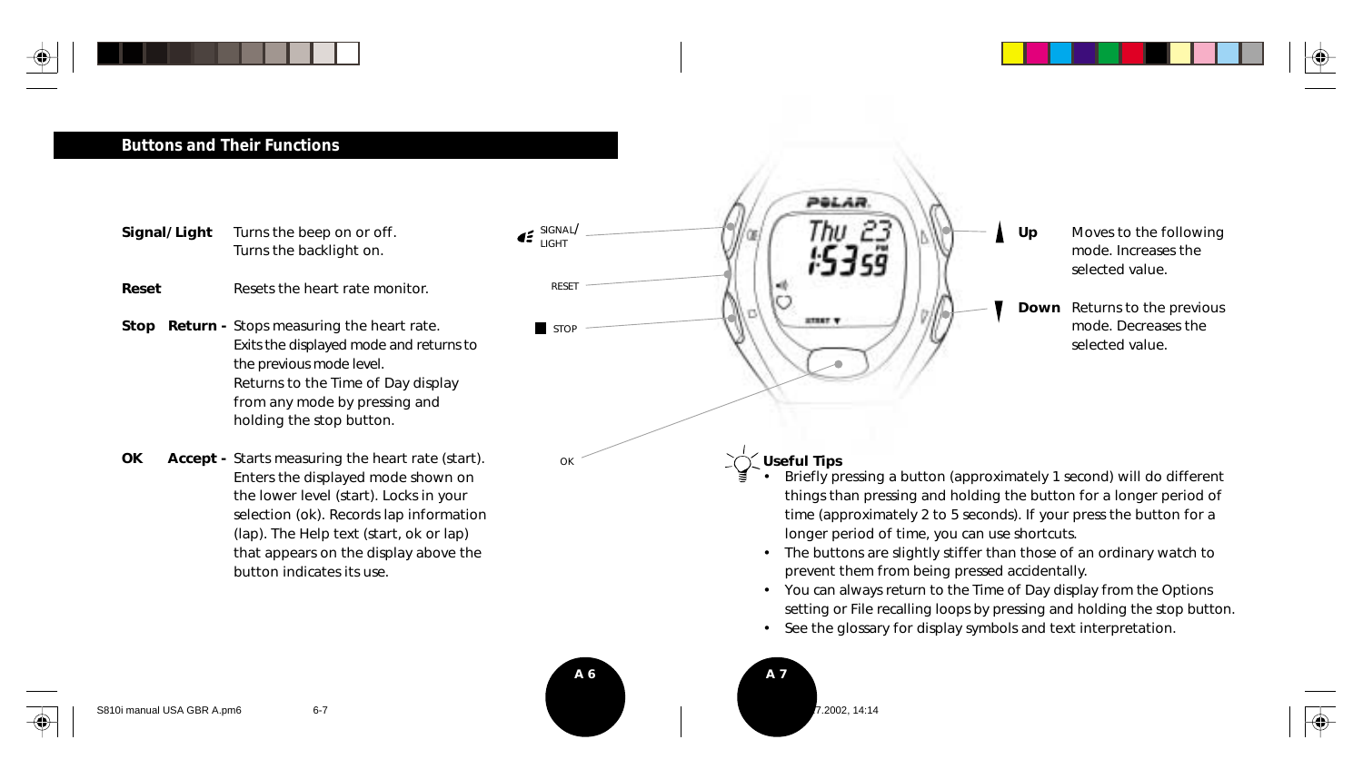



## **Buttons and Their Functions**

- **Signal/ Light** Turns the beep on or off. Turns the backlight on.
- **Reset** Resets the heart rate monitor.
- **Stop Return -** Stops measuring the heart rate. Exits the displayed mode and returns to the previous mode level. Returns to the Time of Day display from any mode by pressing and holding the stop button.
- **OK** Accept Starts measuring the heart rate (start). Enters the displayed mode shown on the lower level (start). Locks in your selection (ok). Records lap information (lap). The Help text (start, ok or lap) that appears on the display above the button indicates its use.



- The buttons are slightly stiffer than those of an ordinary watch to prevent them from being pressed accidentally.
- You can always return to the Time of Day display from the Options setting or File recalling loops by pressing and holding the stop button.
- See the glossary for display symbols and text interpretation.
- **A 6 A 7**

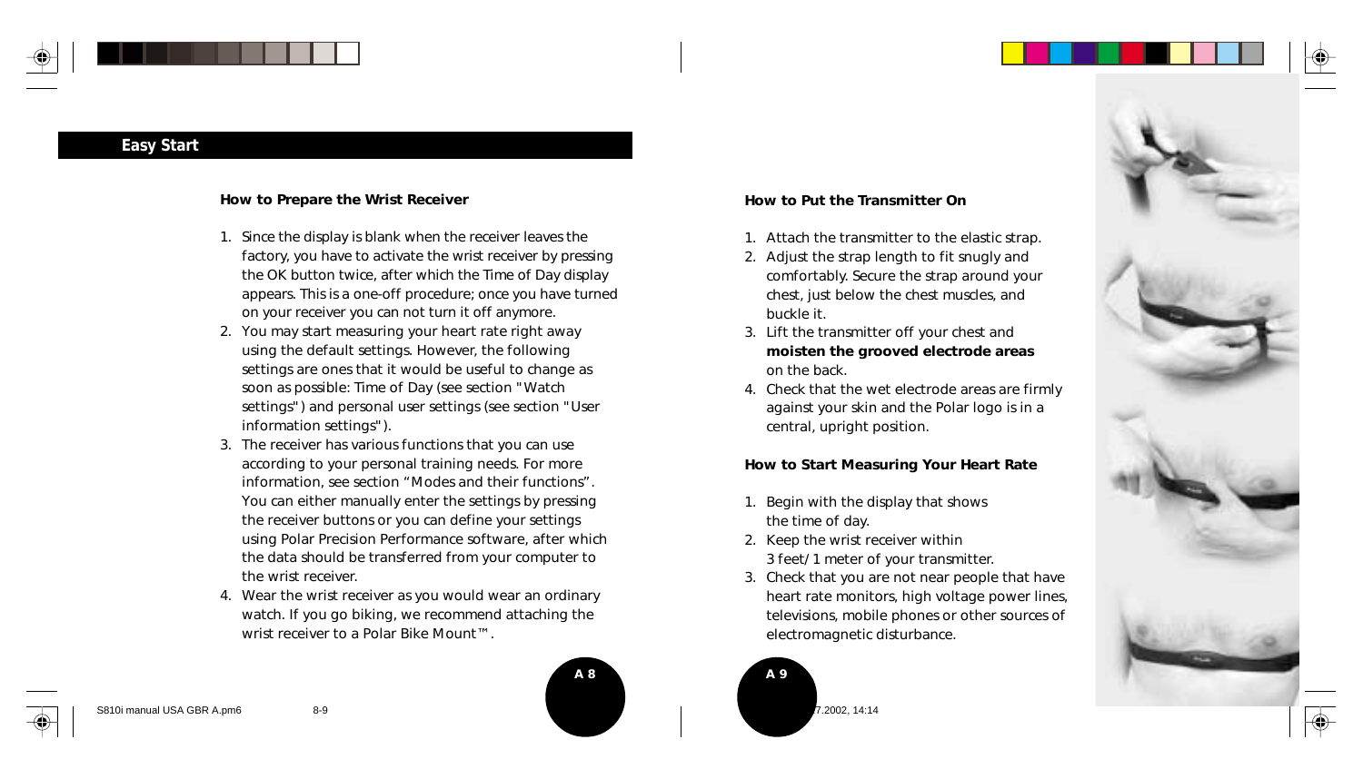

### **Easy Start**

#### **How to Prepare the Wrist Receiver**

- 1. Since the display is blank when the receiver leaves the factory, you have to activate the wrist receiver by pressing the OK button twice, after which the Time of Day display appears. This is a one-off procedure; once you have turned on your receiver you can not turn it off anymore.
- 2. You may start measuring your heart rate right away using the default settings. However, the following settings are ones that it would be useful to change as soon as possible: Time of Day (see section "Watch settings") and personal user settings (see section "User information settings").
- 3. The receiver has various functions that you can use according to your personal training needs. For more information, see section "Modes and their functions". You can either manually enter the settings by pressing the receiver buttons or you can define your settings using Polar Precision Performance software, after which the data should be transferred from your computer to the wrist receiver.
- 4. Wear the wrist receiver as you would wear an ordinary watch. If you go biking, we recommend attaching the wrist receiver to a Polar Bike Mount™.



#### **How to Put the Transmitter On**

- 1. Attach the transmitter to the elastic strap.
- 2. Adjust the strap length to fit snugly and comfortably. Secure the strap around your chest, just below the chest muscles, and buckle it.
- 3. Lift the transmitter off your chest and **moisten the grooved electrode areas** on the back.
- 4. Check that the wet electrode areas are firmly against your skin and the Polar logo is in a central, upright position.

#### **How to Start Measuring Your Heart Rate**

- 1. Begin with the display that shows the time of day.
- 2. Keep the wrist receiver within 3 feet/ 1 meter of your transmitter.
- 3. Check that you are not near people that have heart rate monitors, high voltage power lines, televisions, mobile phones or other sources of electromagnetic disturbance.





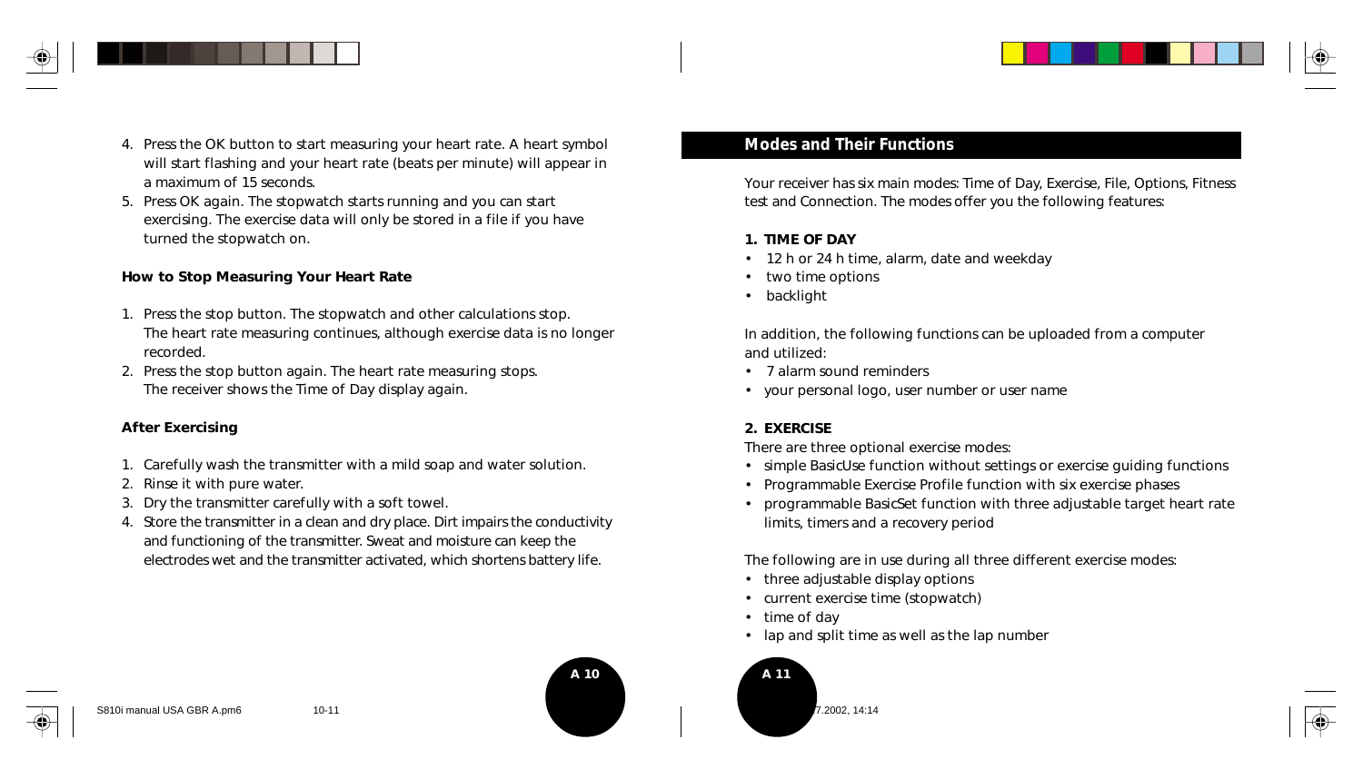



5. Press OK again. The stopwatch starts running and you can start exercising. The exercise data will only be stored in a file if you have turned the stopwatch on.

#### **How to Stop Measuring Your Heart Rate**

- 1. Press the stop button. The stopwatch and other calculations stop. The heart rate measuring continues, although exercise data is no longer recorded.
- 2. Press the stop button again. The heart rate measuring stops. The receiver shows the Time of Day display again.

#### **After Exercising**

- 1. Carefully wash the transmitter with a mild soap and water solution.
- 2. Rinse it with pure water.
- 3. Dry the transmitter carefully with a soft towel.
- 4. Store the transmitter in a clean and dry place. Dirt impairs the conductivity and functioning of the transmitter. Sweat and moisture can keep the electrodes wet and the transmitter activated, which shortens battery life.

Your receiver has six main modes: Time of Day, Exercise, File, Options, Fitness test and Connection. The modes offer you the following features:

#### **1. TIME OF DAY**

- 12 h or 24 h time, alarm, date and weekday
- two time options
- backlight

In addition, the following functions can be uploaded from a computer and utilized:

- 7 alarm sound reminders
- your personal logo, user number or user name

#### **2. EXERCISE**

There are three optional exercise modes:

- simple BasicUse function without settings or exercise guiding functions
- Programmable Exercise Profile function with six exercise phases
- programmable BasicSet function with three adjustable target heart rate limits, timers and a recovery period

The following are in use during all three different exercise modes:

- three adjustable display options
- current exercise time (stopwatch)
- time of day
- lap and split time as well as the lap number



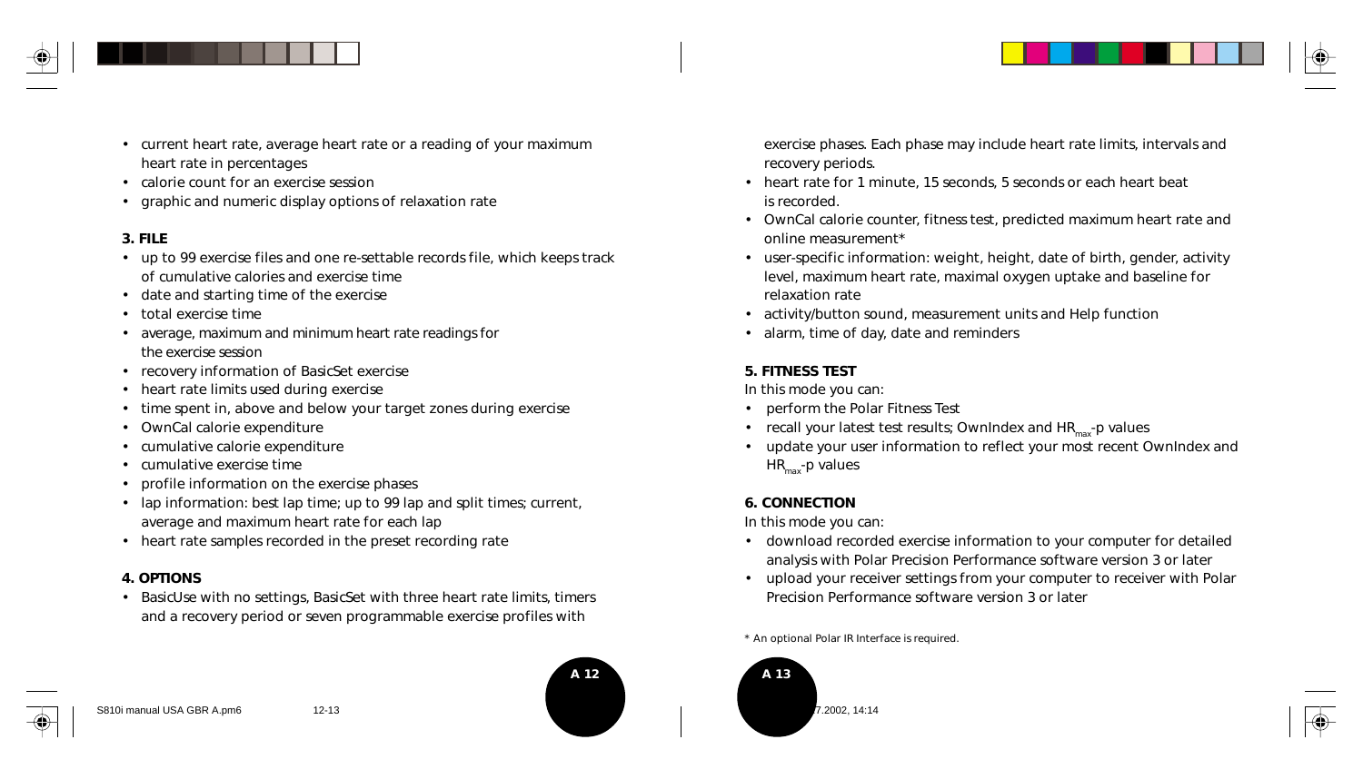

- current heart rate, average heart rate or a reading of your maximum heart rate in percentages
- calorie count for an exercise session
- graphic and numeric display options of relaxation rate

#### **3. FILE**

- up to 99 exercise files and one re-settable records file, which keeps track of cumulative calories and exercise time
- date and starting time of the exercise
- total exercise time
- average, maximum and minimum heart rate readings for the exercise session
- recovery information of BasicSet exercise
- heart rate limits used during exercise
- time spent in, above and below your target zones during exercise
- OwnCal calorie expenditure
- cumulative calorie expenditure
- cumulative exercise time
- profile information on the exercise phases
- lap information: best lap time; up to 99 lap and split times; current, average and maximum heart rate for each lap
- heart rate samples recorded in the preset recording rate

#### **4. OPTIONS**

• BasicUse with no settings, BasicSet with three heart rate limits, timers and a recovery period or seven programmable exercise profiles with

**A 12 A 13**

exercise phases. Each phase may include heart rate limits, intervals and recovery periods.

- heart rate for 1 minute, 15 seconds, 5 seconds or each heart beat is recorded.
- OwnCal calorie counter, fitness test, predicted maximum heart rate and online measurement\*
- user-specific information: weight, height, date of birth, gender, activity level, maximum heart rate, maximal oxygen uptake and baseline for relaxation rate
- activity/button sound, measurement units and Help function
- alarm, time of day, date and reminders

#### **5. FITNESS TEST**

In this mode you can:

- perform the Polar Fitness Test
- recall your latest test results; OwnIndex and  $HR_{\text{max}}$ -p values
- update your user information to reflect your most recent OwnIndex and  $HR<sub>max</sub>$ -p values

#### **6. CONNECTION**

In this mode you can:

- download recorded exercise information to your computer for detailed analysis with Polar Precision Performance software version 3 or later
- upload your receiver settings from your computer to receiver with Polar Precision Performance software version 3 or later

\* An optional Polar IR Interface is required.



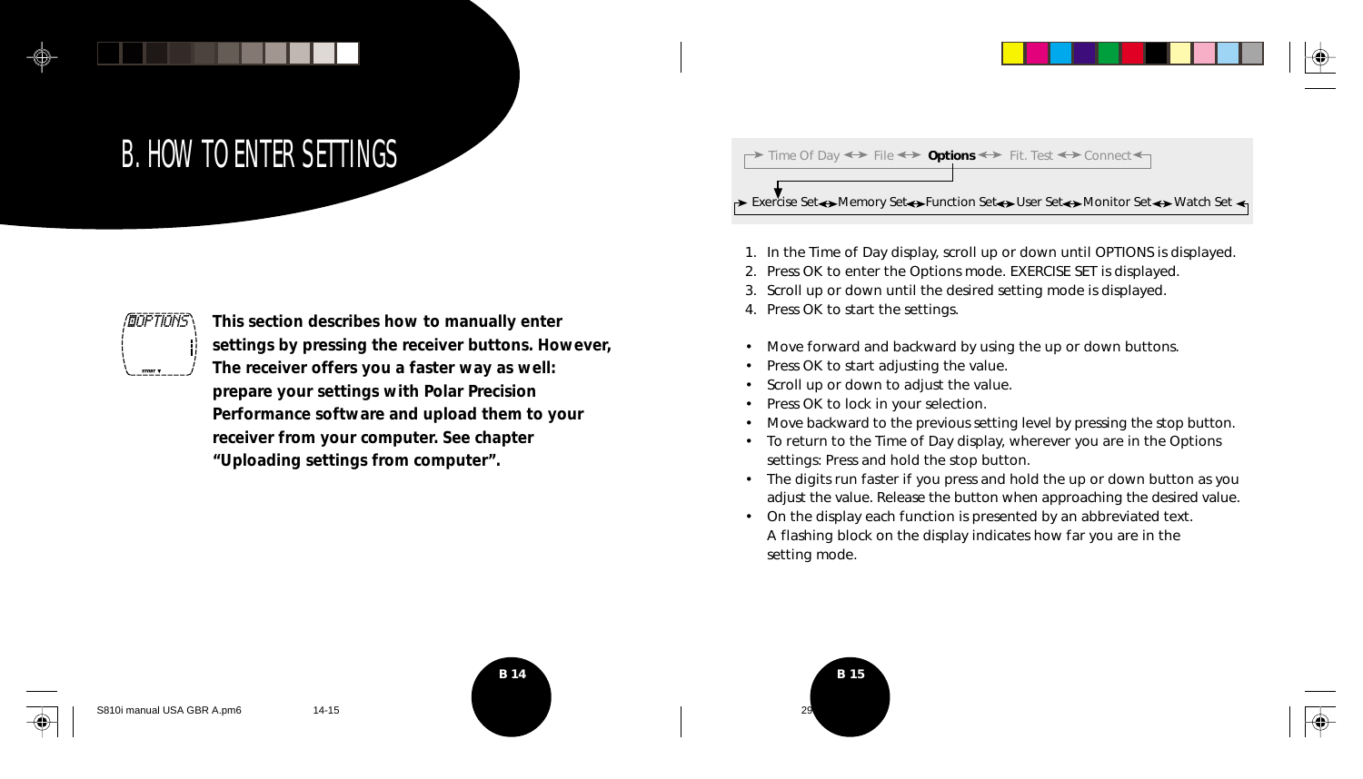# B. HOW TO ENTER SETTINGS

# **GOPTIONS**

**This section describes how to manually enter settings by pressing the receiver buttons. However, The receiver offers you a faster way as well: prepare your settings with Polar Precision Performance software and upload them to your receiver from your computer. See chapter "Uploading settings from computer".**



- 1. In the Time of Day display, scroll up or down until OPTIONS is displayed.
- 2. Press OK to enter the Options mode. EXERCISE SET is displayed.
- 3. Scroll up or down until the desired setting mode is displayed.
- 4. Press OK to start the settings.
- Move forward and backward by using the up or down buttons.
- Press OK to start adjusting the value.
- Scroll up or down to adjust the value.
- Press OK to lock in your selection.
- Move backward to the previous setting level by pressing the stop button.
- To return to the Time of Day display, wherever you are in the Options settings: Press and hold the stop button.
- The digits run faster if you press and hold the up or down button as you adjust the value. Release the button when approaching the desired value.
- On the display each function is presented by an abbreviated text. A flashing block on the display indicates how far you are in the setting mode.





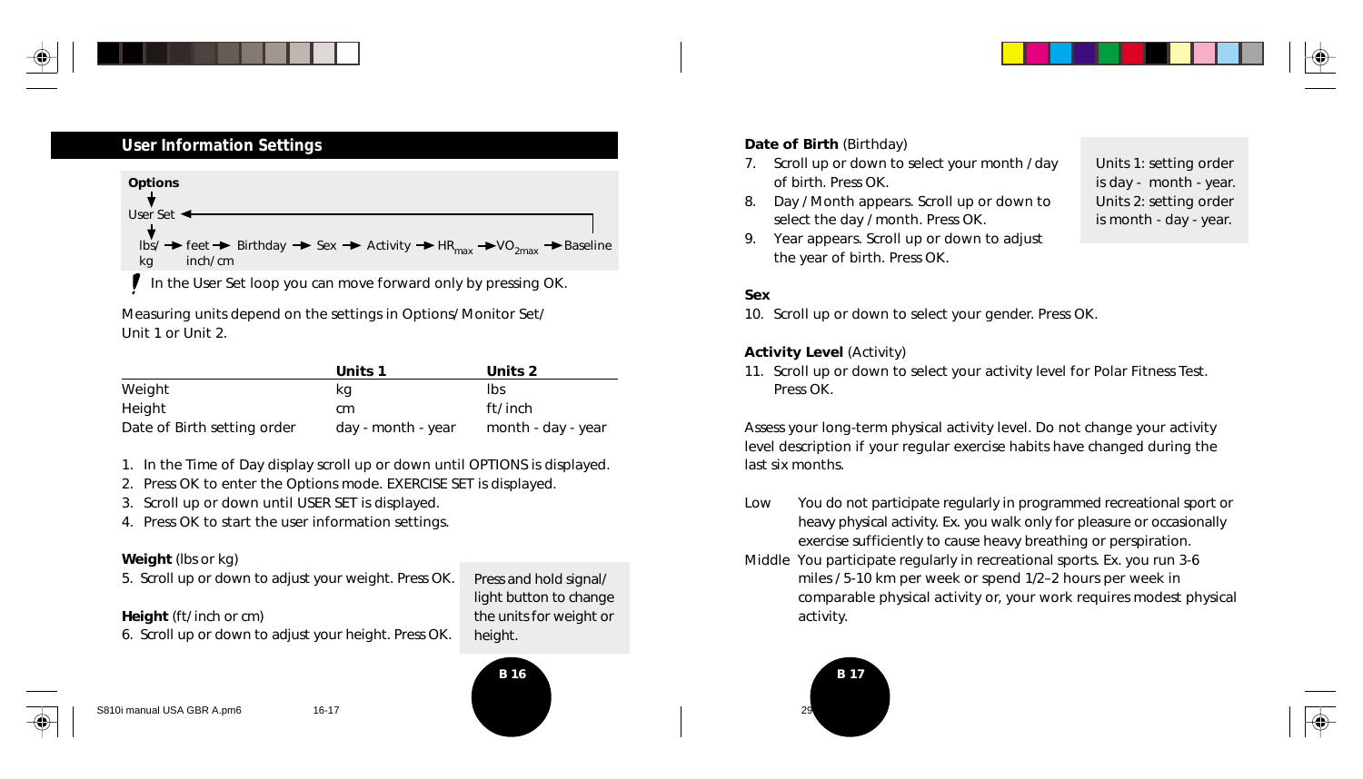

### **User Information Settings**



In the User Set loop you can move forward only by pressing OK.

Measuring units depend on the settings in Options/ Monitor Set/ Unit 1 or Unit 2.

|                             | Units 1            | Units 2            |
|-----------------------------|--------------------|--------------------|
| Weight                      | kq                 | Ibs                |
| Height                      | cm                 | ft/ inch           |
| Date of Birth setting order | day - month - year | month - day - year |

- 1. In the Time of Day display scroll up or down until OPTIONS is displayed.
- 2. Press OK to enter the Options mode. EXERCISE SET is displayed.
- 3. Scroll up or down until USER SET is displayed.
- 4. Press OK to start the user information settings.

#### **Weight** (lbs or kg)

5. Scroll up or down to adjust your weight. Press OK.

#### **Height** (ft/ inch or cm)

6. Scroll up or down to adjust your height. Press OK.

## Press and hold signal/ light button to change

the units for weight or

height.

#### **Date of Birth** (Birthday)

- 7. Scroll up or down to select your month / day of birth. Press OK.
- 8. Day / Month appears. Scroll up or down to select the day / month. Press OK.

Units 1: setting order is day - month - year. Units 2: setting order is month - day - year.

9. Year appears. Scroll up or down to adjust the year of birth. Press OK.

#### **Sex**

10. Scroll up or down to select your gender. Press OK.

#### **Activity Level** (Activity)

11. Scroll up or down to select your activity level for Polar Fitness Test. Press OK.

Assess your long-term physical activity level. Do not change your activity level description if your regular exercise habits have changed during the last six months.

- Low You do not participate regularly in programmed recreational sport or heavy physical activity. Ex. you walk only for pleasure or occasionally exercise sufficiently to cause heavy breathing or perspiration.
- Middle You participate regularly in recreational sports. Ex. you run 3-6 miles / 5-10 km per week or spend 1/2–2 hours per week in comparable physical activity or, your work requires modest physical activity.





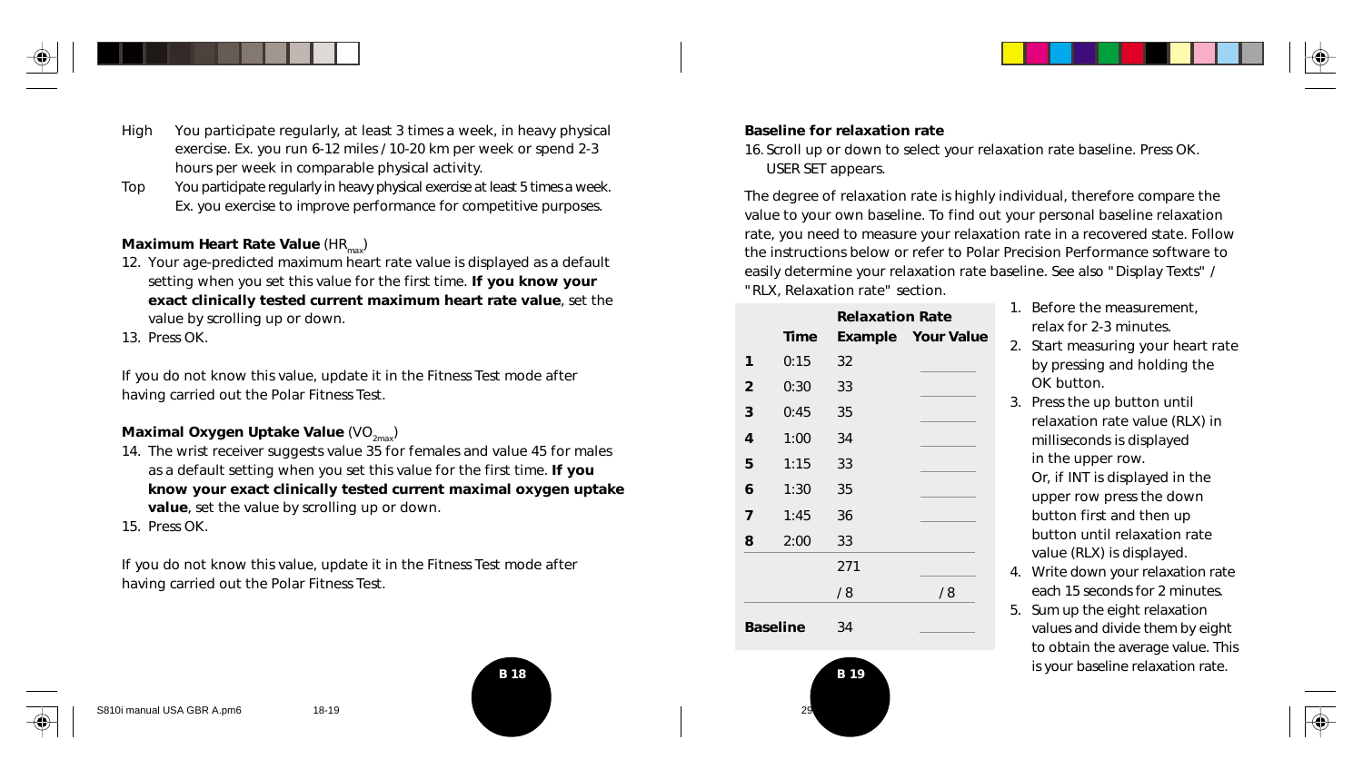

- High You participate regularly, at least 3 times a week, in heavy physical exercise. Ex. you run 6-12 miles / 10-20 km per week or spend 2-3 hours per week in comparable physical activity.
- Top You participate regularly in heavy physical exercise at least 5 times a week. Ex. you exercise to improve performance for competitive purposes.

#### **Maximum Heart Rate Value (HR<sub>max</sub>)**

12. Your age-predicted maximum heart rate value is displayed as a default setting when you set this value for the first time. **If you know your exact clinically tested current maximum heart rate value**, set the value by scrolling up or down.

13. Press OK.

If you do not know this value, update it in the Fitness Test mode after having carried out the Polar Fitness Test.

#### **Maximal Oxygen Uptake Value (VO<sub>2max</sub>)**

- 14. The wrist receiver suggests value 35 for females and value 45 for males as a default setting when you set this value for the first time. **If you know your exact clinically tested current maximal oxygen uptake value**, set the value by scrolling up or down.
- 15. Press OK.

If you do not know this value, update it in the Fitness Test mode after having carried out the Polar Fitness Test.



#### **Baseline for relaxation rate**

16. Scroll up or down to select your relaxation rate baseline. Press OK. USER SET appears.

The degree of relaxation rate is highly individual, therefore compare the value to your own baseline. To find out your personal baseline relaxation rate, you need to measure your relaxation rate in a recovered state. Follow the instructions below or refer to Polar Precision Performance software to easily determine your relaxation rate baseline. See also "Display Texts" / "RLX, Relaxation rate" section.

|              |                 | <b>Relaxation Rate</b> |                           |
|--------------|-----------------|------------------------|---------------------------|
|              | <b>Time</b>     |                        | <b>Example</b> Your Value |
| 1            | 0:15            | 32                     |                           |
| $\mathbf{2}$ | 0:30            | 33                     |                           |
| 3            | 0:45            | 35                     |                           |
| 4            | 1:00            | 34                     |                           |
| 5            | 1:15            | 33                     |                           |
| 6            | 1:30            | 35                     |                           |
| 7            | 1:45            | 36                     |                           |
| 8            | 2:00            | 33                     |                           |
|              |                 | 271                    |                           |
|              |                 | /8                     | /8                        |
|              | <b>Baseline</b> | 34                     |                           |

- 1. Before the measurement, relax for 2-3 minutes.
- 2. Start measuring your heart rate by pressing and holding the OK button.
- 3. Press the up button until relaxation rate value (RLX) in milliseconds is displayed in the upper row. Or, if INT is displayed in the upper row press the down button first and then up button until relaxation rate value (RLX) is displayed.
- 4. Write down your relaxation rate each 15 seconds for 2 minutes.
- 5. Sum up the eight relaxation values and divide them by eight to obtain the average value. This is your baseline relaxation rate.



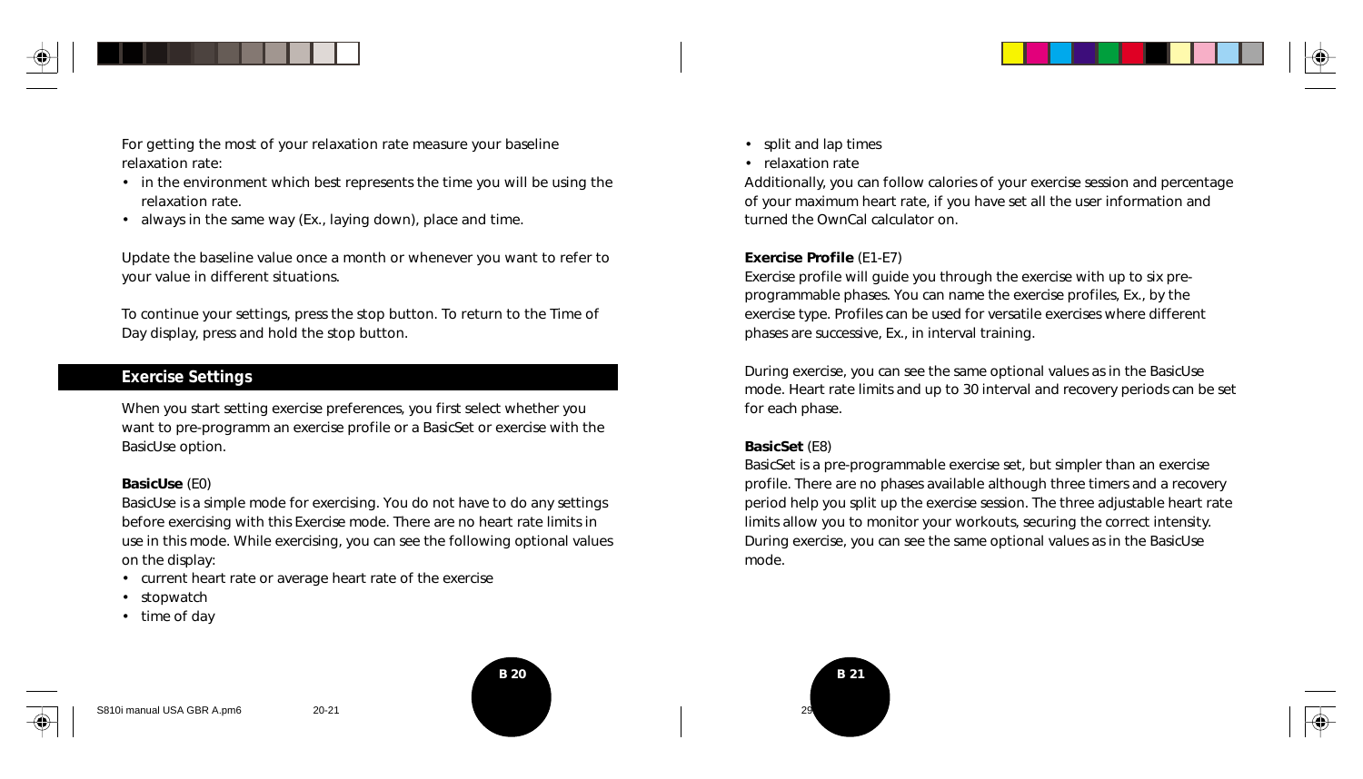

For getting the most of your relaxation rate measure your baseline relaxation rate:

- in the environment which best represents the time you will be using the relaxation rate.
- always in the same way (Ex., laying down), place and time.

Update the baseline value once a month or whenever you want to refer to your value in different situations.

To continue your settings, press the stop button. To return to the Time of Day display, press and hold the stop button.

#### **Exercise Settings**

When you start setting exercise preferences, you first select whether you want to pre-programm an exercise profile or a BasicSet or exercise with the BasicUse option.

#### **BasicUse** (E0)

BasicUse is a simple mode for exercising. You do not have to do any settings before exercising with this Exercise mode. There are no heart rate limits in use in this mode. While exercising, you can see the following optional values on the display:

- current heart rate or average heart rate of the exercise
- stopwatch
- time of day



• relaxation rate

Additionally, you can follow calories of your exercise session and percentage of your maximum heart rate, if you have set all the user information and turned the OwnCal calculator on.

#### **Exercise Profile** (E1-E7)

Exercise profile will guide you through the exercise with up to six preprogrammable phases. You can name the exercise profiles, Ex., by the exercise type. Profiles can be used for versatile exercises where different phases are successive, Ex., in interval training.

During exercise, you can see the same optional values as in the BasicUse mode. Heart rate limits and up to 30 interval and recovery periods can be set for each phase.

#### **BasicSet** (E8)

BasicSet is a pre-programmable exercise set, but simpler than an exercise profile. There are no phases available although three timers and a recovery period help you split up the exercise session. The three adjustable heart rate limits allow you to monitor your workouts, securing the correct intensity. During exercise, you can see the same optional values as in the BasicUse mode.





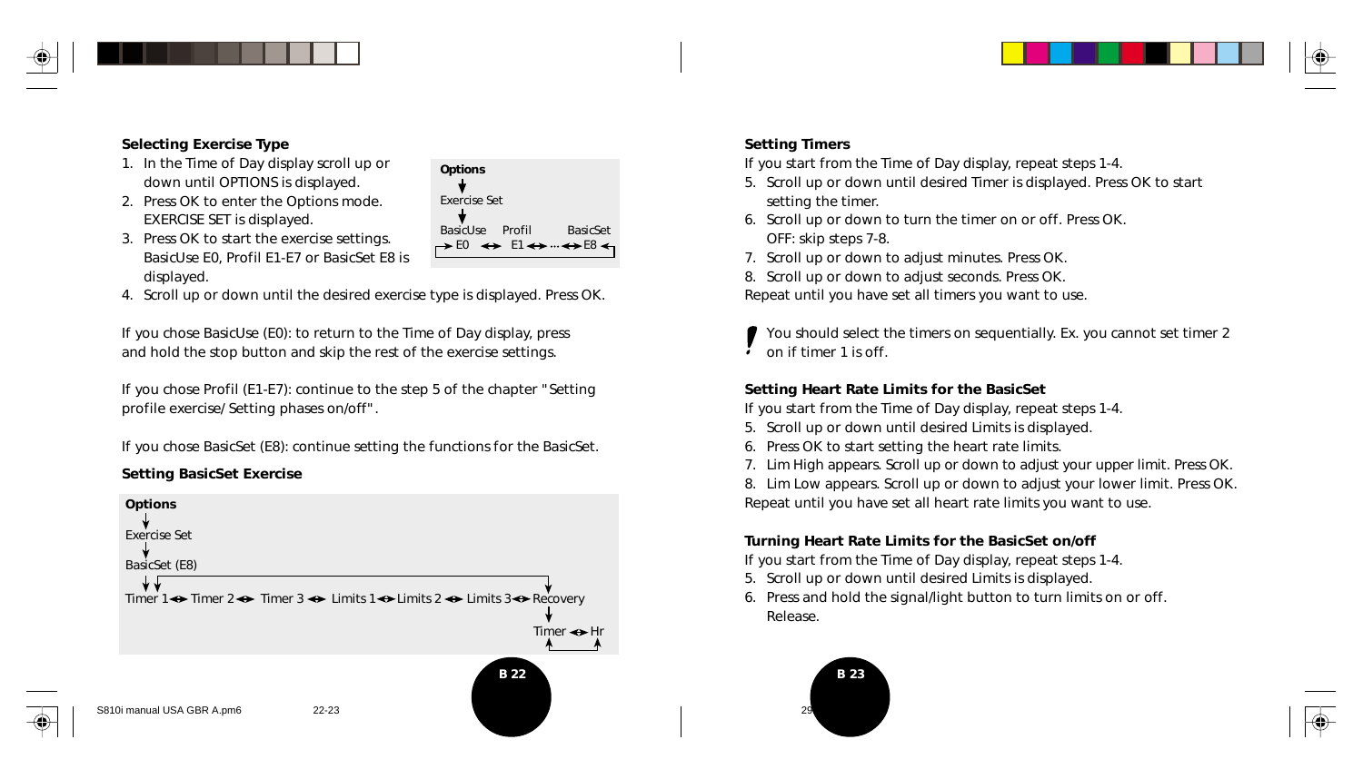

#### **Selecting Exercise Type**

- 1. In the Time of Day display scroll up or down until OPTIONS is displayed.
- 2. Press OK to enter the Options mode. EXERCISE SET is displayed.
- 3. Press OK to start the exercise settings. BasicUse E0, Profil E1-E7 or BasicSet E8 is displayed.
- 4. Scroll up or down until the desired exercise type is displayed. Press OK.

**Options** Exercise Set

BasicUse Profil BasicSet  $\rightarrow$  E0  $\leftrightarrow$  E1 $\leftrightarrow$   $\rightarrow$  E8 $\leftrightarrow$ 

If you chose BasicUse (E0): to return to the Time of Day display, press and hold the stop button and skip the rest of the exercise settings.

If you chose Profil (E1-E7): continue to the step 5 of the chapter "Setting profile exercise/ Setting phases on/off".

If you chose BasicSet (E8): continue setting the functions for the BasicSet.

#### **Setting BasicSet Exercise**



#### **Setting Timers**

*If you start from the Time of Day display, repeat steps 1-4.*

- 5. Scroll up or down until desired Timer is displayed. Press OK to start setting the timer.
- 6. Scroll up or down to turn the timer on or off. Press OK. OFF: skip steps 7-8.
- 7. Scroll up or down to adjust minutes. Press OK.
- 8. Scroll up or down to adjust seconds. Press OK.

Repeat until you have set all timers you want to use.

You should select the timers on sequentially. Ex. you cannot set timer 2 on if timer 1 is off.

#### **Setting Heart Rate Limits for the BasicSet**

*If you start from the Time of Day display, repeat steps 1-4.*

- 5. Scroll up or down until desired Limits is displayed.
- 6. Press OK to start setting the heart rate limits.
- 7. Lim High appears. Scroll up or down to adjust your upper limit. Press OK.

8. Lim Low appears. Scroll up or down to adjust your lower limit. Press OK. Repeat until you have set all heart rate limits you want to use.

#### **Turning Heart Rate Limits for the BasicSet on/off**

*If you start from the Time of Day display, repeat steps 1-4.*

- 5. Scroll up or down until desired Limits is displayed.
- 6. Press and hold the signal/light button to turn limits on or off. Release.

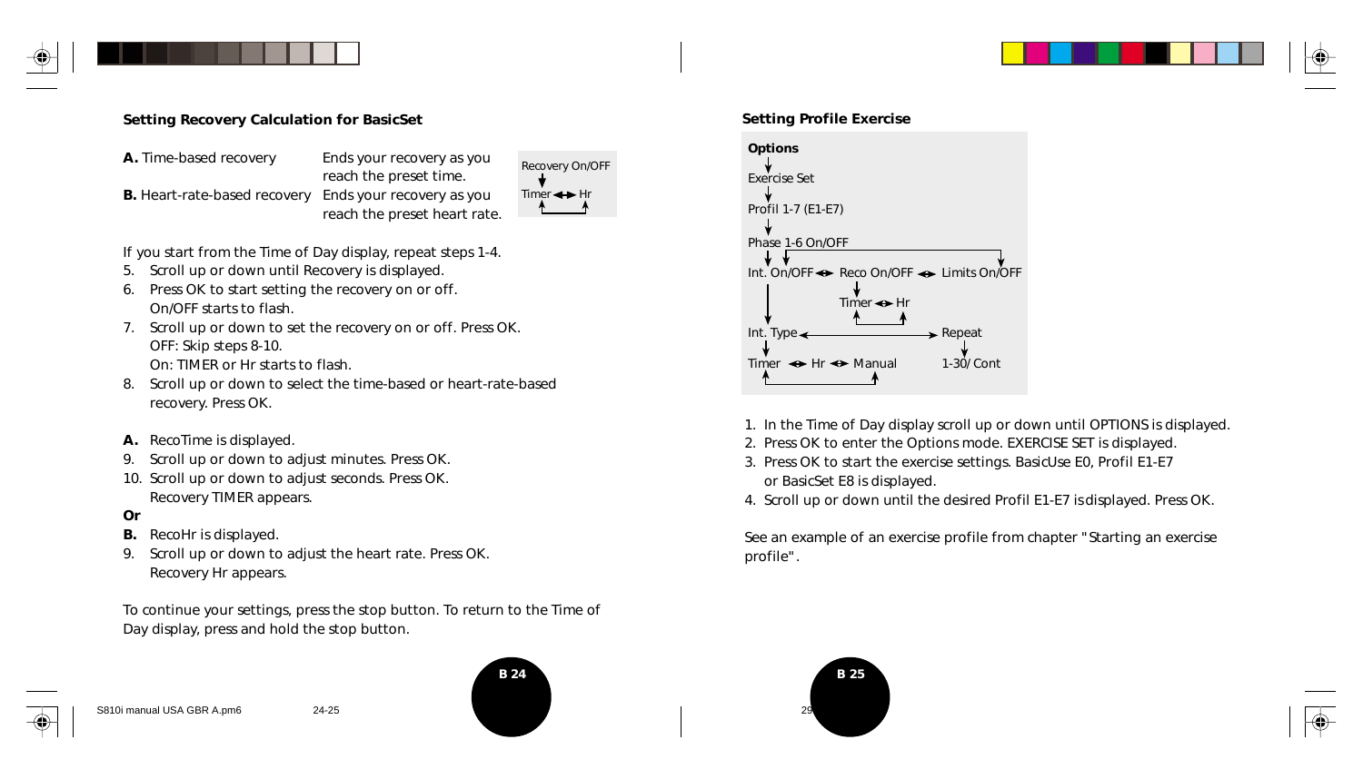

#### **Setting Recovery Calculation for BasicSet**

**A.** Time-based recovery Ends your recovery as you reach the preset time. **B.** Heart-rate-based recovery Ends your recovery as you reach the preset heart rate.



*If you start from the Time of Day display, repeat steps 1-4.*

- 5. Scroll up or down until Recovery is displayed.
- 6. Press OK to start setting the recovery on or off. On/OFF starts to flash.
- 7. Scroll up or down to set the recovery on or off. Press OK. OFF: Skip steps 8-10. On: TIMER or Hr starts to flash.
- 8. Scroll up or down to select the time-based or heart-rate-based recovery. Press OK.
- **A.** RecoTime is displayed.
- 9. Scroll up or down to adjust minutes. Press OK.
- 10. Scroll up or down to adjust seconds. Press OK. Recovery TIMER appears.

#### **Or**

- **B.** RecoHr is displayed.
- 9. Scroll up or down to adjust the heart rate. Press OK. Recovery Hr appears.

To continue your settings, press the stop button. To return to the Time of Day display, press and hold the stop button.





#### **Setting Profile Exercise**



- 1. In the Time of Day display scroll up or down until OPTIONS is displayed.
- 2. Press OK to enter the Options mode. EXERCISE SET is displayed.
- 3. Press OK to start the exercise settings. BasicUse E0, Profil E1-E7 or BasicSet E8 is displayed.
- 4. Scroll up or down until the desired Profil E1-E7 is displayed. Press OK.

See an example of an exercise profile from chapter "Starting an exercise profile".

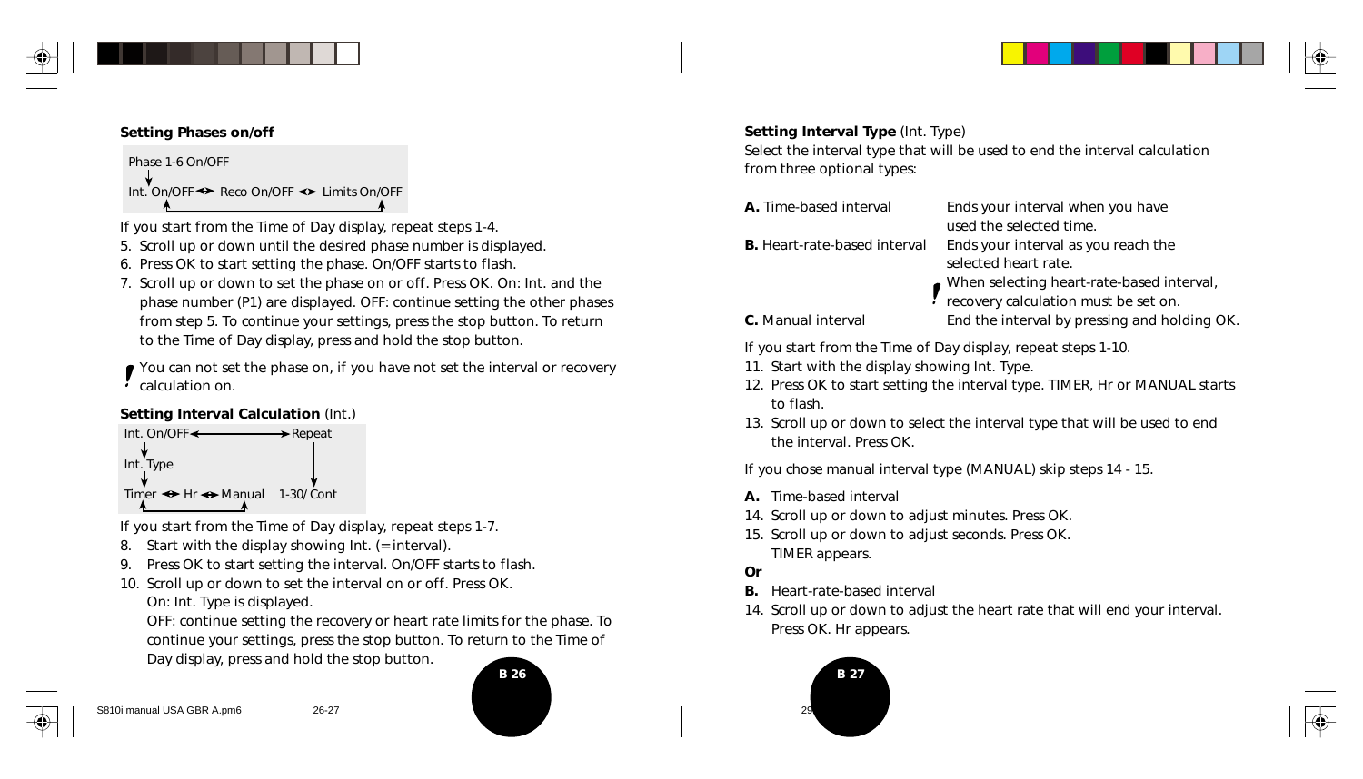

#### **Setting Phases on/off**

Phase 1-6 On/OFF Int. On/OFF Reco On/OFF → Limits On/OFF

*If you start from the Time of Day display, repeat steps 1-4.*

- 5. Scroll up or down until the desired phase number is displayed.
- 6. Press OK to start setting the phase. On/OFF starts to flash.
- 7. Scroll up or down to set the phase on or off. Press OK. On: Int. and the phase number (P1) are displayed. OFF: continue setting the other phases from step 5. To continue your settings, press the stop button. To return to the Time of Day display, press and hold the stop button.
- You can not set the phase on, if you have not set the interval or recovery **Calculation on.**

#### **Setting Interval Calculation** (Int.)



*If you start from the Time of Day display, repeat steps 1-7.*

- 8. Start with the display showing Int. (= interval).
- 9. Press OK to start setting the interval. On/OFF starts to flash.
- 10. Scroll up or down to set the interval on or off. Press OK.

On: Int. Type is displayed.

OFF: continue setting the recovery or heart rate limits for the phase. To continue your settings, press the stop button. To return to the Time of Day display, press and hold the stop button.

| S810i manual USA GBR A.pm6 | 26-27 |
|----------------------------|-------|



#### **Setting Interval Type** (Int. Type)

Select the interval type that will be used to end the interval calculation from three optional types:

| <b>A.</b> Time-based interval       | Ends your interval when you have<br>used the selected time.                       |
|-------------------------------------|-----------------------------------------------------------------------------------|
| <b>B.</b> Heart-rate-based interval | Ends your interval as you reach the<br>selected heart rate.                       |
|                                     | When selecting heart-rate-based interval,<br>recovery calculation must be set on. |

- 
- **C.** Manual interval **End the interval by pressing and holding OK.**

*If you start from the Time of Day display, repeat steps 1-10.*

- 11. Start with the display showing Int. Type.
- 12. Press OK to start setting the interval type. TIMER, Hr or MANUAL starts to flash.
- 13. Scroll up or down to select the interval type that will be used to end the interval. Press OK.

If you chose manual interval type (MANUAL) skip steps 14 - 15.

- **A.** Time-based interval
- 14. Scroll up or down to adjust minutes. Press OK.
- 15. Scroll up or down to adjust seconds. Press OK. TIMER appears.
- **Or**
- **B.** Heart-rate-based interval
- 14. Scroll up or down to adjust the heart rate that will end your interval. Press OK. Hr appears.

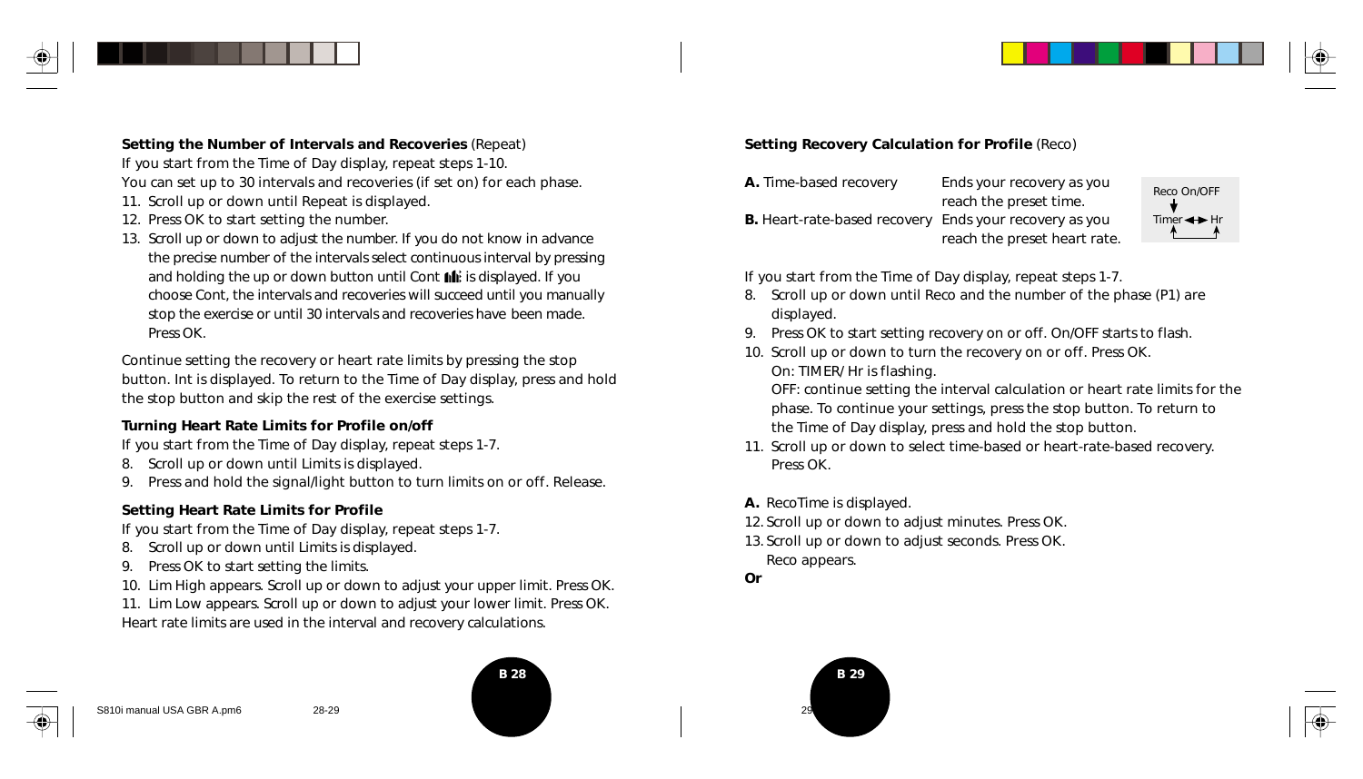

**Setting the Number of Intervals and Recoveries** (Repeat) *If you start from the Time of Day display, repeat steps 1-10.* You can set up to 30 intervals and recoveries (if set on) for each phase.

- 11. Scroll up or down until Repeat is displayed.
- 12. Press OK to start setting the number.
- 13. Scroll up or down to adjust the number. If you do not know in advance the precise number of the intervals select continuous interval by pressing and holding the up or down button until Cont  $\mathbf{h}$  is displayed. If you choose Cont, the intervals and recoveries will succeed until you manually stop the exercise or until 30 intervals and recoveries have been made. Press OK.

Continue setting the recovery or heart rate limits by pressing the stop button. Int is displayed. To return to the Time of Day display, press and hold the stop button and skip the rest of the exercise settings.

#### **Turning Heart Rate Limits for Profile on/off**

*If you start from the Time of Day display, repeat steps 1-7.*

- 8. Scroll up or down until Limits is displayed.
- 9. Press and hold the signal/light button to turn limits on or off. Release.

#### **Setting Heart Rate Limits for Profile**

*If you start from the Time of Day display, repeat steps 1-7.*

- 8. Scroll up or down until Limits is displayed.
- 9. Press OK to start setting the limits.
- 10. Lim High appears. Scroll up or down to adjust your upper limit. Press OK.

11. Lim Low appears. Scroll up or down to adjust your lower limit. Press OK. Heart rate limits are used in the interval and recovery calculations.





| A. Time-based recovery                                        | Ends your recovery as you    | Reco On/OFF  |
|---------------------------------------------------------------|------------------------------|--------------|
|                                                               | reach the preset time.       |              |
| <b>B.</b> Heart-rate-based recovery Ends your recovery as you |                              | Timer < → Hr |
|                                                               | reach the preset heart rate. |              |

*If you start from the Time of Day display, repeat steps 1-7.*

- 8. Scroll up or down until Reco and the number of the phase (P1) are displayed.
- 9. Press OK to start setting recovery on or off. On/OFF starts to flash.
- 10. Scroll up or down to turn the recovery on or off. Press OK. On: TIMER/ Hr is flashing.

OFF: continue setting the interval calculation or heart rate limits for the phase. To continue your settings, press the stop button. To return to the Time of Day display, press and hold the stop button.

- 11. Scroll up or down to select time-based or heart-rate-based recovery. Press OK.
- **A.** RecoTime is displayed.
- 12. Scroll up or down to adjust minutes. Press OK.
- 13. Scroll up or down to adjust seconds. Press OK. Reco appears.
- **Or**

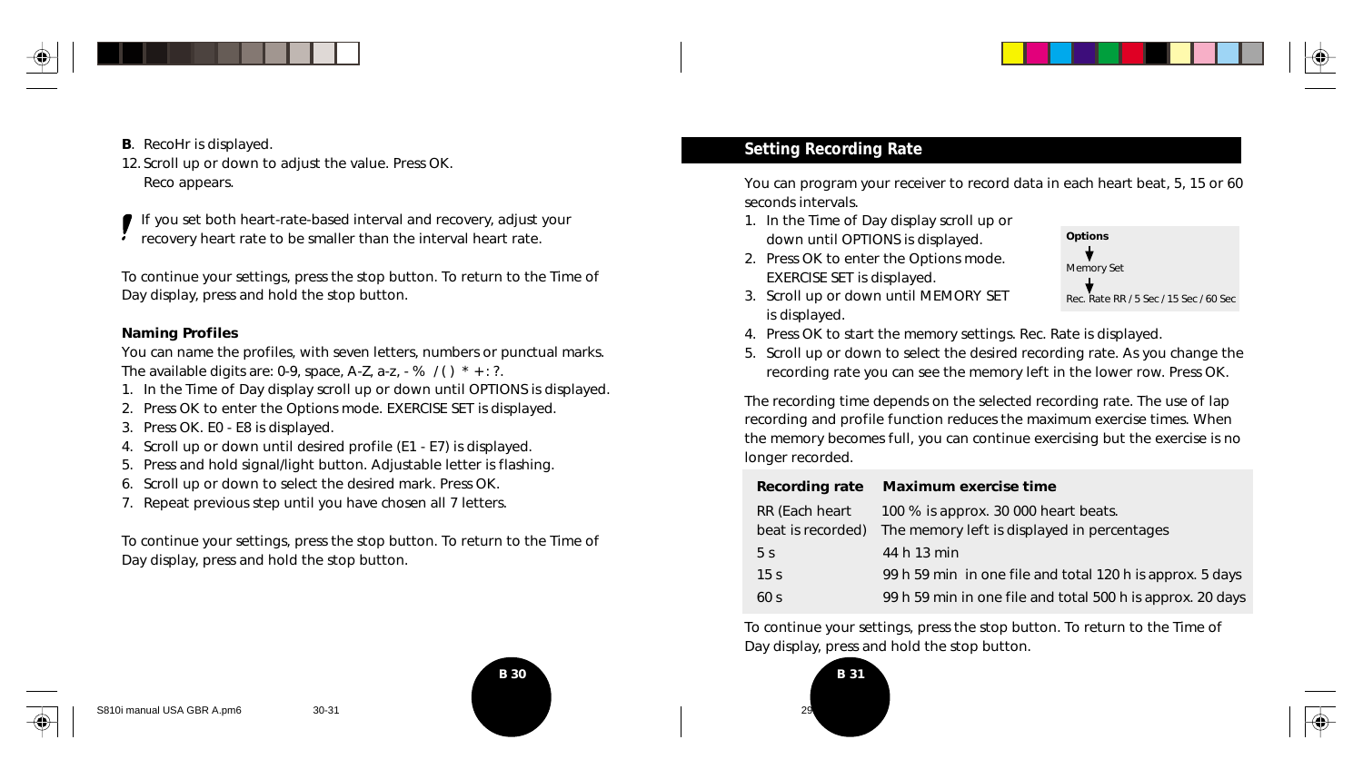

- 
- 12. Scroll up or down to adjust the value. Press OK. Reco appears.

If you set both heart-rate-based interval and recovery, adjust your recovery heart rate to be smaller than the interval heart rate.

To continue your settings, press the stop button. To return to the Time of Day display, press and hold the stop button.

#### **Naming Profiles**

You can name the profiles, with seven letters, numbers or punctual marks. The available digits are: 0-9, space, A-Z, a-z,  $-$  %  $/()$  \*  $+$  : ?.

- 1. In the Time of Day display scroll up or down until OPTIONS is displayed.
- 2. Press OK to enter the Options mode. EXERCISE SET is displayed.
- 3. Press OK. E0 E8 is displayed.
- 4. Scroll up or down until desired profile (E1 E7) is displayed.
- 5. Press and hold signal/light button. Adjustable letter is flashing.
- 6. Scroll up or down to select the desired mark. Press OK.
- 7. Repeat previous step until you have chosen all 7 letters.

To continue your settings, press the stop button. To return to the Time of Day display, press and hold the stop button.



## **B.** RecoHr is displayed. **B.** RecoHr is displayed.

You can program your receiver to record data in each heart beat, 5, 15 or 60 seconds intervals.

- 1. In the Time of Day display scroll up or down until OPTIONS is displayed.
- 2. Press OK to enter the Options mode. EXERCISE SET is displayed.





- 4. Press OK to start the memory settings. Rec. Rate is displayed.
- 5. Scroll up or down to select the desired recording rate. As you change the recording rate you can see the memory left in the lower row. Press OK.

The recording time depends on the selected recording rate. The use of lap recording and profile function reduces the maximum exercise times. When the memory becomes full, you can continue exercising but the exercise is no longer recorded.

|                   | Recording rate Maximum exercise time                       |
|-------------------|------------------------------------------------------------|
| RR (Each heart    | 100 % is approx. 30 000 heart beats.                       |
| beat is recorded) | The memory left is displayed in percentages                |
| 5 <sub>s</sub>    | 44 h 13 min                                                |
| 15 <sub>s</sub>   | 99 h 59 min in one file and total 120 h is approx. 5 days  |
| 60 <sub>s</sub>   | 99 h 59 min in one file and total 500 h is approx. 20 days |

To continue your settings, press the stop button. To return to the Time of Day display, press and hold the stop button.



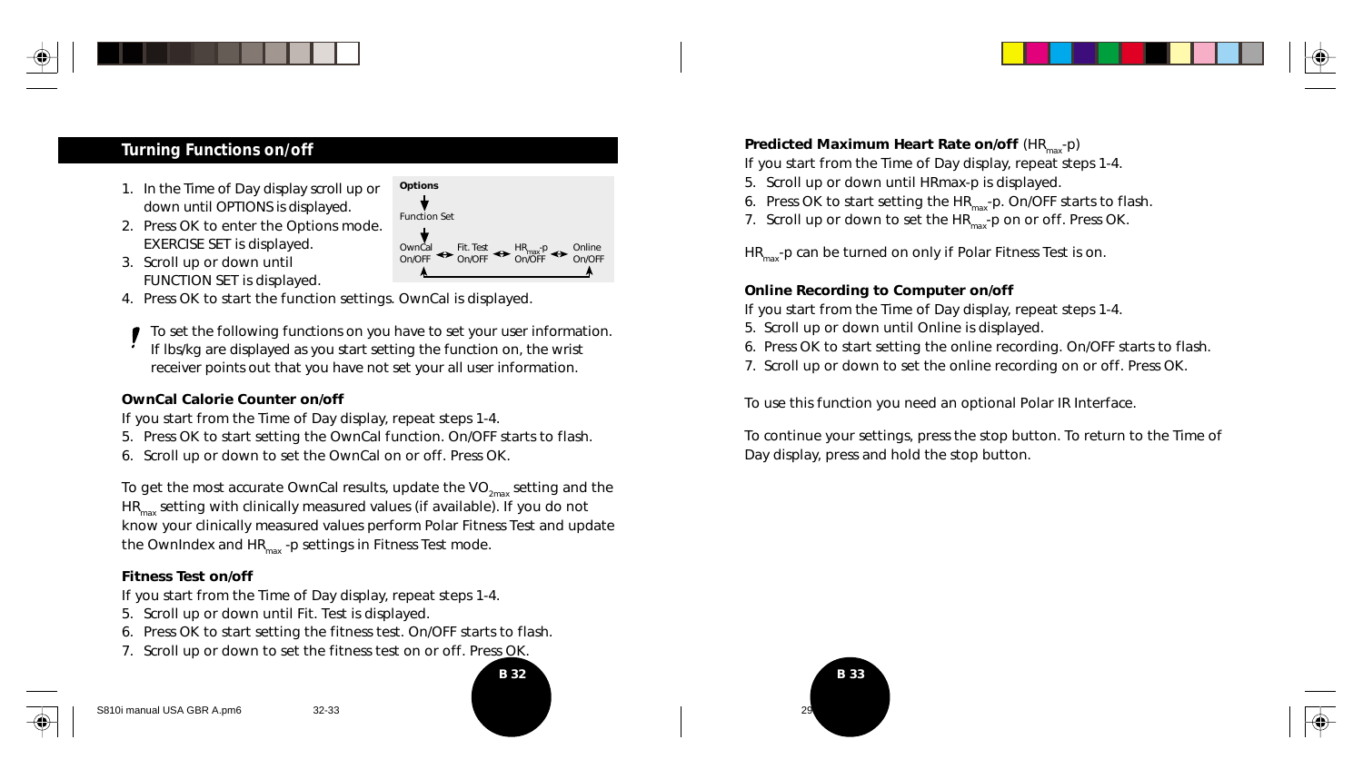## **Turning Functions on/off**

- 1. In the Time of Day display scroll up or down until OPTIONS is displayed.
- 2. Press OK to enter the Options mode. EXERCISE SET is displayed.
- 3. Scroll up or down until FUNCTION SET is displayed.
- OwnCal <> Fit. Test <<> HR<sub>max</sub>-p <<> Online<br>On/OFF << On/OFF <sup>On/OFF</sup>
- 4. Press OK to start the function settings. OwnCal is displayed.

To set the following functions on you have to set your user information. If lbs/kg are displayed as you start setting the function on, the wrist receiver points out that you have not set your all user information.

#### **OwnCal Calorie Counter on/off**

- *If you start from the Time of Day display, repeat steps 1-4.*
- 5. Press OK to start setting the OwnCal function. On/OFF starts to flash.
- 6. Scroll up or down to set the OwnCal on or off. Press OK.

To get the most accurate OwnCal results, update the VO<sub>2max</sub> setting and the  $HR_{max}$  setting with clinically measured values (if available). If you do not know your clinically measured values perform Polar Fitness Test and update the OwnIndex and  $HR<sub>max</sub>$  -p settings in Fitness Test mode.

#### **Fitness Test on/off**

*If you start from the Time of Day display, repeat steps 1-4.*

- 5. Scroll up or down until Fit. Test is displayed.
- 6. Press OK to start setting the fitness test. On/OFF starts to flash.
- 7. Scroll up or down to set the fitness test on or off. Press OK.

**Options** Function Set **Predicted Maximum Heart Rate on/off (HR<sub>max</sub>-p)** 

*If you start from the Time of Day display, repeat steps 1-4.*

- 5. Scroll up or down until HRmax-p is displayed.
- 6. Press OK to start setting the  $HR_{max}$ -p. On/OFF starts to flash.
- 7. Scroll up or down to set the  $HR_{max}^-$ -p on or off. Press OK.

 $HR<sub>max</sub>$ -p can be turned on only if Polar Fitness Test is on.

#### **Online Recording to Computer on/off**

*If you start from the Time of Day display, repeat steps 1-4.*

- 5. Scroll up or down until Online is displayed.
- 6. Press OK to start setting the online recording. On/OFF starts to flash.
- 7. Scroll up or down to set the online recording on or off. Press OK.

To use this function you need an optional Polar IR Interface.

To continue your settings, press the stop button. To return to the Time of Day display, press and hold the stop button.





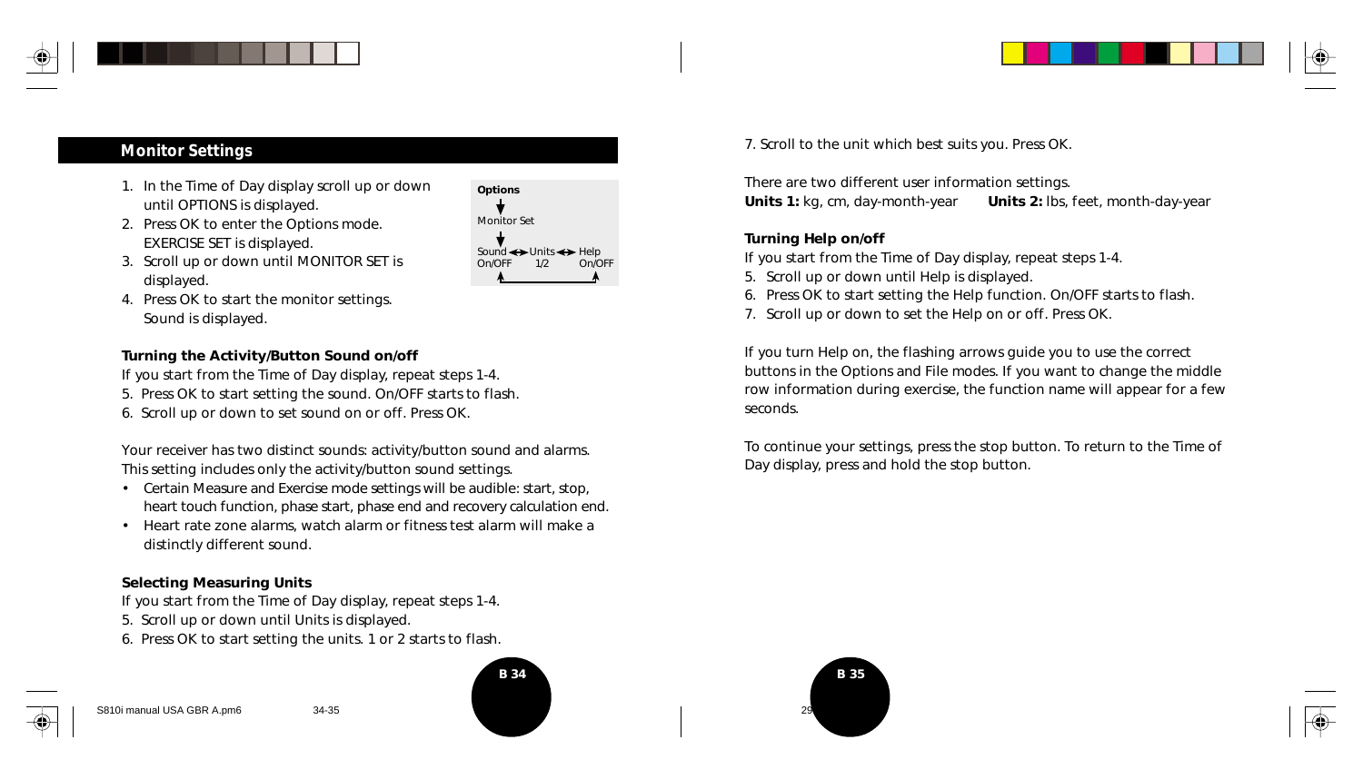

- 1. In the Time of Day display scroll up or down until OPTIONS is displayed.
- 2. Press OK to enter the Options mode. EXERCISE SET is displayed.



- 3. Scroll up or down until MONITOR SET is displayed.
- 4. Press OK to start the monitor settings. Sound is displayed.

#### **Turning the Activity/Button Sound on/off**

*If you start from the Time of Day display, repeat steps 1-4.*

- 5. Press OK to start setting the sound. On/OFF starts to flash.
- 6. Scroll up or down to set sound on or off. Press OK.

Your receiver has two distinct sounds: activity/button sound and alarms. This setting includes only the activity/button sound settings.

- Certain Measure and Exercise mode settings will be audible: start, stop, heart touch function, phase start, phase end and recovery calculation end.
- Heart rate zone alarms, watch alarm or fitness test alarm will make a distinctly different sound.

#### **Selecting Measuring Units**

*If you start from the Time of Day display, repeat steps 1-4.*

- 5. Scroll up or down until Units is displayed.
- 6. Press OK to start setting the units. 1 or 2 starts to flash.



**Monitor Settings Monitor Settings 7. Scroll to the unit which best suits you. Press OK.** 

There are two different user information settings. **Units 1:** kg, cm, day-month-year **Units 2:** lbs, feet, month-day-year

#### **Turning Help on/off**

*If you start from the Time of Day display, repeat steps 1-4.*

- 5. Scroll up or down until Help is displayed.
- 6. Press OK to start setting the Help function. On/OFF starts to flash.
- 7. Scroll up or down to set the Help on or off. Press OK.

If you turn Help on, the flashing arrows guide you to use the correct buttons in the Options and File modes. If you want to change the middle row information during exercise, the function name will appear for a few seconds.

To continue your settings, press the stop button. To return to the Time of Day display, press and hold the stop button.

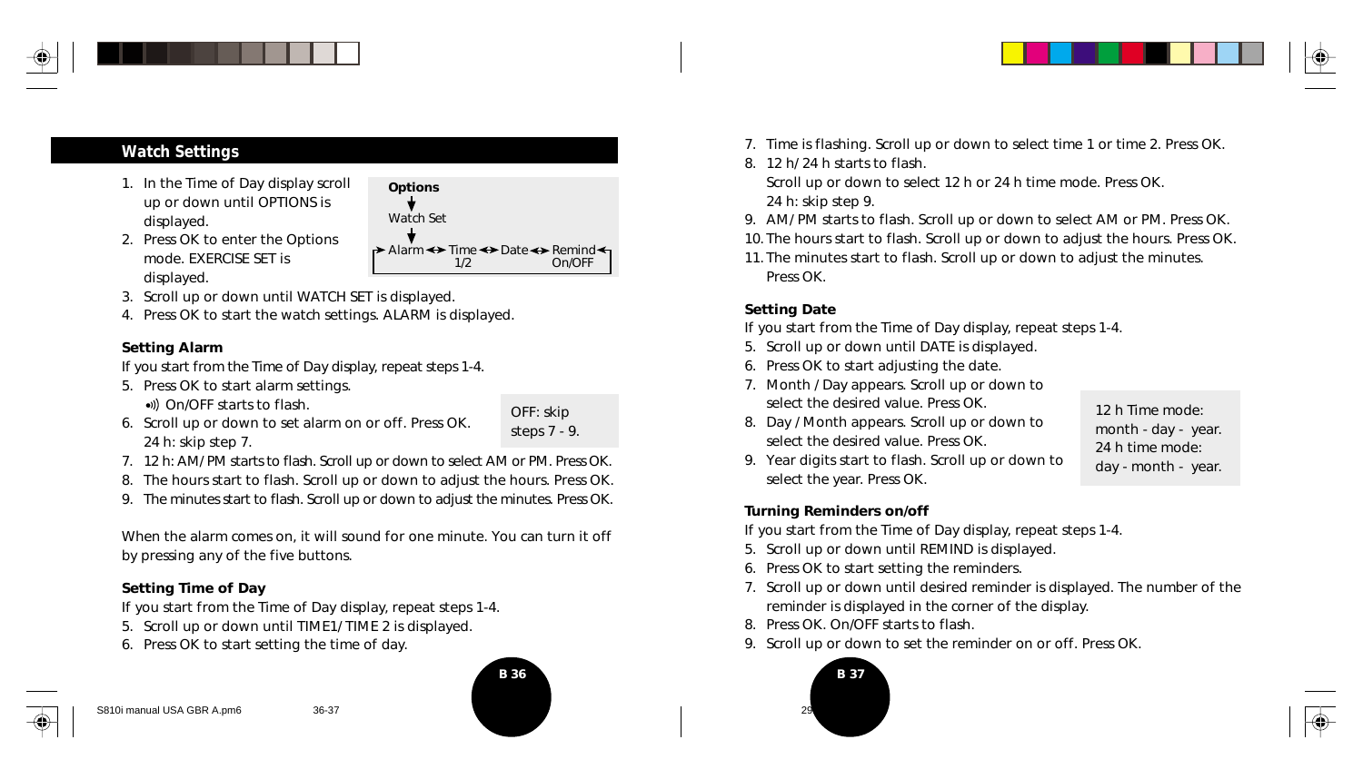

### **Watch Settings**

- 1. In the Time of Day display scroll up or down until OPTIONS is displayed.
- 2. Press OK to enter the Options mode. EXERCISE SET is displayed.



- 3. Scroll up or down until WATCH SET is displayed.
- 4. Press OK to start the watch settings. ALARM is displayed.

#### **Setting Alarm**

*If you start from the Time of Day display, repeat steps 1-4.*

5. Press OK to start alarm settings.

•)) On/OFF starts to flash.

- 6. Scroll up or down to set alarm on or off. Press OK. 24 h: skip step 7.
- OFF: skip steps 7 - 9.
- 7. 12 h: AM/ PM starts to flash. Scroll up or down to select AM or PM. Press OK.
- 8. The hours start to flash. Scroll up or down to adjust the hours. Press OK.
- 9. The minutes start to flash. Scroll up or down to adjust the minutes. Press OK.

When the alarm comes on, it will sound for one minute. You can turn it off by pressing any of the five buttons.

#### **Setting Time of Day**

*If you start from the Time of Day display, repeat steps 1-4.*

- 5. Scroll up or down until TIME1/ TIME 2 is displayed.
- 6. Press OK to start setting the time of day.





- 7. Time is flashing. Scroll up or down to select time 1 or time 2. Press OK.
- 8. 12 h/ 24 h starts to flash.

Scroll up or down to select 12 h or 24 h time mode. Press OK. 24 h: skip step 9.

- 9. AM/ PM starts to flash. Scroll up or down to select AM or PM. Press OK.
- 10. The hours start to flash. Scroll up or down to adjust the hours. Press OK.
- 11. The minutes start to flash. Scroll up or down to adjust the minutes. Press OK.

#### **Setting Date**

*If you start from the Time of Day display, repeat steps 1-4.*

- 5. Scroll up or down until DATE is displayed.
- 6. Press OK to start adjusting the date.
- 7. Month / Day appears. Scroll up or down to select the desired value. Press OK.
- 8. Day / Month appears. Scroll up or down to select the desired value. Press OK.

12 h Time mode: month - day - year. 24 h time mode: day - month - year.

9. Year digits start to flash. Scroll up or down to select the year. Press OK.

#### **Turning Reminders on/off**

*If you start from the Time of Day display, repeat steps 1-4.*

- 5. Scroll up or down until REMIND is displayed.
- 6. Press OK to start setting the reminders.
- 7. Scroll up or down until desired reminder is displayed. The number of the reminder is displayed in the corner of the display.
- 8. Press OK. On/OFF starts to flash.
- 9. Scroll up or down to set the reminder on or off. Press OK.



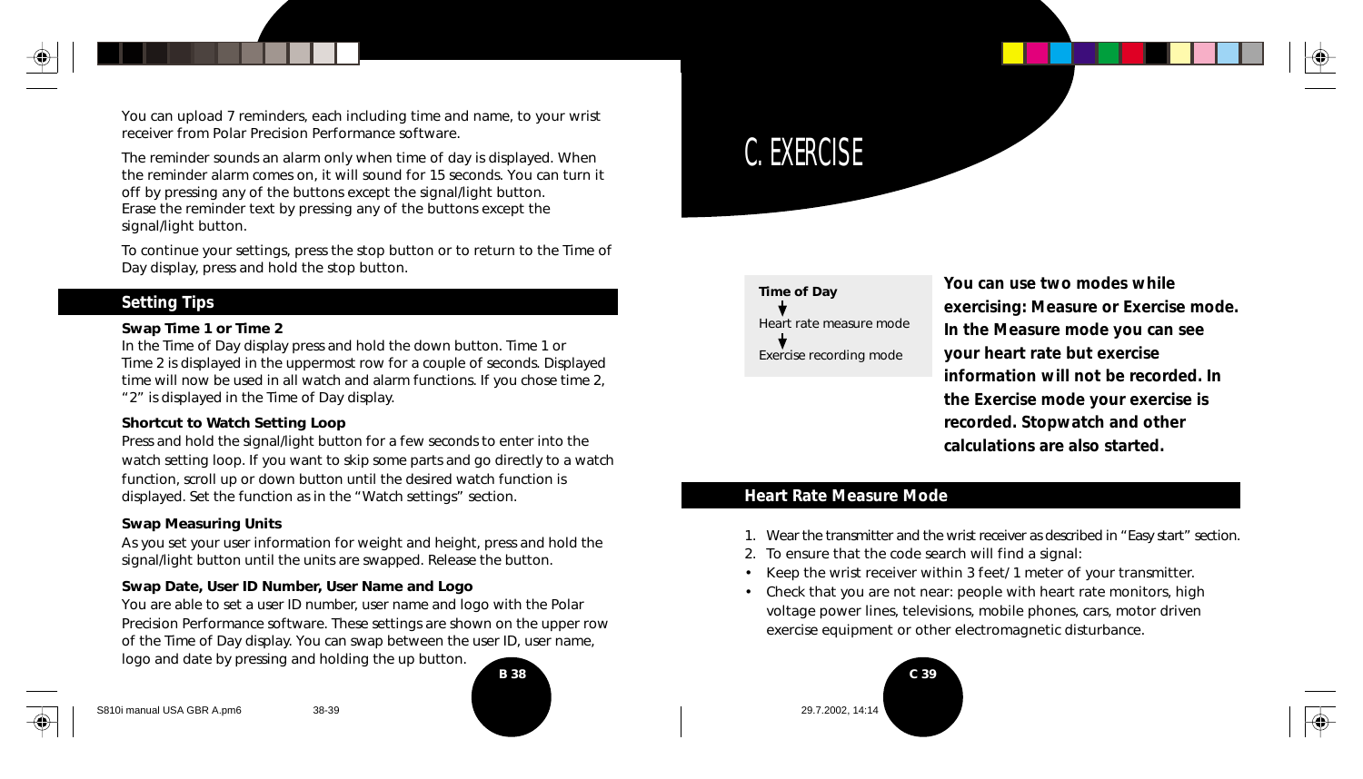You can upload 7 reminders, each including time and name, to your wrist receiver from Polar Precision Performance software.

The reminder sounds an alarm only when time of day is displayed. When the reminder alarm comes on, it will sound for 15 seconds. You can turn it off by pressing any of the buttons except the signal/light button. Erase the reminder text by pressing any of the buttons except the signal/light button.

To continue your settings, press the stop button or to return to the Time of Day display, press and hold the stop button.

#### **Setting Tips**

#### **Swap Time 1 or Time 2**

In the Time of Day display press and hold the down button. Time 1 or Time 2 is displayed in the uppermost row for a couple of seconds. Displayed time will now be used in all watch and alarm functions. If you chose time 2, "2" is displayed in the Time of Day display.

#### **Shortcut to Watch Setting Loop**

Press and hold the signal/light button for a few seconds to enter into the watch setting loop. If you want to skip some parts and go directly to a watch function, scroll up or down button until the desired watch function is displayed. Set the function as in the "Watch settings" section.

#### **Swap Measuring Units**

As you set your user information for weight and height, press and hold the signal/light button until the units are swapped. Release the button.

#### **Swap Date, User ID Number, User Name and Logo**

You are able to set a user ID number, user name and logo with the Polar Precision Performance software. These settings are shown on the upper row of the Time of Day display. You can swap between the user ID, user name, logo and date by pressing and holding the up button.





C. EXERCISE

**You can use two modes while exercising: Measure or Exercise mode. In the Measure mode you can see your heart rate but exercise information will not be recorded. In the Exercise mode your exercise is recorded. Stopwatch and other calculations are also started.**

#### **Heart Rate Measure Mode**

- 1. Wear the transmitter and the wrist receiver as described in "Easy start" section.
- 2. To ensure that the code search will find a signal:
- Keep the wrist receiver within 3 feet/ 1 meter of your transmitter.
- Check that you are not near: people with heart rate monitors, high voltage power lines, televisions, mobile phones, cars, motor driven exercise equipment or other electromagnetic disturbance.

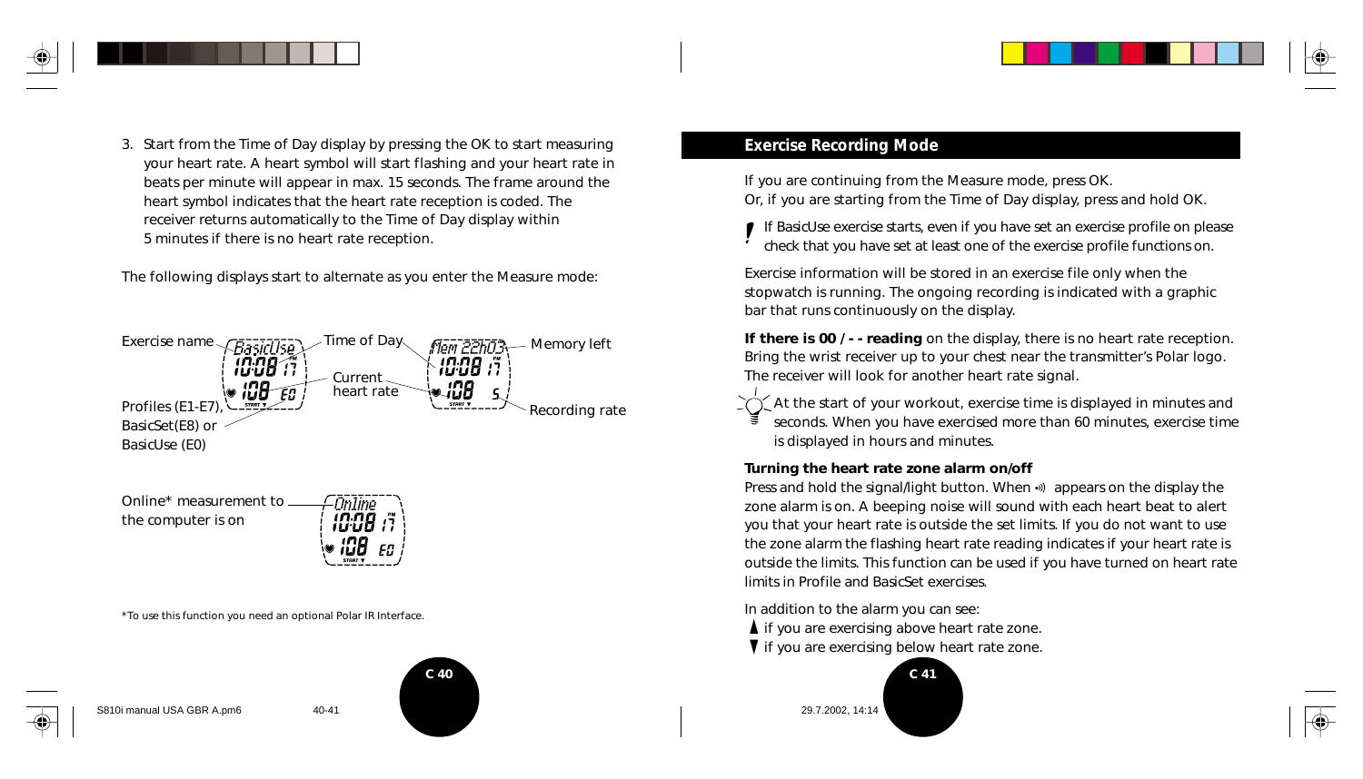

3. Start from the Time of Day display by pressing the OK to start measuring your heart rate. A heart symbol will start flashing and your heart rate in beats per minute will appear in max. 15 seconds. The frame around the heart symbol indicates that the heart rate reception is coded. The receiver returns automatically to the Time of Day display within 5 minutes if there is no heart rate reception.

The following displays start to alternate as you enter the Measure mode:





\*To use this function you need an optional Polar IR Interface.





#### **Exercise Recording Mode**

*If you are continuing from the Measure mode, press OK. Or, if you are starting from the Time of Day display, press and hold OK.*

If BasicUse exercise starts, even if you have set an exercise profile on please check that you have set at least one of the exercise profile functions on.

Exercise information will be stored in an exercise file only when the stopwatch is running. The ongoing recording is indicated with a graphic bar that runs continuously on the display.

**If there is 00 / - - reading** on the display, there is no heart rate reception. Bring the wrist receiver up to your chest near the transmitter's Polar logo. The receiver will look for another heart rate signal.

 $\dot{\gamma}$  At the start of your workout, exercise time is displayed in minutes and seconds. When you have exercised more than 60 minutes, exercise time is displayed in hours and minutes.

#### **Turning the heart rate zone alarm on/off**

Press and hold the signal/light button. When  $\cdot$ ) appears on the display the zone alarm is on. A beeping noise will sound with each heart beat to alert you that your heart rate is outside the set limits. If you do not want to use the zone alarm the flashing heart rate reading indicates if your heart rate is outside the limits. This function can be used if you have turned on heart rate limits in Profile and BasicSet exercises.

In addition to the alarm you can see:

- $\blacktriangle$  if you are exercising above heart rate zone.
- **V** if you are exercising below heart rate zone.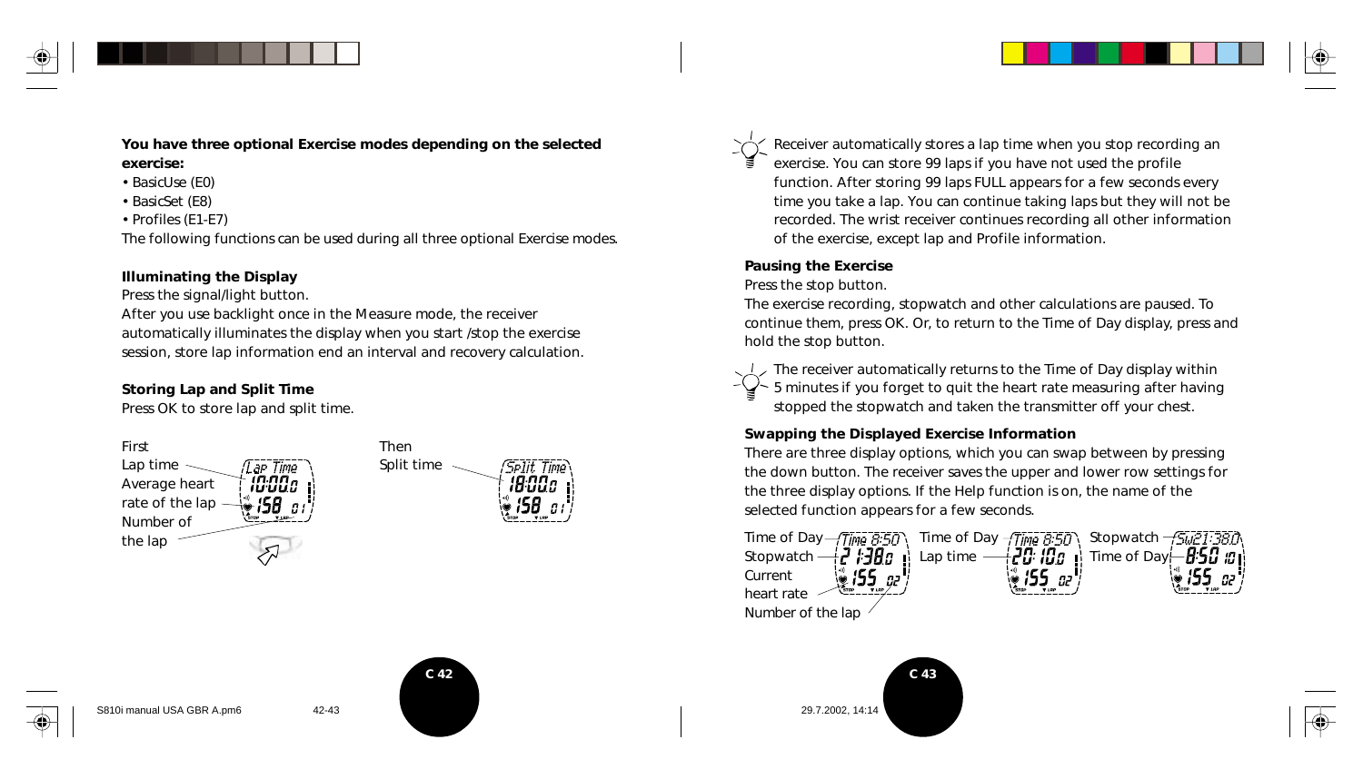



**You have three optional Exercise modes depending on the selected exercise:**

- BasicUse (E0)
- BasicSet (E8)
- Profiles (E1-E7)

The following functions can be used during all three optional Exercise modes.

#### **Illuminating the Display**

Press the signal/light button.

After you use backlight once in the Measure mode, the receiver automatically illuminates the display when you start /stop the exercise session, store lap information end an interval and recovery calculation.

#### **Storing Lap and Split Time**

Press OK to store lap and split time.





Receiver automatically stores a lap time when you stop recording an exercise. You can store 99 laps if you have not used the profile function. After storing 99 laps FULL appears for a few seconds every time you take a lap. You can continue taking laps but they will not be recorded. The wrist receiver continues recording all other information of the exercise, except lap and Profile information.

#### **Pausing the Exercise**

#### Press the stop button.

The exercise recording, stopwatch and other calculations are paused. To continue them, press OK. Or, to return to the Time of Day display, press and hold the stop button.



The receiver automatically returns to the Time of Day display within 5 minutes if you forget to quit the heart rate measuring after having stopped the stopwatch and taken the transmitter off your chest.

#### **Swapping the Displayed Exercise Information**

There are three display options, which you can swap between by pressing the down button. The receiver saves the upper and lower row settings for the three display options. If the Help function is on, the name of the selected function appears for a few seconds.







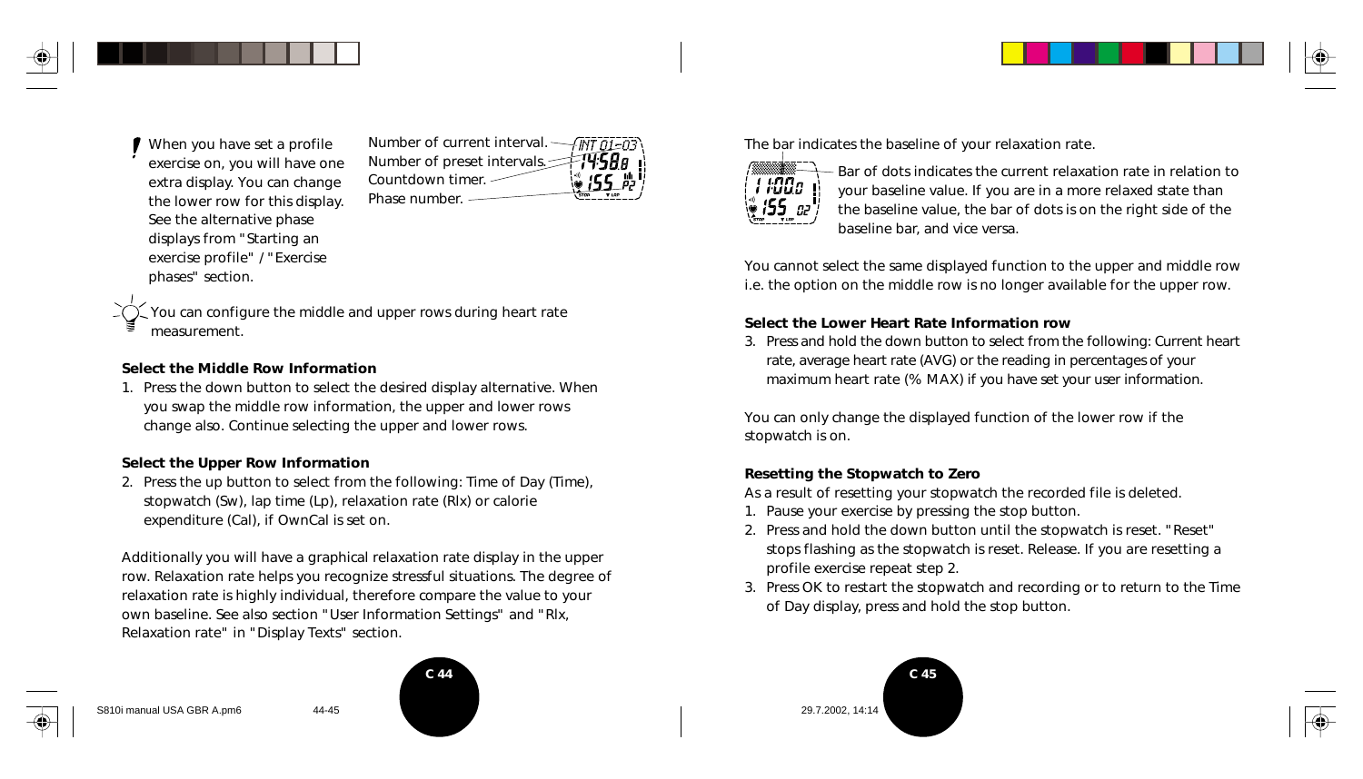When you have set a profile exercise on, you will have one extra display. You can change the lower row for this display. See the alternative phase displays from "Starting an exercise profile" / "Exercise phases" section.



You can configure the middle and upper rows during heart rate measurement.

#### **Select the Middle Row Information**

1. Press the down button to select the desired display alternative. When you swap the middle row information, the upper and lower rows change also. Continue selecting the upper and lower rows.

#### **Select the Upper Row Information**

2. Press the up button to select from the following: Time of Day (Time), stopwatch (Sw), lap time (Lp), relaxation rate (Rlx) or calorie expenditure (Cal), if OwnCal is set on.

Additionally you will have a graphical relaxation rate display in the upper row. Relaxation rate helps you recognize stressful situations. The degree of relaxation rate is highly individual, therefore compare the value to your own baseline. See also section "User Information Settings" and "Rlx, Relaxation rate" in "Display Texts" section.



The bar indicates the baseline of your relaxation rate.



Bar of dots indicates the current relaxation rate in relation to your baseline value. If you are in a more relaxed state than the baseline value, the bar of dots is on the right side of the baseline bar, and vice versa.

You cannot select the same displayed function to the upper and middle row i.e. the option on the middle row is no longer available for the upper row.

#### **Select the Lower Heart Rate Information row**

3. Press and hold the down button to select from the following: Current heart rate, average heart rate (AVG) or the reading in percentages of your maximum heart rate (% MAX) if you have set your user information.

You can only change the displayed function of the lower row if the stopwatch is on.

#### **Resetting the Stopwatch to Zero**

As a result of resetting your stopwatch the recorded file is deleted.

- 1. Pause your exercise by pressing the stop button.
- 2. Press and hold the down button until the stopwatch is reset. "Reset" stops flashing as the stopwatch is reset. Release. If you are resetting a profile exercise repeat step 2.
- 3. Press OK to restart the stopwatch and recording or to return to the Time of Day display, press and hold the stop button.



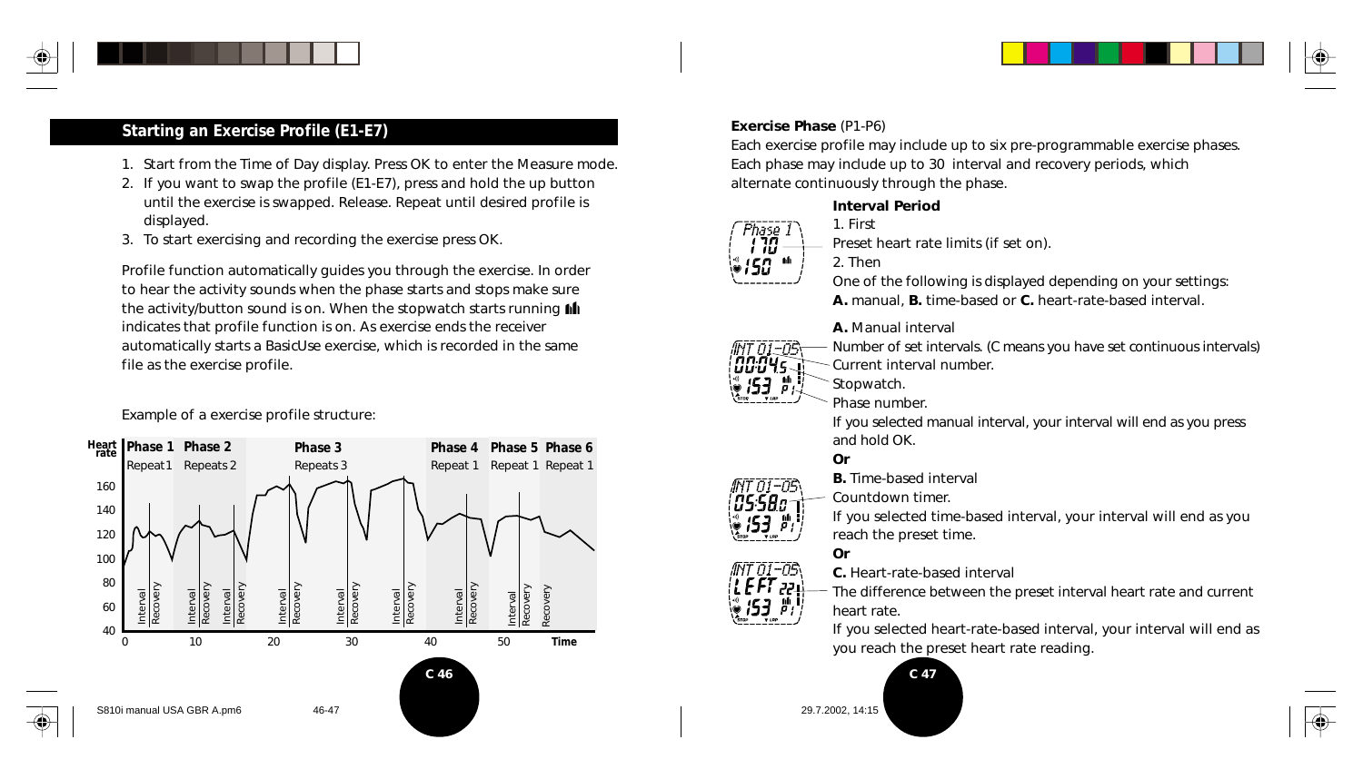

## **Starting an Exercise Profile (E1-E7)**

- 1. Start from the Time of Day display. Press OK to enter the Measure mode.
- 2. If you want to swap the profile (E1-E7), press and hold the up button until the exercise is swapped. Release. Repeat until desired profile is displayed.
- 3. To start exercising and recording the exercise press OK.

Profile function automatically guides you through the exercise. In order to hear the activity sounds when the phase starts and stops make sure the activity/button sound is on. When the stopwatch starts running  $\mathbf{f}$ indicates that profile function is on. As exercise ends the receiver automatically starts a BasicUse exercise, which is recorded in the same file as the exercise profile.

Example of a exercise profile structure:



#### **Exercise Phase** (P1-P6)

Each exercise profile may include up to six pre-programmable exercise phases. Each phase may include up to 30 interval and recovery periods, which alternate continuously through the phase.

#### **Interval Period**



1. First Preset heart rate limits (if set on).

2. Then

One of the following is displayed depending on your settings: **A.** manual, **B.** time-based or **C.** heart-rate-based interval.

#### **A.** Manual interval



הה-זה־

Number of set intervals. (C means you have set continuous intervals) Current interval number.

Stopwatch.

Phase number.

If you selected manual interval, your interval will end as you press and hold OK.

#### **Or**

**B.** Time-based interval

Countdown timer.

If you selected time-based interval, your interval will end as you reach the preset time.

#### **Or**



The difference between the preset interval heart rate and current heart rate.

If you selected heart-rate-based interval, your interval will end as you reach the preset heart rate reading.

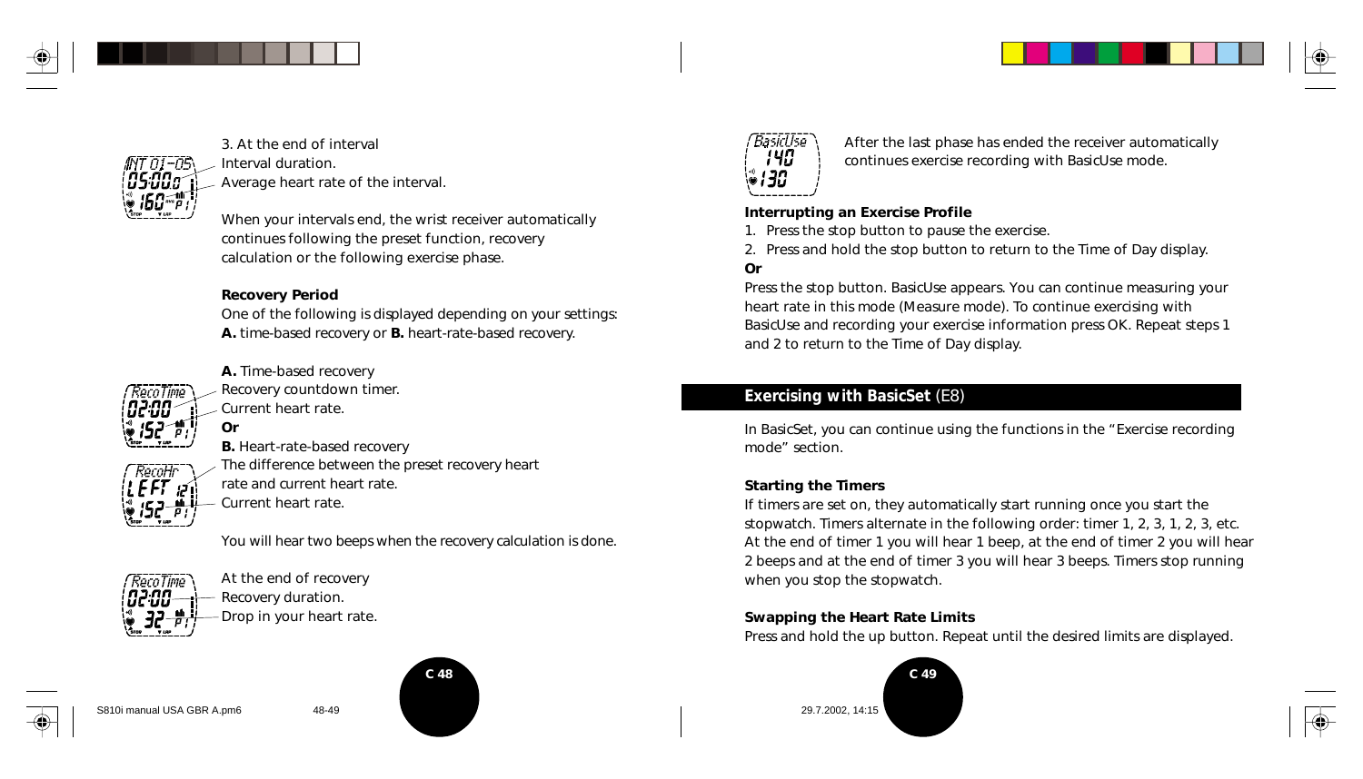



3. At the end of interval Interval duration. Average heart rate of the interval.

When your intervals end, the wrist receiver automatically continues following the preset function, recovery calculation or the following exercise phase.

#### **Recovery Period**

One of the following is displayed depending on your settings: **A.** time-based recovery or **B.** heart-rate-based recovery.



RecoHr  $FFT:$  **A.** Time-based recovery Recovery countdown timer. Current heart rate. **Or**

**B.** Heart-rate-based recovery The difference between the preset recovery heart rate and current heart rate. Current heart rate.

You will hear two beeps when the recovery calculation is done.



At the end of recovery Recovery duration. Drop in your heart rate.







After the last phase has ended the receiver automatically continues exercise recording with BasicUse mode.

#### **Interrupting an Exercise Profile**

- 1. Press the stop button to pause the exercise.
- 2. Press and hold the stop button to return to the Time of Day display.

#### **Or**

Press the stop button. BasicUse appears. You can continue measuring your heart rate in this mode (Measure mode). To continue exercising with BasicUse and recording your exercise information press OK. Repeat steps 1 and 2 to return to the Time of Day display.

### **Exercising with BasicSet** (E8)

In BasicSet, you can continue using the functions in the "Exercise recording mode" section.

#### **Starting the Timers**

If timers are set on, they automatically start running once you start the stopwatch. Timers alternate in the following order: timer 1, 2, 3, 1, 2, 3, etc. At the end of timer 1 you will hear 1 beep, at the end of timer 2 you will hear 2 beeps and at the end of timer 3 you will hear 3 beeps. Timers stop running when you stop the stopwatch.

#### **Swapping the Heart Rate Limits**

Press and hold the up button. Repeat until the desired limits are displayed.





S810i manual USA GBR A.pm6 48-49 29.7.2002, 14:15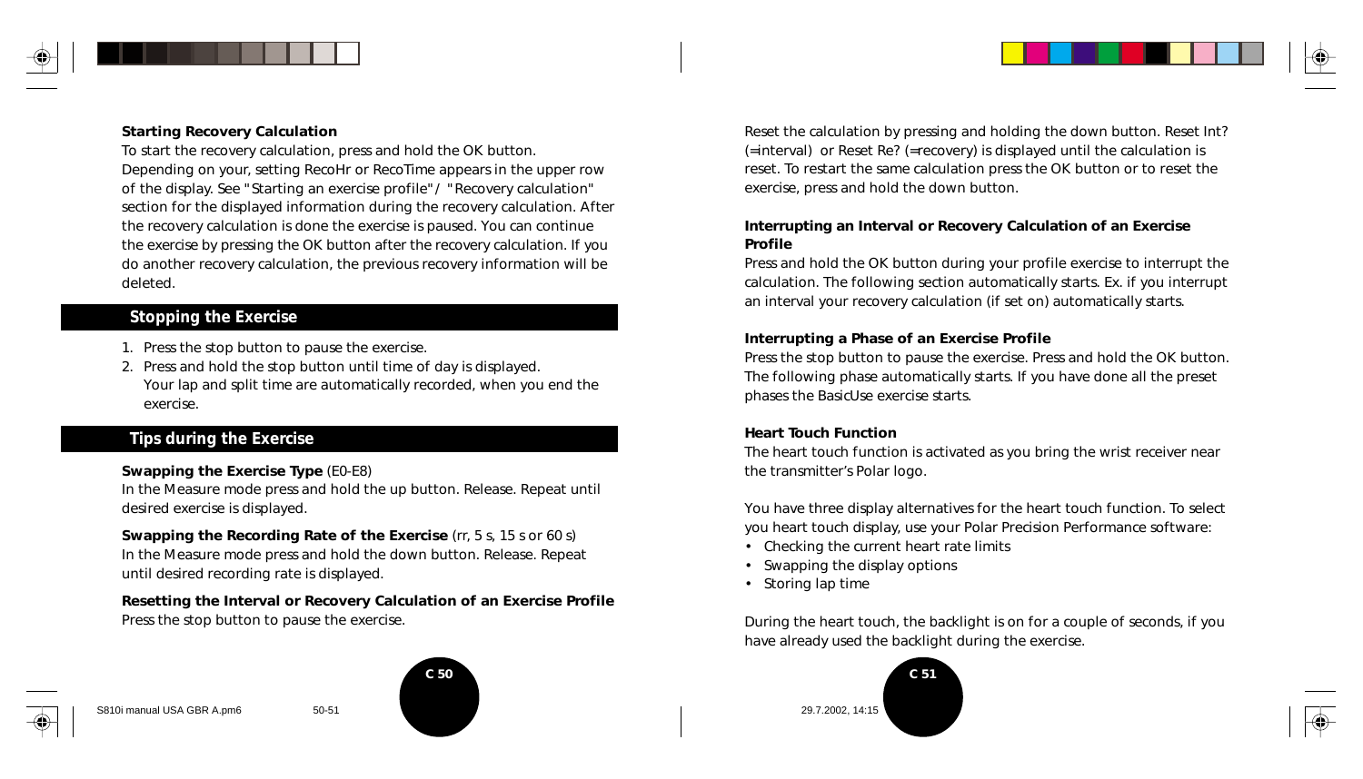

#### **Starting Recovery Calculation**

To start the recovery calculation, press and hold the OK button. Depending on your, setting RecoHr or RecoTime appears in the upper row of the display. See "Starting an exercise profile"/ "Recovery calculation" section for the displayed information during the recovery calculation. After the recovery calculation is done the exercise is paused. You can continue the exercise by pressing the OK button after the recovery calculation. If you do another recovery calculation, the previous recovery information will be deleted.

#### **Stopping the Exercise**

- 1. Press the stop button to pause the exercise.
- 2. Press and hold the stop button until time of day is displayed. Your lap and split time are automatically recorded, when you end the exercise.

#### **Tips during the Exercise**

#### **Swapping the Exercise Type** (E0-E8)

In the Measure mode press and hold the up button. Release. Repeat until desired exercise is displayed.

**Swapping the Recording Rate of the Exercise** (rr, 5 s, 15 s or 60 s) In the Measure mode press and hold the down button. Release. Repeat until desired recording rate is displayed.

**Resetting the Interval or Recovery Calculation of an Exercise Profile** Press the stop button to pause the exercise.



S810i manual USA GBR A.pm6 50-51 29.7.2002, 14:15

Reset the calculation by pressing and holding the down button. Reset Int? (=interval) or Reset Re? (=recovery) is displayed until the calculation is reset. To restart the same calculation press the OK button or to reset the exercise, press and hold the down button.

#### **Interrupting an Interval or Recovery Calculation of an Exercise Profile**

Press and hold the OK button during your profile exercise to interrupt the calculation. The following section automatically starts. Ex. if you interrupt an interval your recovery calculation (if set on) automatically starts.

#### **Interrupting a Phase of an Exercise Profile**

Press the stop button to pause the exercise. Press and hold the OK button. The following phase automatically starts. If you have done all the preset phases the BasicUse exercise starts.

#### **Heart Touch Function**

The heart touch function is activated as you bring the wrist receiver near the transmitter's Polar logo.

You have three display alternatives for the heart touch function. To select you heart touch display, use your Polar Precision Performance software:

- Checking the current heart rate limits
- Swapping the display options
- Storing lap time

During the heart touch, the backlight is on for a couple of seconds, if you have already used the backlight during the exercise.



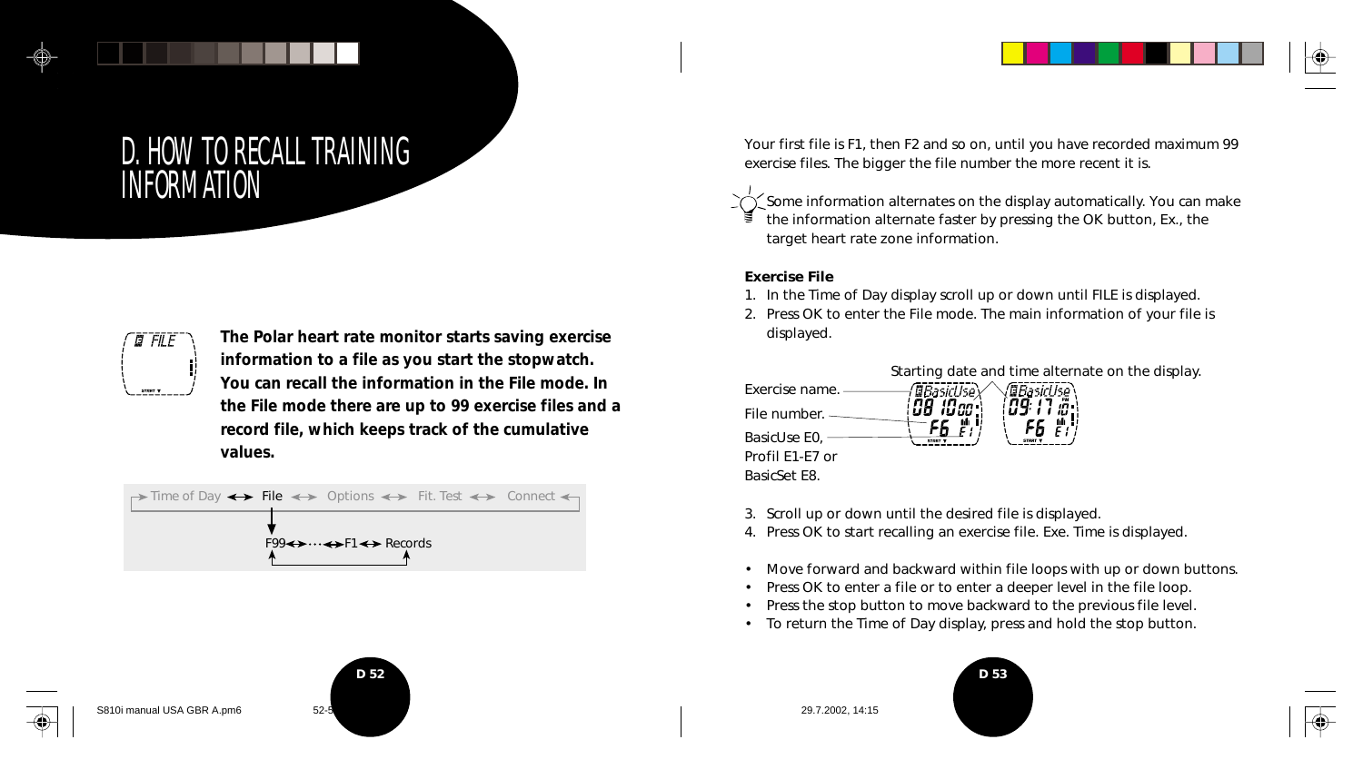# D. HOW TO RECALL TRAINING INFORMATION



**The Polar heart rate monitor starts saving exercise information to a file as you start the stopwatch. You can recall the information in the File mode. In the File mode there are up to 99 exercise files and a record file, which keeps track of the cumulative values.**



Your first file is F1, then F2 and so on, until you have recorded maximum 99 exercise files. The bigger the file number the more recent it is.

Some information alternates on the display automatically. You can make the information alternate faster by pressing the OK button, Ex., the target heart rate zone information.

#### **Exercise File**

- 1. In the Time of Day display scroll up or down until FILE is displayed.
- 2. Press OK to enter the File mode. The main information of your file is displayed.



- 3. Scroll up or down until the desired file is displayed.
- 4. Press OK to start recalling an exercise file. Exe. Time is displayed.
- Move forward and backward within file loops with up or down buttons.
- Press OK to enter a file or to enter a deeper level in the file loop.
- Press the stop button to move backward to the previous file level.
- To return the Time of Day display, press and hold the stop button.





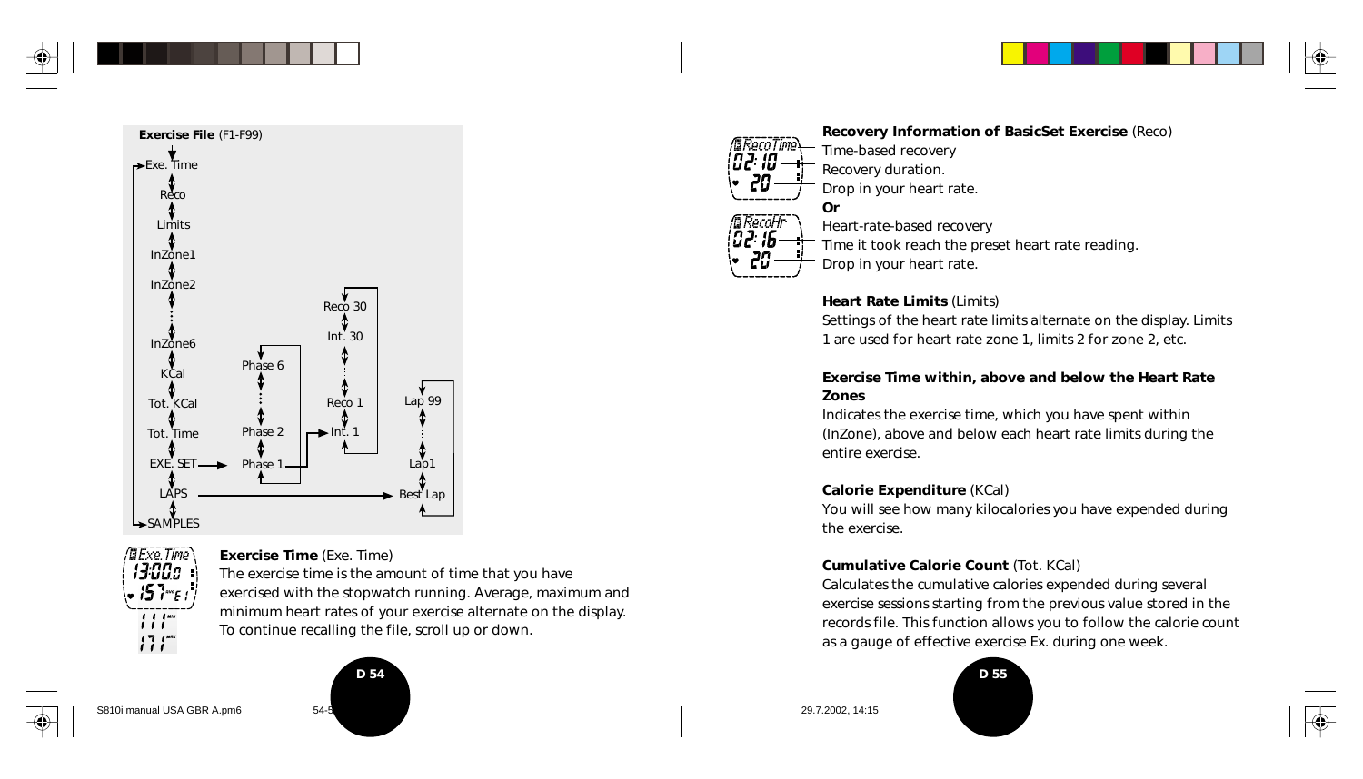





**Exercise Time** (Exe. Time)

The exercise time is the amount of time that you have exercised with the stopwatch running. Average, maximum and minimum heart rates of your exercise alternate on the display. To continue recalling the file, scroll up or down.



*02: 10* Recovery duration. **Or** /@RecoHr<br>|02: 16 -

**Recovery Information of BasicSet Exercise** (Reco) Time-based recovery

Drop in your heart rate.

Heart-rate-based recovery Time it took reach the preset heart rate reading. Drop in your heart rate.

#### **Heart Rate Limits** (Limits)

Settings of the heart rate limits alternate on the display. Limits 1 are used for heart rate zone 1, limits 2 for zone 2, etc.

#### **Exercise Time within, above and below the Heart Rate Zones**

Indicates the exercise time, which you have spent within (InZone), above and below each heart rate limits during the entire exercise.

#### **Calorie Expenditure** (KCal)

You will see how many kilocalories you have expended during the exercise.

#### **Cumulative Calorie Count** (Tot. KCal)

Calculates the cumulative calories expended during several exercise sessions starting from the previous value stored in the records file. This function allows you to follow the calorie count as a gauge of effective exercise Ex. during one week.



S810i manual USA GBR A.pm6 54-5 54-5 **54-5** 29.7.2002, 14:15 29.7.2002, 14:15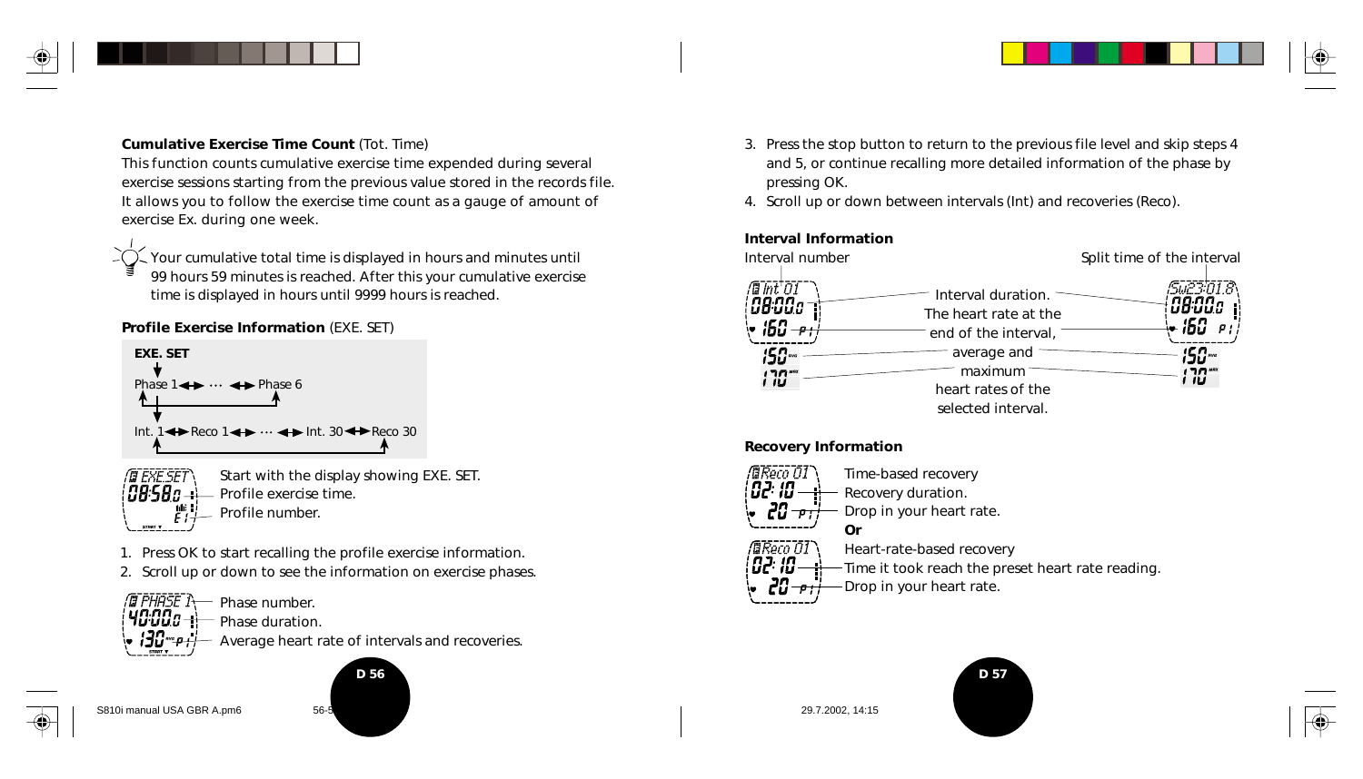

#### **Cumulative Exercise Time Count** (Tot. Time)

This function counts cumulative exercise time expended during several exercise sessions starting from the previous value stored in the records file. It allows you to follow the exercise time count as a gauge of amount of exercise Ex. during one week.

Your cumulative total time is displayed in hours and minutes until 99 hours 59 minutes is reached. After this your cumulative exercise time is displayed in hours until 9999 hours is reached.

#### **Profile Exercise Information** (EXE. SET)



- rt exe set Start with the display showing EXE. SET.  ${\it \emph{BB-SB}}$   ${\it n}$   ${\it \emph{}}$ Profile exercise time. Profile number.
- 1. Press OK to start recalling the profile exercise information.
- 2. Scroll up or down to see the information on exercise phases.

NT PHASE TY - Phase number. นต.ตต 40'OOD - H Phase duration. Average heart rate of intervals and recoveries. iJu

S810i manual USA GBR A.pm6 56-5<br>
56-5<br>
56-5

- 3. Press the stop button to return to the previous file level and skip steps 4 and 5, or continue recalling more detailed information of the phase by pressing OK.
- 4. Scroll up or down between intervals (Int) and recoveries (Reco).

#### **Interval Information**



#### **Recovery Information**



Time it took reach the preset heart rate reading.

Drop in your heart rate.

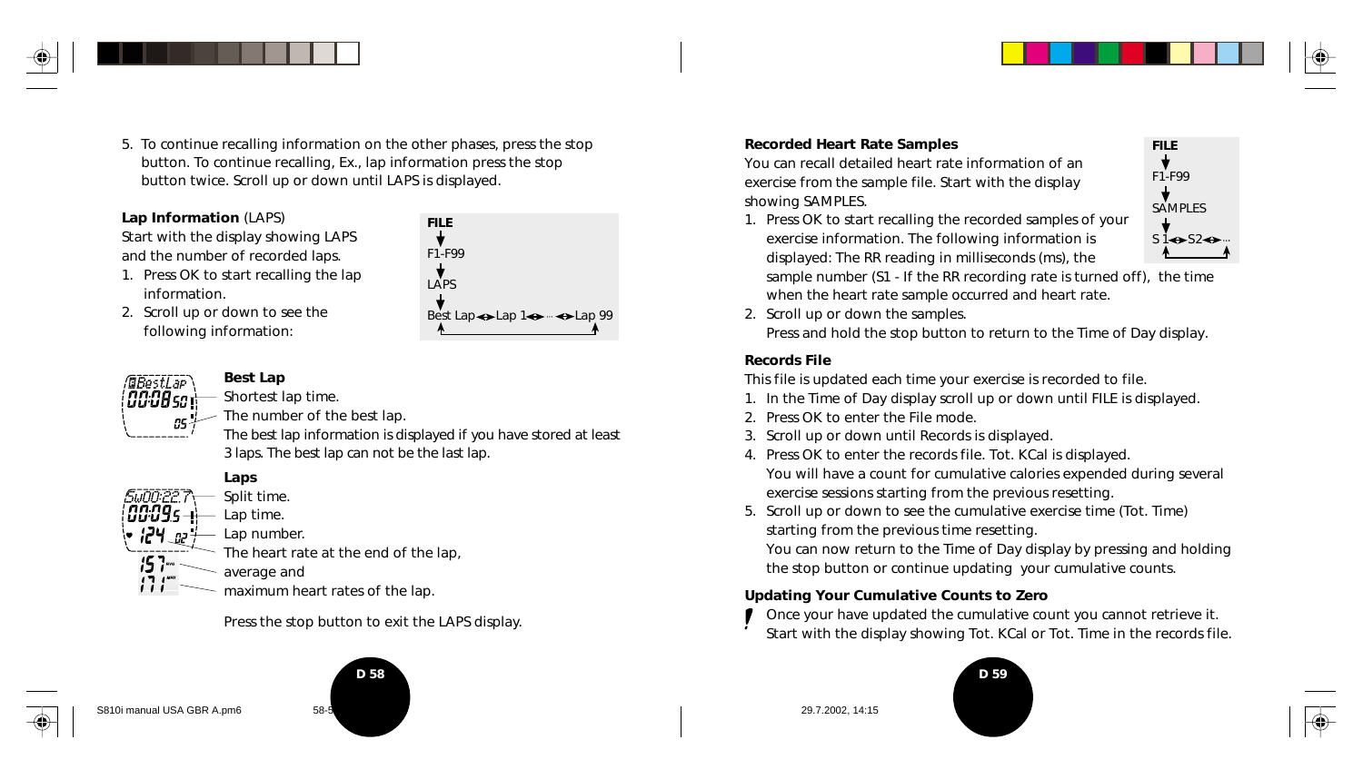- 5. To continue recalling information on the other phases, press the stop
	- button. To continue recalling, Ex., lap information press the stop button twice. Scroll up or down until LAPS is displayed.

#### **Lap Information** (LAPS)

Start with the display showing LAPS and the number of recorded laps.

- 1. Press OK to start recalling the lap information.
- 2. Scroll up or down to see the following information:





#### **Best Lap** Shortest lap time.

The number of the best lap.

The best lap information is displayed if you have stored at least 3 laps. The best lap can not be the last lap.



The heart rate at the end of the lap,

average and

maximum heart rates of the lap.

Press the stop button to exit the LAPS display.

# **D 58 D 59**





**Recorded Heart Rate Samples**

You can recall detailed heart rate information of an exercise from the sample file. Start with the display showing SAMPLES.

1. Press OK to start recalling the recorded samples of your exercise information. The following information is displayed: The RR reading in milliseconds (ms), the sample number (S1 - If the RR recording rate is turned off), the time

**FILE** F1-F99 SAMPLES  $s1 \Leftrightarrow s2 \Leftrightarrow$ 

when the heart rate sample occurred and heart rate. 2. Scroll up or down the samples.

Press and hold the stop button to return to the Time of Day display.

#### **Records File**

This file is updated each time your exercise is recorded to file.

- 1. In the Time of Day display scroll up or down until FILE is displayed.
- 2. Press OK to enter the File mode.
- 3. Scroll up or down until Records is displayed.
- 4. Press OK to enter the records file. Tot. KCal is displayed. You will have a count for cumulative calories expended during several exercise sessions starting from the previous resetting.
- 5. Scroll up or down to see the cumulative exercise time (Tot. Time) starting from the previous time resetting.

You can now return to the Time of Day display by pressing and holding the stop button or continue updating your cumulative counts.

#### **Updating Your Cumulative Counts to Zero**

Once your have updated the cumulative count you cannot retrieve it. Start with the display showing Tot. KCal or Tot. Time in the records file.



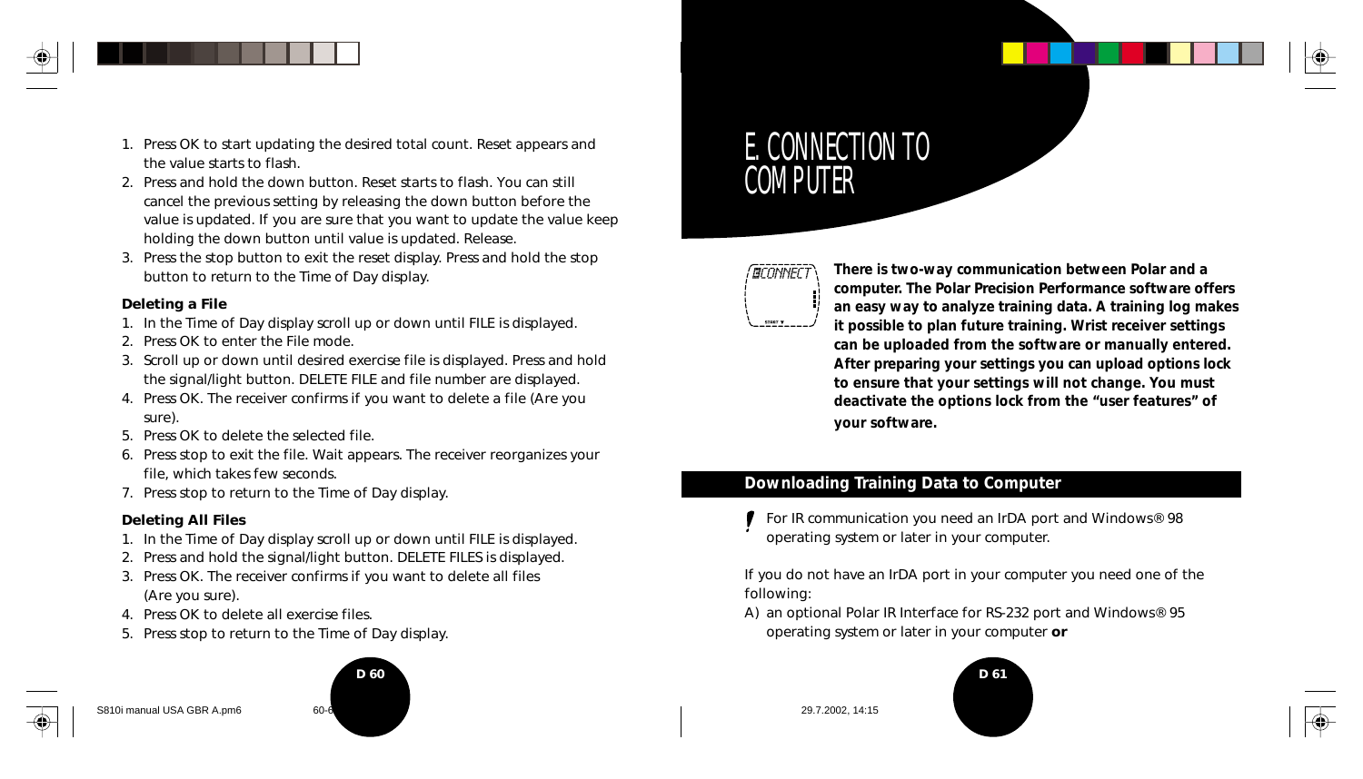

- 1. Press OK to start updating the desired total count. Reset appears and the value starts to flash.
- 2. Press and hold the down button. Reset starts to flash. You can still cancel the previous setting by releasing the down button before the value is updated. If you are sure that you want to update the value keep holding the down button until value is updated. Release.
- 3. Press the stop button to exit the reset display. Press and hold the stop button to return to the Time of Day display.

#### **Deleting a File**

- 1. In the Time of Day display scroll up or down until FILE is displayed.
- 2. Press OK to enter the File mode.
- 3. Scroll up or down until desired exercise file is displayed. Press and hold the signal/light button. DELETE FILE and file number are displayed.
- 4. Press OK. The receiver confirms if you want to delete a file (Are you sure).
- 5. Press OK to delete the selected file.
- 6. Press stop to exit the file. Wait appears. The receiver reorganizes your file, which takes few seconds.
- 7. Press stop to return to the Time of Day display.

#### **Deleting All Files**

- 1. In the Time of Day display scroll up or down until FILE is displayed.
- 2. Press and hold the signal/light button. DELETE FILES is displayed.
- 3. Press OK. The receiver confirms if you want to delete all files (Are you sure).
- 4. Press OK to delete all exercise files.
- 5. Press stop to return to the Time of Day display.

# **D 60 D** 60

#### S810i manual USA GBR A.pm6 60-6 60-61 29.7.2002, 14:15

# E. CONNECTION TO **COMPUTER**

## **GCONNECT**

**There is two-way communication between Polar and a computer. The Polar Precision Performance software offers an easy way to analyze training data. A training log makes it possible to plan future training. Wrist receiver settings can be uploaded from the software or manually entered. After preparing your settings you can upload options lock to ensure that your settings will not change. You must deactivate the options lock from the "user features" of your software.**

## **Downloading Training Data to Computer**

For IR communication you need an IrDA port and Windows® 98 operating system or later in your computer.

If you do not have an IrDA port in your computer you need one of the following:

A) an optional Polar IR Interface for RS-232 port and Windows® 95 operating system or later in your computer **or**



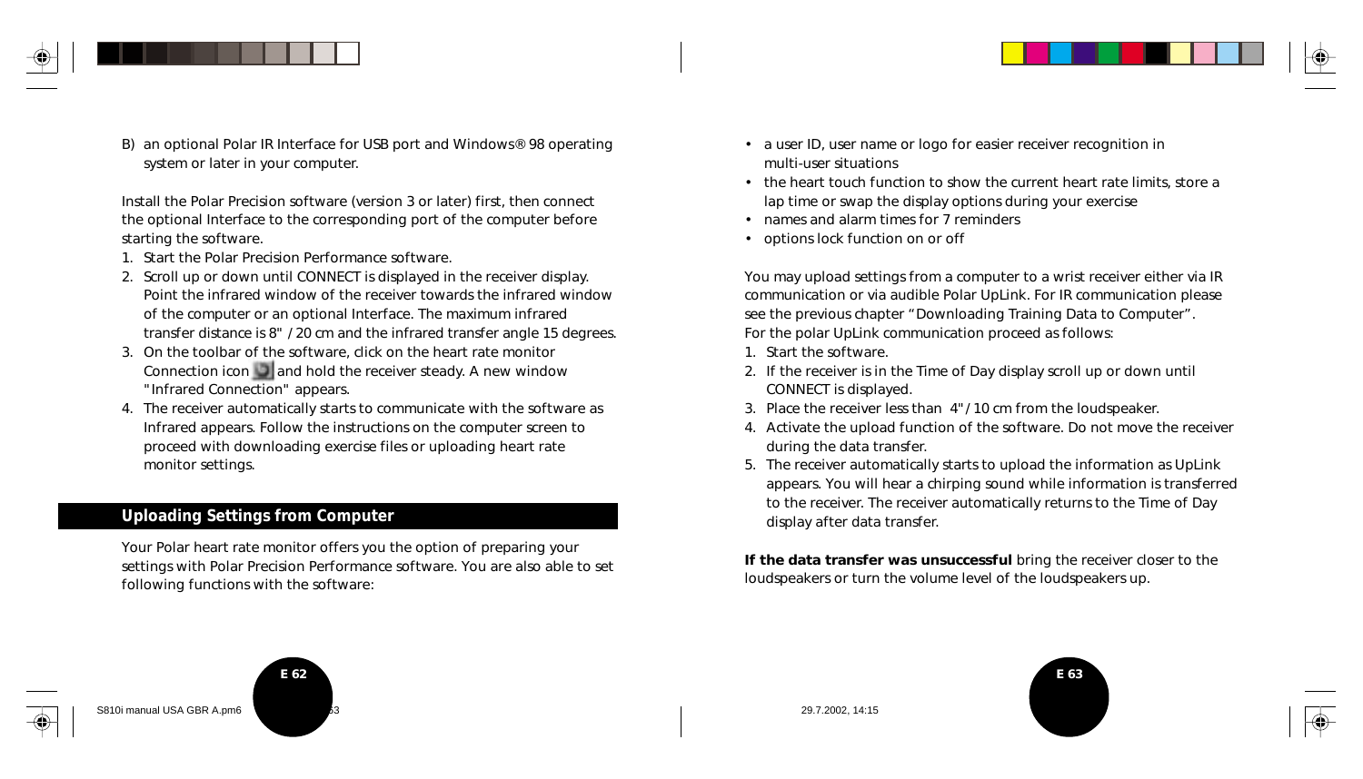

B) an optional Polar IR Interface for USB port and Windows® 98 operating system or later in your computer.

Install the Polar Precision software (version 3 or later) first, then connect the optional Interface to the corresponding port of the computer before starting the software.

- 1. Start the Polar Precision Performance software.
- 2. Scroll up or down until CONNECT is displayed in the receiver display. Point the infrared window of the receiver towards the infrared window of the computer or an optional Interface. The maximum infrared transfer distance is 8" / 20 cm and the infrared transfer angle 15 degrees.
- 3. On the toolbar of the software, click on the heart rate monitor Connection icon  $\Box$  and hold the receiver steady. A new window "Infrared Connection" appears.
- 4. The receiver automatically starts to communicate with the software as Infrared appears. Follow the instructions on the computer screen to proceed with downloading exercise files or uploading heart rate monitor settings.

#### **Uploading Settings from Computer**

Your Polar heart rate monitor offers you the option of preparing your settings with Polar Precision Performance software. You are also able to set following functions with the software:

- a user ID, user name or logo for easier receiver recognition in multi-user situations
- the heart touch function to show the current heart rate limits, store a lap time or swap the display options during your exercise
- names and alarm times for 7 reminders
- options lock function on or off

You may upload settings from a computer to a wrist receiver either via IR communication or via audible Polar UpLink. For IR communication please see the previous chapter "Downloading Training Data to Computer". For the polar UpLink communication proceed as follows:

- 1. Start the software.
- 2. If the receiver is in the Time of Day display scroll up or down until CONNECT is displayed.
- 3. Place the receiver less than 4"/ 10 cm from the loudspeaker.
- 4. Activate the upload function of the software. Do not move the receiver during the data transfer.
- 5. The receiver automatically starts to upload the information as UpLink appears. You will hear a chirping sound while information is transferred to the receiver. The receiver automatically returns to the Time of Day display after data transfer.

**If the data transfer was unsuccessful** bring the receiver closer to the loudspeakers or turn the volume level of the loudspeakers up.







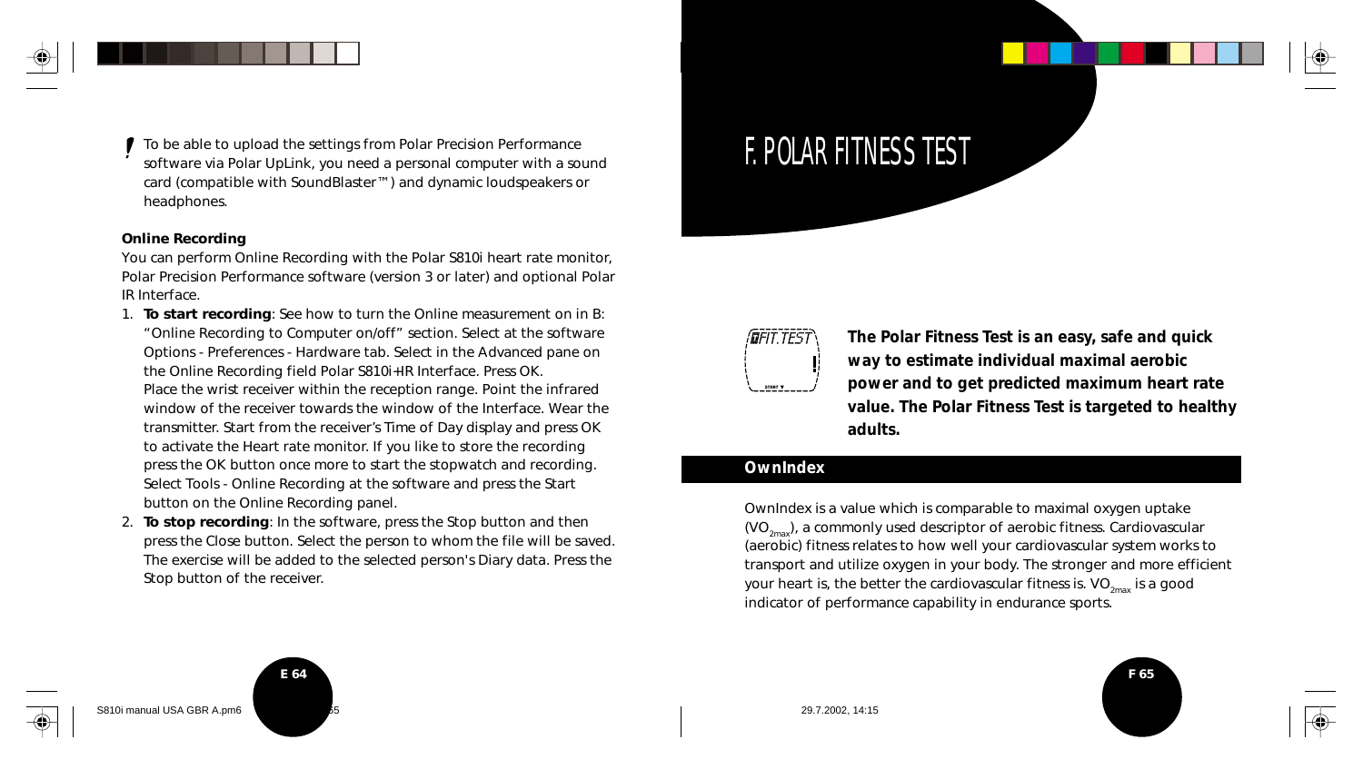To be able to upload the settings from Polar Precision Performance software via Polar UpLink, you need a personal computer with a sound card (compatible with SoundBlaster™) and dynamic loudspeakers or headphones.

#### **Online Recording**

You can perform Online Recording with the Polar S810i heart rate monitor, Polar Precision Performance software (version 3 or later) and optional Polar IR Interface.

- 1. **To start recording**: See how to turn the Online measurement on in B: "Online Recording to Computer on/off" section. Select at the software Options - Preferences - Hardware tab. Select in the Advanced pane on the Online Recording field Polar S810i+IR Interface. Press OK. Place the wrist receiver within the reception range. Point the infrared window of the receiver towards the window of the Interface. Wear the transmitter. Start from the receiver's Time of Day display and press OK to activate the Heart rate monitor. If you like to store the recording press the OK button once more to start the stopwatch and recording. Select Tools - Online Recording at the software and press the Start
- button on the Online Recording panel. 2. **To stop recording**: In the software, press the Stop button and then press the Close button. Select the person to whom the file will be saved. The exercise will be added to the selected person's Diary data. Press the Stop button of the receiver.

# F. POLAR FITNESS TEST



**The Polar Fitness Test is an easy, safe and quick way to estimate individual maximal aerobic power and to get predicted maximum heart rate value. The Polar Fitness Test is targeted to healthy adults.**

#### **OwnIndex**

OwnIndex is a value which is comparable to maximal oxygen uptake  $(VO_{2m}$ , a commonly used descriptor of aerobic fitness. Cardiovascular (aerobic) fitness relates to how well your cardiovascular system works to transport and utilize oxygen in your body. The stronger and more efficient your heart is, the better the cardiovascular fitness is.  $VO_{2mx}$  is a good indicator of performance capability in endurance sports.



S810i manual USA GBR A.pm6 65 29.7.2002, 14:15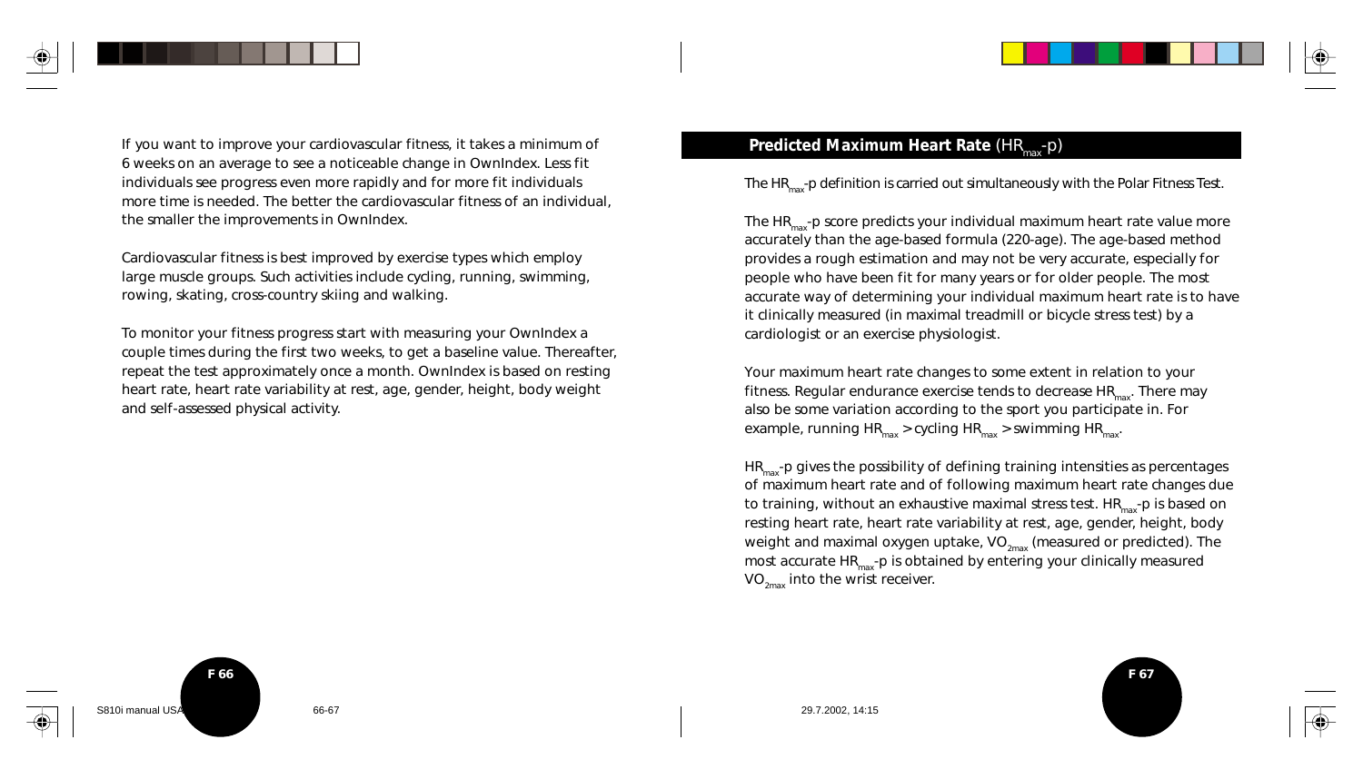

Cardiovascular fitness is best improved by exercise types which employ large muscle groups. Such activities include cycling, running, swimming, rowing, skating, cross-country skiing and walking.

To monitor your fitness progress start with measuring your OwnIndex a couple times during the first two weeks, to get a baseline value. Thereafter, repeat the test approximately once a month. OwnIndex is based on resting heart rate, heart rate variability at rest, age, gender, height, body weight and self-assessed physical activity.

The HR<sub>max</sub>-p definition is carried out simultaneously with the Polar Fitness Test.

The  $HR_{\text{max}}$ -p score predicts your individual maximum heart rate value more accurately than the age-based formula (220-age). The age-based method provides a rough estimation and may not be very accurate, especially for people who have been fit for many years or for older people. The most accurate way of determining your individual maximum heart rate is to have it clinically measured (in maximal treadmill or bicycle stress test) by a cardiologist or an exercise physiologist.

Your maximum heart rate changes to some extent in relation to your fitness. Regular endurance exercise tends to decrease  $HR_{\text{max}}$ . There may also be some variation according to the sport you participate in. For example, running  $HR_{max}$  > cycling  $HR_{max}$  > swimming  $HR_{max}$ .

 $HR_{\text{max}}$ -p gives the possibility of defining training intensities as percentages of maximum heart rate and of following maximum heart rate changes due to training, without an exhaustive maximal stress test.  $HR_{max}$ -p is based on resting heart rate, heart rate variability at rest, age, gender, height, body weight and maximal oxygen uptake,  $VO_{2m}$  (measured or predicted). The most accurate  $HR_{max}$ -p is obtained by entering your clinically measured  $VO_{2max}$  into the wrist receiver.

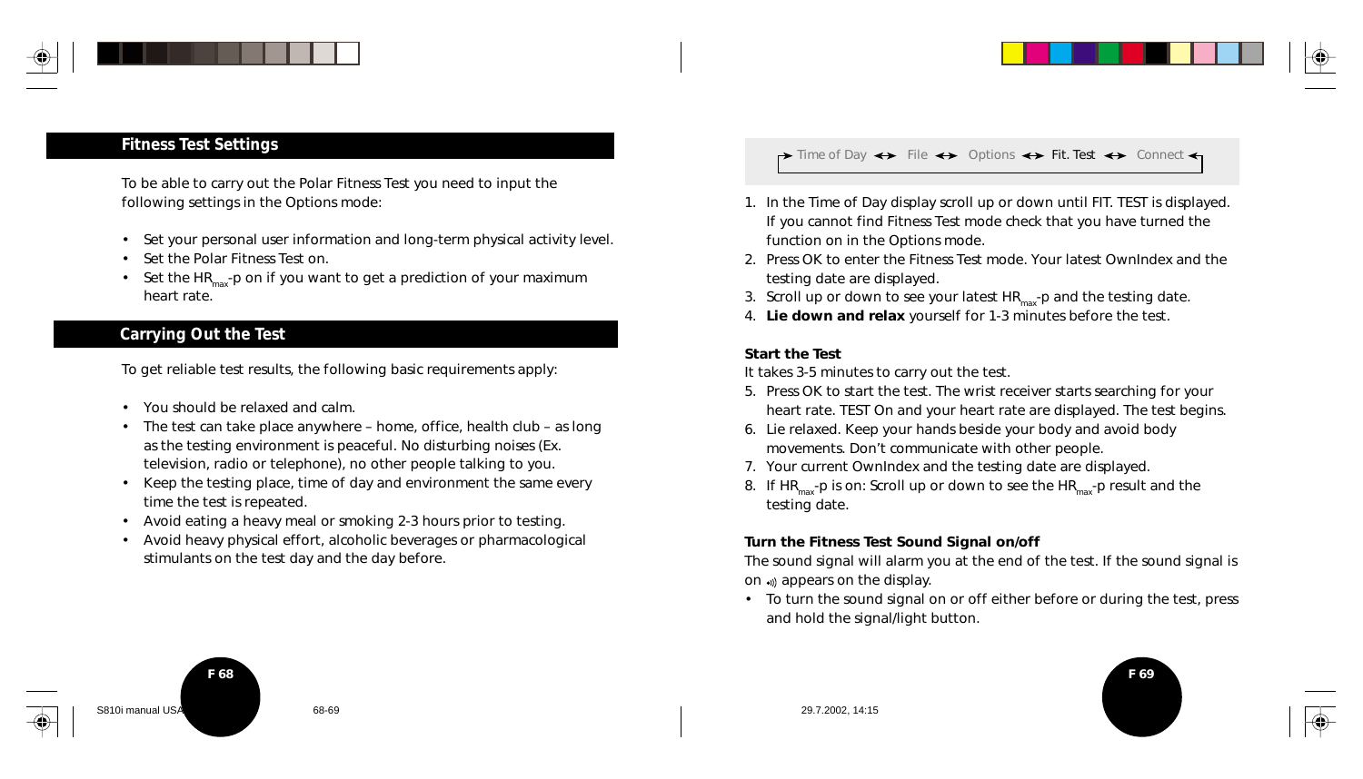

#### **Fitness Test Settings**

To be able to carry out the Polar Fitness Test you need to input the following settings in the Options mode:

- Set your personal user information and long-term physical activity level.
- Set the Polar Fitness Test on.
- Set the HR<sub>max</sub>-p on if you want to get a prediction of your maximum heart rate.

### **Carrying Out the Test**

To get reliable test results, the following basic requirements apply:

- You should be relaxed and calm.
- The test can take place anywhere home, office, health club as long as the testing environment is peaceful. No disturbing noises (Ex. television, radio or telephone), no other people talking to you.
- Keep the testing place, time of day and environment the same every time the test is repeated.
- Avoid eating a heavy meal or smoking 2-3 hours prior to testing.
- Avoid heavy physical effort, alcoholic beverages or pharmacological stimulants on the test day and the day before.

 $\rightarrow$  Time of Day  $\leftrightarrow$  File  $\leftrightarrow$  Options  $\leftrightarrow$  Fit. Test  $\leftrightarrow$  Connect  $\leftarrow$ 

- 1. In the Time of Day display scroll up or down until FIT. TEST is displayed. If you cannot find Fitness Test mode check that you have turned the function on in the Options mode.
- 2. Press OK to enter the Fitness Test mode. Your latest OwnIndex and the testing date are displayed.
- 3. Scroll up or down to see your latest  $HR<sub>max</sub>$ -p and the testing date.
- 4. **Lie down and relax** yourself for 1-3 minutes before the test.

#### **Start the Test**

It takes 3-5 minutes to carry out the test.

- 5. Press OK to start the test. The wrist receiver starts searching for your heart rate. TEST On and your heart rate are displayed. The test begins.
- 6. Lie relaxed. Keep your hands beside your body and avoid body movements. Don't communicate with other people.
- 7. Your current OwnIndex and the testing date are displayed.
- 8. If  $HR_{max}$ -p is on: Scroll up or down to see the  $HR_{max}$ -p result and the testing date.

#### **Turn the Fitness Test Sound Signal on/off**

The sound signal will alarm you at the end of the test. If the sound signal is on appears on the display.

• To turn the sound signal on or off either before or during the test, press and hold the signal/light button.



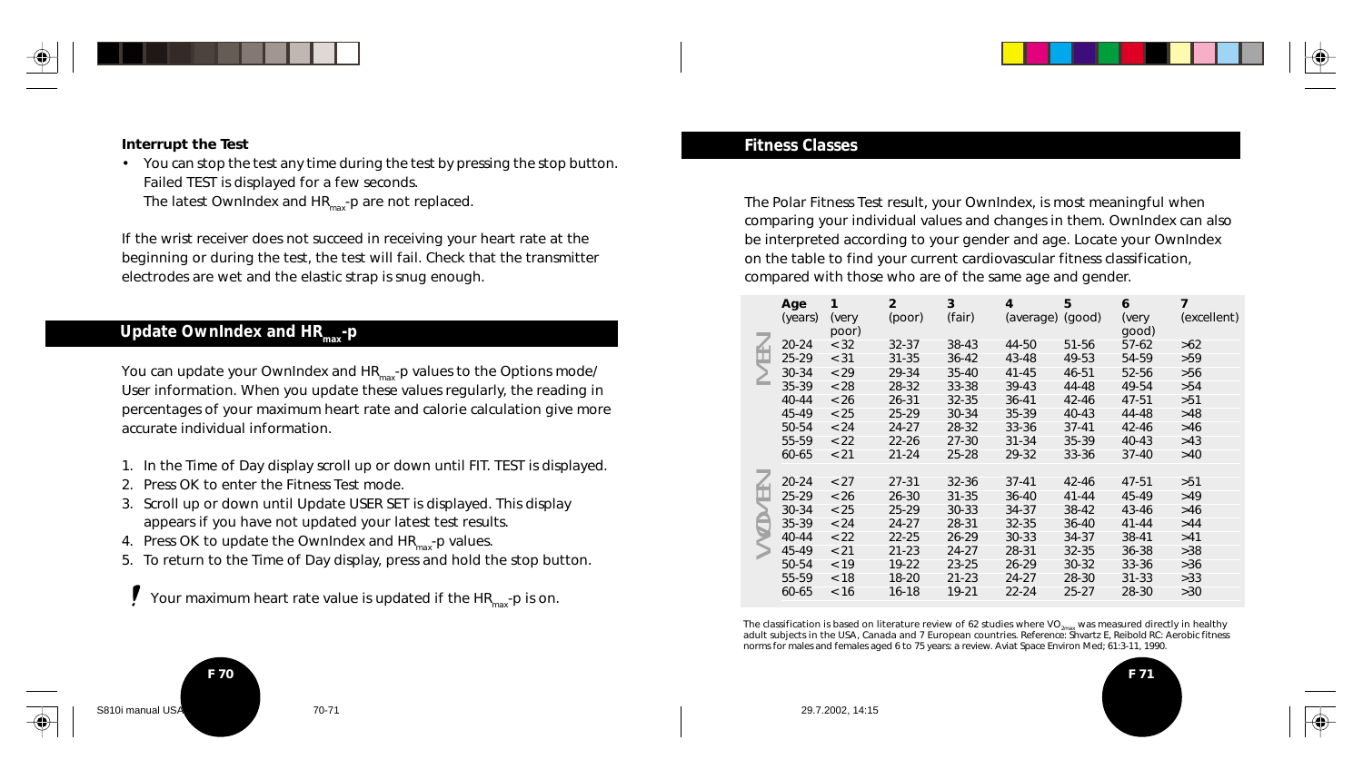

#### **Interrupt the Test**

• You can stop the test any time during the test by pressing the stop button. Failed TEST is displayed for a few seconds. The latest OwnIndex and  $HR_{max}$ -p are not replaced.

If the wrist receiver does not succeed in receiving your heart rate at the beginning or during the test, the test will fail. Check that the transmitter electrodes are wet and the elastic strap is snug enough.

#### **Update OwnIndex and HR<sub>max</sub>-p**

You can update your OwnIndex and  $HR_{\text{max}}$ -p values to the Options mode/ User information. When you update these values regularly, the reading in percentages of your maximum heart rate and calorie calculation give more accurate individual information.

- 1. In the Time of Day display scroll up or down until FIT. TEST is displayed.
- 2. Press OK to enter the Fitness Test mode.
- 3. Scroll up or down until Update USER SET is displayed. This display appears if you have not updated your latest test results.
- 4. Press OK to update the OwnIndex and  $HR_{max}$ -p values.
- 5. To return to the Time of Day display, press and hold the stop button.

Your maximum heart rate value is updated if the  $HR_{max}$ -p is on.

#### **Fitness Classes**

The Polar Fitness Test result, your OwnIndex, is most meaningful when comparing your individual values and changes in them. OwnIndex can also be interpreted according to your gender and age. Locate your OwnIndex on the table to find your current cardiovascular fitness classification, compared with those who are of the same age and gender.

|                                                                                                                                                                                                                                                                                                                                                | Age<br>(years) | 1<br>(very | $\overline{2}$<br>(poor) | 3<br>(fair) | 4<br>(average) (good) | 5         | 6<br>(very | 7<br>(excellent) |
|------------------------------------------------------------------------------------------------------------------------------------------------------------------------------------------------------------------------------------------------------------------------------------------------------------------------------------------------|----------------|------------|--------------------------|-------------|-----------------------|-----------|------------|------------------|
|                                                                                                                                                                                                                                                                                                                                                |                | poor)      |                          |             |                       |           | good)      |                  |
|                                                                                                                                                                                                                                                                                                                                                | $20 - 24$      | < 32       | $32 - 37$                | 38-43       | 44-50                 | 51-56     | $57-62$    | >62              |
|                                                                                                                                                                                                                                                                                                                                                | $25 - 29$      | < 31       | $31 - 35$                | $36 - 42$   | 43-48                 | 49-53     | 54-59      | >59              |
|                                                                                                                                                                                                                                                                                                                                                | 30-34          | < 29       | 29-34                    | $35 - 40$   | $41 - 45$             | 46-51     | 52-56      | >56              |
|                                                                                                                                                                                                                                                                                                                                                | 35-39          | < 28       | 28-32                    | 33-38       | $39-43$               | 44-48     | 49-54      | >54              |
|                                                                                                                                                                                                                                                                                                                                                | $40 - 44$      | < 26       | $26 - 31$                | $32 - 35$   | $36 - 41$             | $42 - 46$ | 47-51      | >51              |
|                                                                                                                                                                                                                                                                                                                                                | 45-49          | < 25       | 25-29                    | 30-34       | 35-39                 | $40 - 43$ | 44-48      | >48              |
|                                                                                                                                                                                                                                                                                                                                                | 50-54          | < 24       | 24-27                    | 28-32       | 33-36                 | $37 - 41$ | $42 - 46$  | $>46$            |
|                                                                                                                                                                                                                                                                                                                                                | 55-59          | < 22       | $22 - 26$                | $27 - 30$   | $31 - 34$             | 35-39     | $40 - 43$  | >43              |
|                                                                                                                                                                                                                                                                                                                                                | 60-65          | < 21       | 21-24                    | 25-28       | 29-32                 | 33-36     | $37-40$    | >40              |
|                                                                                                                                                                                                                                                                                                                                                |                |            |                          |             |                       |           |            |                  |
|                                                                                                                                                                                                                                                                                                                                                | $20 - 24$      | < 27       | $27 - 31$                | $32 - 36$   | $37 - 41$             | $42 - 46$ | 47-51      | >51              |
| $-1$                                                                                                                                                                                                                                                                                                                                           | $25 - 29$      | < 26       | 26-30                    | $31 - 35$   | $36 - 40$             | $41 - 44$ | 45-49      | >49              |
|                                                                                                                                                                                                                                                                                                                                                | 30-34          | < 25       | 25-29                    | 30-33       | 34-37                 | 38-42     | 43-46      | >46              |
|                                                                                                                                                                                                                                                                                                                                                | 35-39          | < 24       | 24-27                    | 28-31       | $32 - 35$             | $36 - 40$ | $41 - 44$  | >44              |
|                                                                                                                                                                                                                                                                                                                                                | $40 - 44$      | < 22       | 22-25                    | $26 - 29$   | $30 - 33$             | 34-37     | 38-41      | >41              |
|                                                                                                                                                                                                                                                                                                                                                | 45-49          | < 21       | $21 - 23$                | $24 - 27$   | 28-31                 | $32 - 35$ | 36-38      | >38              |
|                                                                                                                                                                                                                                                                                                                                                | 50-54          | < 19       | 19-22                    | $23 - 25$   | $26 - 29$             | 30-32     | $33 - 36$  | >36              |
|                                                                                                                                                                                                                                                                                                                                                | 55-59          | < 18       | 18-20                    | $21 - 23$   | 24-27                 | 28-30     | $31 - 33$  | >33              |
|                                                                                                                                                                                                                                                                                                                                                | 60-65          | < 16       | $16 - 18$                | 19-21       | $22 - 24$             | $25 - 27$ | 28-30      | >30              |
|                                                                                                                                                                                                                                                                                                                                                |                |            |                          |             |                       |           |            |                  |
| The classification is based on literature review of 62 studies where $VO_{2\text{max}}$ was measured directly in healthy<br>adult subjects in the USA, Canada and 7 European countries. Reference: Shvartz E, Reibold RC: Aerobic fitness<br>norms for males and females aged 6 to 75 years: a review. Aviat Space Environ Med; 61:3-11, 1990. |                |            |                          |             |                       |           |            |                  |

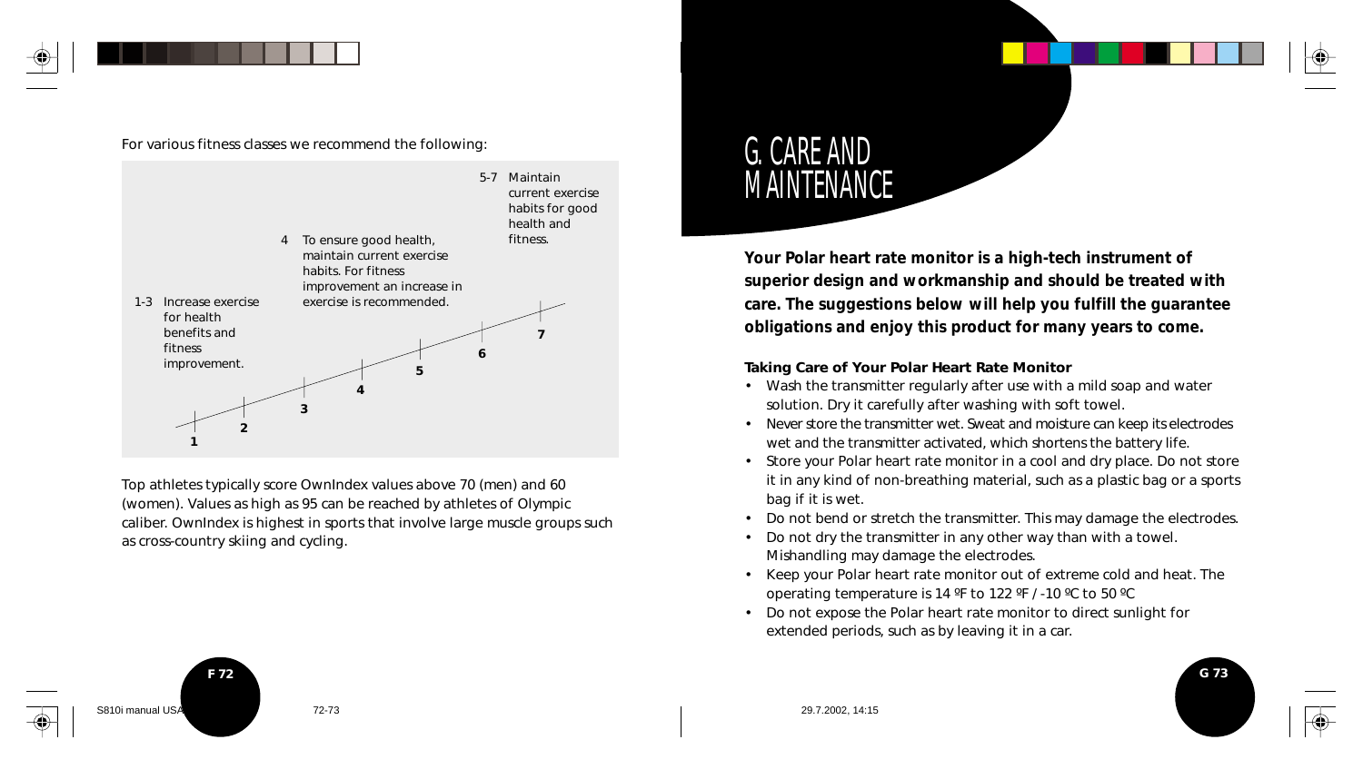

For various fitness classes we recommend the following:



Top athletes typically score OwnIndex values above 70 (men) and 60 (women). Values as high as 95 can be reached by athletes of Olympic caliber. OwnIndex is highest in sports that involve large muscle groups such as cross-country skiing and cycling.

# G. CARE AND **MAINTENANCE**

**Your Polar heart rate monitor is a high-tech instrument of superior design and workmanship and should be treated with care. The suggestions below will help you fulfill the guarantee obligations and enjoy this product for many years to come.**

#### **Taking Care of Your Polar Heart Rate Monitor**

- Wash the transmitter regularly after use with a mild soap and water solution. Dry it carefully after washing with soft towel.
- Never store the transmitter wet. Sweat and moisture can keep its electrodes wet and the transmitter activated, which shortens the battery life.
- Store your Polar heart rate monitor in a cool and dry place. Do not store it in any kind of non-breathing material, such as a plastic bag or a sports bag if it is wet.
- Do not bend or stretch the transmitter. This may damage the electrodes.
- Do not dry the transmitter in any other way than with a towel. Mishandling may damage the electrodes.
- Keep your Polar heart rate monitor out of extreme cold and heat. The operating temperature is 14 ºF to 122 ºF / -10 ºC to 50 ºC
- Do not expose the Polar heart rate monitor to direct sunlight for extended periods, such as by leaving it in a car.



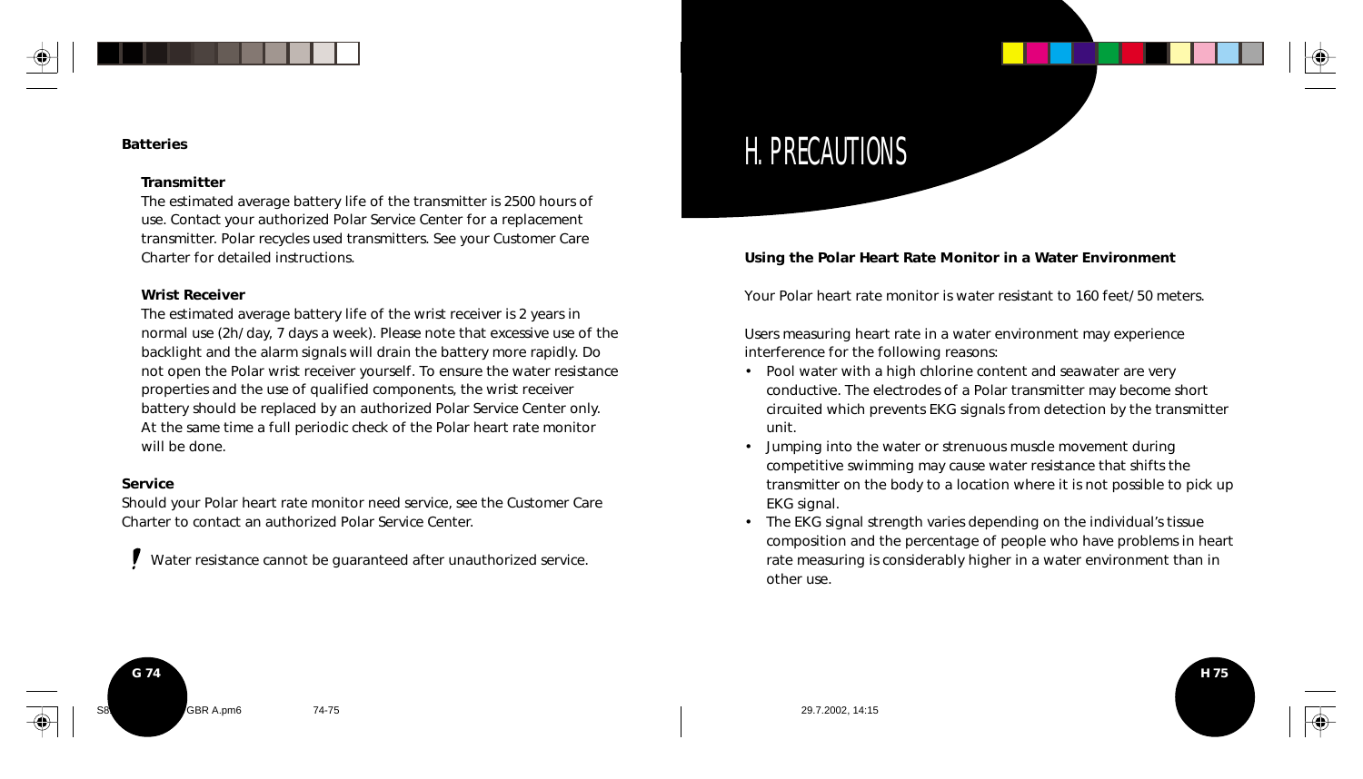#### **Batteries**

#### **Transmitter**

The estimated average battery life of the transmitter is 2500 hours of use. Contact your authorized Polar Service Center for a replacement transmitter. Polar recycles used transmitters. See your Customer Care Charter for detailed instructions.

#### **Wrist Receiver**

The estimated average battery life of the wrist receiver is 2 years in normal use (2h/ day, 7 days a week). Please note that excessive use of the backlight and the alarm signals will drain the battery more rapidly. Do not open the Polar wrist receiver yourself. To ensure the water resistance properties and the use of qualified components, the wrist receiver battery should be replaced by an authorized Polar Service Center only. At the same time a full periodic check of the Polar heart rate monitor will be done.

#### **Service**

Should your Polar heart rate monitor need service, see the Customer Care Charter to contact an authorized Polar Service Center.

Water resistance cannot be guaranteed after unauthorized service.

# H. PRECAUTIONS

#### **Using the Polar Heart Rate Monitor in a Water Environment**

Your Polar heart rate monitor is water resistant to 160 feet/ 50 meters.

Users measuring heart rate in a water environment may experience interference for the following reasons:

- Pool water with a high chlorine content and seawater are very conductive. The electrodes of a Polar transmitter may become short circuited which prevents EKG signals from detection by the transmitter unit.
- Jumping into the water or strenuous muscle movement during competitive swimming may cause water resistance that shifts the transmitter on the body to a location where it is not possible to pick up EKG signal.
- The EKG signal strength varies depending on the individual's tissue composition and the percentage of people who have problems in heart rate measuring is considerably higher in a water environment than in other use.

**H 75**

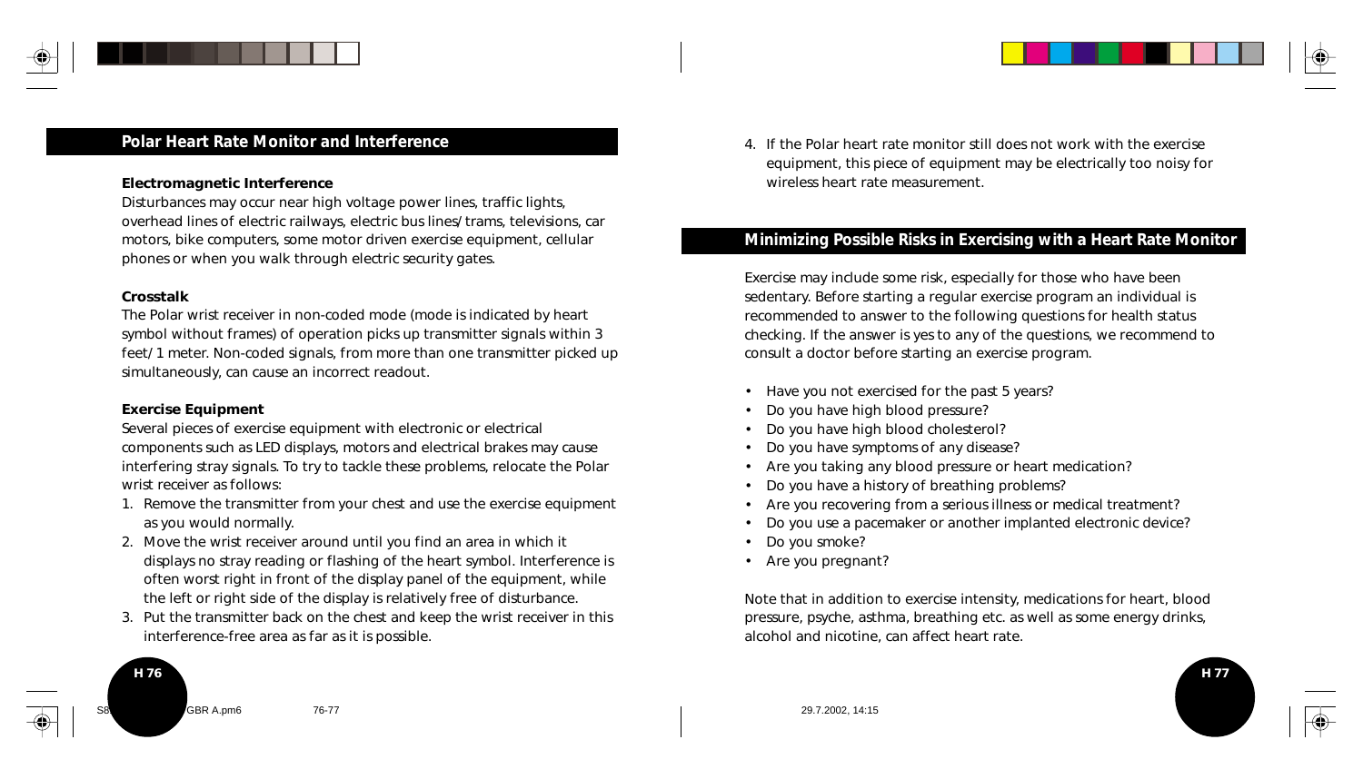

#### **Polar Heart Rate Monitor and Interference**

#### **Electromagnetic Interference**

Disturbances may occur near high voltage power lines, traffic lights, overhead lines of electric railways, electric bus lines/ trams, televisions, car motors, bike computers, some motor driven exercise equipment, cellular phones or when you walk through electric security gates.

#### **Crosstalk**

**H 76**

The Polar wrist receiver in non-coded mode (mode is indicated by heart symbol without frames) of operation picks up transmitter signals within 3 feet/ 1 meter. Non-coded signals, from more than one transmitter picked up simultaneously, can cause an incorrect readout.

#### **Exercise Equipment**

Several pieces of exercise equipment with electronic or electrical components such as LED displays, motors and electrical brakes may cause interfering stray signals. To try to tackle these problems, relocate the Polar wrist receiver as follows:

- 1. Remove the transmitter from your chest and use the exercise equipment as you would normally.
- 2. Move the wrist receiver around until you find an area in which it displays no stray reading or flashing of the heart symbol. Interference is often worst right in front of the display panel of the equipment, while the left or right side of the display is relatively free of disturbance.
- 3. Put the transmitter back on the chest and keep the wrist receiver in this interference-free area as far as it is possible.

4. If the Polar heart rate monitor still does not work with the exercise equipment, this piece of equipment may be electrically too noisy for wireless heart rate measurement.

#### **Minimizing Possible Risks in Exercising with a Heart Rate Monitor**

Exercise may include some risk, especially for those who have been sedentary. Before starting a regular exercise program an individual is recommended to answer to the following questions for health status checking. If the answer is yes to any of the questions, we recommend to consult a doctor before starting an exercise program.

- Have you not exercised for the past 5 years?
- Do you have high blood pressure?
- Do you have high blood cholesterol?
- Do you have symptoms of any disease?
- Are you taking any blood pressure or heart medication?
- Do you have a history of breathing problems?
- Are you recovering from a serious illness or medical treatment?
- Do you use a pacemaker or another implanted electronic device?
- Do you smoke?
- Are you pregnant?

Note that in addition to exercise intensity, medications for heart, blood pressure, psyche, asthma, breathing etc. as well as some energy drinks, alcohol and nicotine, can affect heart rate.

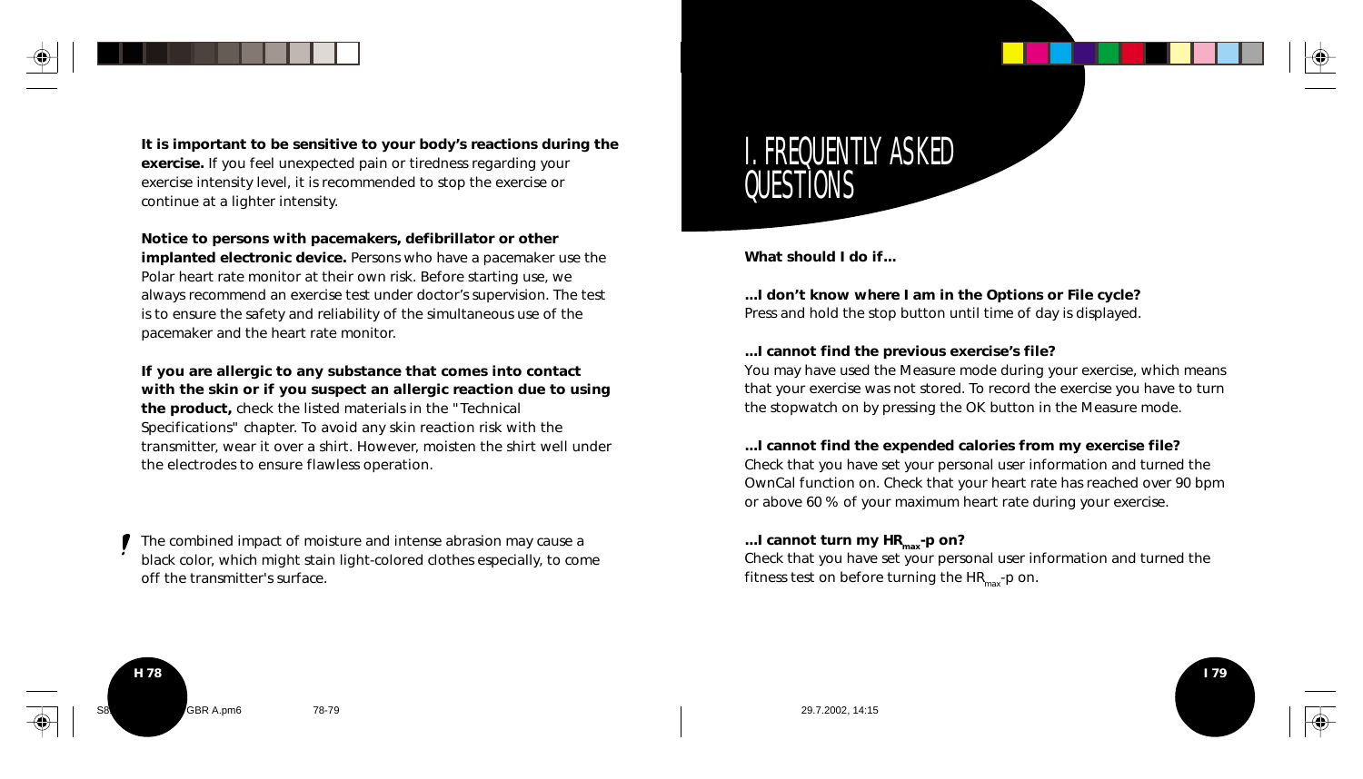

**It is important to be sensitive to your body's reactions during the exercise.** If you feel unexpected pain or tiredness regarding your exercise intensity level, it is recommended to stop the exercise or continue at a lighter intensity.

**Notice to persons with pacemakers, defibrillator or other**

**implanted electronic device.** Persons who have a pacemaker use the Polar heart rate monitor at their own risk. Before starting use, we always recommend an exercise test under doctor's supervision. The test is to ensure the safety and reliability of the simultaneous use of the pacemaker and the heart rate monitor.

**If you are allergic to any substance that comes into contact with the skin or if you suspect an allergic reaction due to using the product,** check the listed materials in the "Technical Specifications" chapter. To avoid any skin reaction risk with the transmitter, wear it over a shirt. However, moisten the shirt well under the electrodes to ensure flawless operation.

The combined impact of moisture and intense abrasion may cause a black color, which might stain light-colored clothes especially, to come off the transmitter's surface.

# I. FREQUENTLY ASKED QUESTIONS

**What should I do if...**

## **...I don't know where I am in the Options or File cycle?**

Press and hold the stop button until time of day is displayed.

#### **...I cannot find the previous exercise's file?**

You may have used the Measure mode during your exercise, which means that your exercise was not stored. To record the exercise you have to turn the stopwatch on by pressing the OK button in the Measure mode.

#### **...I cannot find the expended calories from my exercise file?**

Check that you have set your personal user information and turned the OwnCal function on. Check that your heart rate has reached over 90 bpm or above 60 % of your maximum heart rate during your exercise.

#### ...I cannot turn my HR<sub>max</sub>-p on?

Check that you have set your personal user information and turned the fitness test on before turning the  $HR_{max}$ -p on.

**I 79**

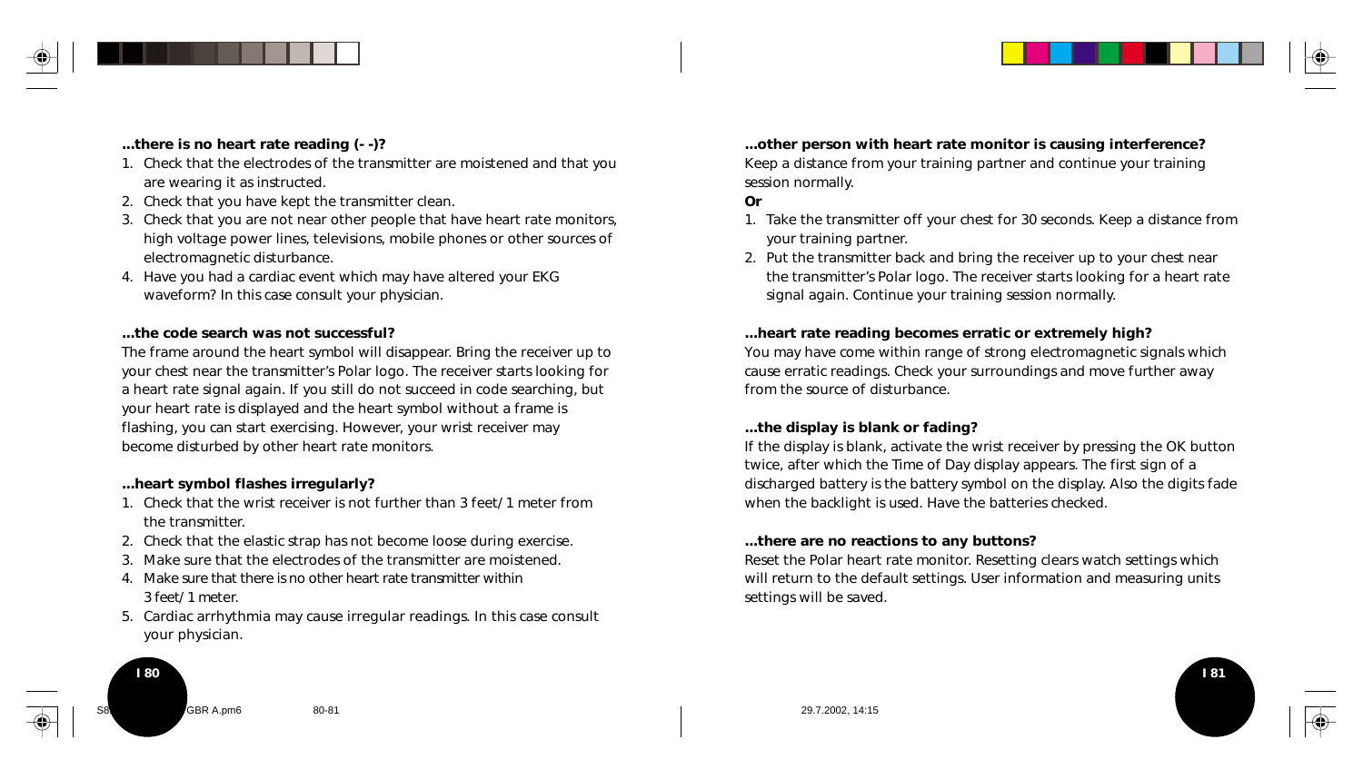

#### **...there is no heart rate reading (- -)?**

- 1. Check that the electrodes of the transmitter are moistened and that you are wearing it as instructed.
- 2. Check that you have kept the transmitter clean.
- 3. Check that you are not near other people that have heart rate monitors, high voltage power lines, televisions, mobile phones or other sources of electromagnetic disturbance.
- 4. Have you had a cardiac event which may have altered your EKG waveform? In this case consult your physician.

#### **...the code search was not successful?**

The frame around the heart symbol will disappear. Bring the receiver up to your chest near the transmitter's Polar logo. The receiver starts looking for a heart rate signal again. If you still do not succeed in code searching, but your heart rate is displayed and the heart symbol without a frame is flashing, you can start exercising. However, your wrist receiver may become disturbed by other heart rate monitors.

#### **...heart symbol flashes irregularly?**

**I 80**

- 1. Check that the wrist receiver is not further than 3 feet/ 1 meter from the transmitter.
- 2. Check that the elastic strap has not become loose during exercise.
- 3. Make sure that the electrodes of the transmitter are moistened.
- 4. Make sure that there is no other heart rate transmitter within 3 feet/ 1 meter.
- 5. Cardiac arrhythmia may cause irregular readings. In this case consult your physician.

**...other person with heart rate monitor is causing interference?** Keep a distance from your training partner and continue your training session normally.

#### **Or**

- 1. Take the transmitter off your chest for 30 seconds. Keep a distance from your training partner.
- 2. Put the transmitter back and bring the receiver up to your chest near the transmitter's Polar logo. The receiver starts looking for a heart rate signal again. Continue your training session normally.

#### **...heart rate reading becomes erratic or extremely high?**

You may have come within range of strong electromagnetic signals which cause erratic readings. Check your surroundings and move further away from the source of disturbance.

#### **...the display is blank or fading?**

If the display is blank, activate the wrist receiver by pressing the OK button twice, after which the Time of Day display appears. The first sign of a discharged battery is the battery symbol on the display. Also the digits fade when the backlight is used. Have the batteries checked.

#### **...there are no reactions to any buttons?**

Reset the Polar heart rate monitor. Resetting clears watch settings which will return to the default settings. User information and measuring units settings will be saved.

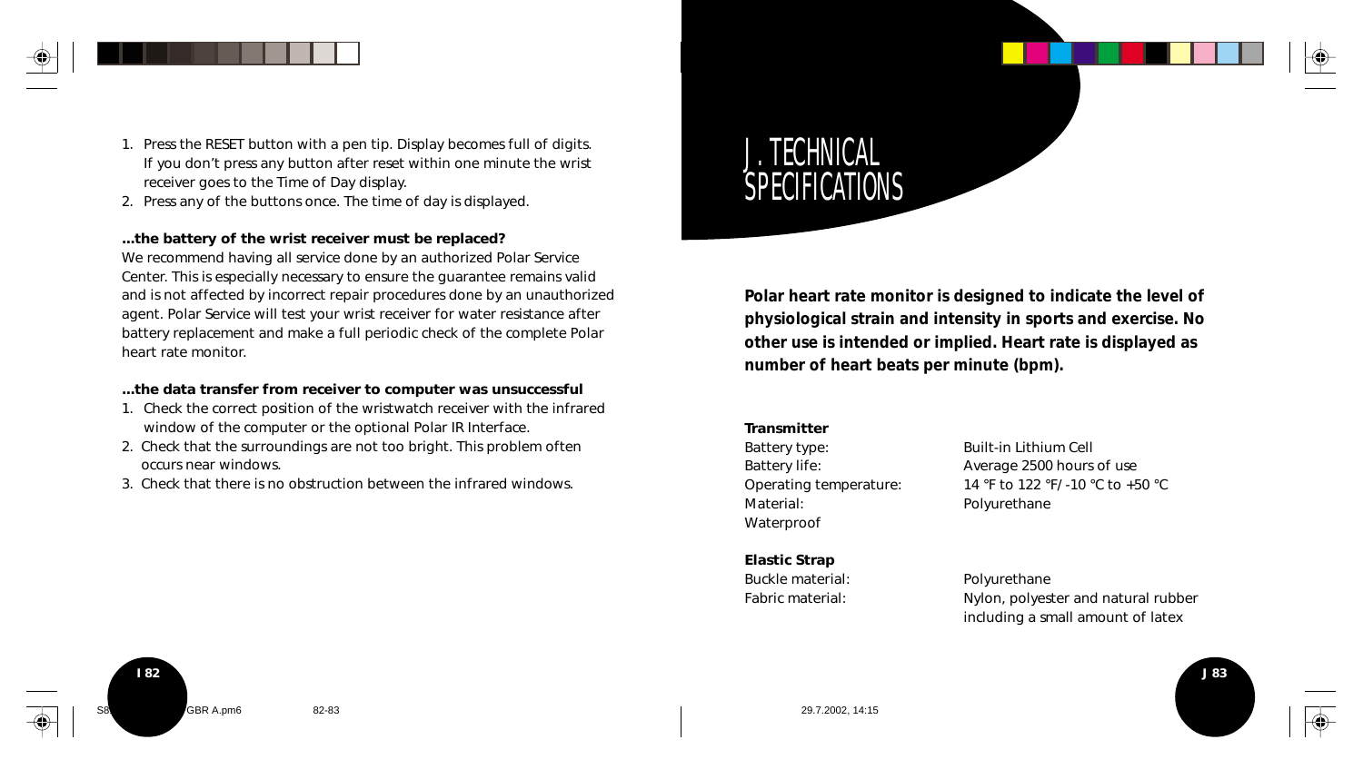

- 1. Press the RESET button with a pen tip. Display becomes full of digits. If you don't press any button after reset within one minute the wrist receiver goes to the Time of Day display.
- 2. Press any of the buttons once. The time of day is displayed.

#### **...the battery of the wrist receiver must be replaced?**

We recommend having all service done by an authorized Polar Service Center. This is especially necessary to ensure the guarantee remains valid and is not affected by incorrect repair procedures done by an unauthorized agent. Polar Service will test your wrist receiver for water resistance after battery replacement and make a full periodic check of the complete Polar heart rate monitor.

#### **...the data transfer from receiver to computer was unsuccessful**

- 1. Check the correct position of the wristwatch receiver with the infrared window of the computer or the optional Polar IR Interface.
- 2. Check that the surroundings are not too bright. This problem often occurs near windows.
- 3. Check that there is no obstruction between the infrared windows.

J. TECHNICAL SPECIFICATIONS

**Polar heart rate monitor is designed to indicate the level of physiological strain and intensity in sports and exercise. No other use is intended or implied. Heart rate is displayed as number of heart beats per minute (bpm).**

#### **Transmitter**

Battery type: Built-in Lithium Cell Material: Polyurethane Waterproof

Battery life: Average 2500 hours of use Operating temperature: 14 °F to 122 °F/ -10 °C to +50 °C

**Elastic Strap**

Buckle material: Polyurethane Fabric material: Nylon, polyester and natural rubber including a small amount of latex



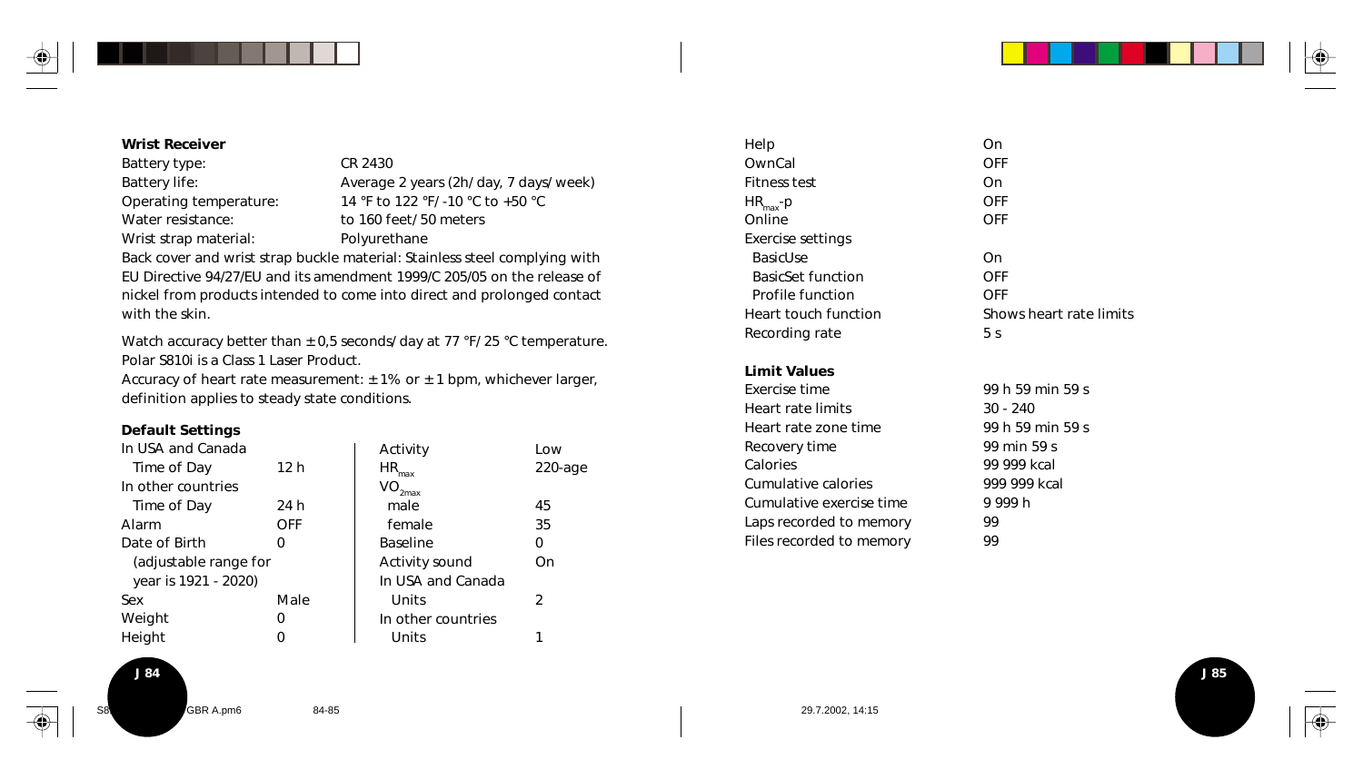

**J 85**

#### **Wrist Receiver**

Battery type: CR 2430 Water resistance: to 160 feet/ 50 meters Wrist strap material: Polyurethane

Battery life: <br>
Average 2 years (2h/ day, 7 days/ week) Operating temperature: 14 °F to 122 °F/ -10 °C to +50 °C

Back cover and wrist strap buckle material: Stainless steel complying with EU Directive 94/27/EU and its amendment 1999/C 205/05 on the release of nickel from products intended to come into direct and prolonged contact with the skin.

Watch accuracy better than  $\pm$  0,5 seconds/ day at 77 °F/ 25 °C temperature. Polar S810i is a Class 1 Laser Product.

Accuracy of heart rate measurement:  $\pm$  1% or  $\pm$  1 bpm, whichever larger, definition applies to steady state conditions.

#### **Default Settings**

| In USA and Canada     |            | Activity                      | Low        |
|-----------------------|------------|-------------------------------|------------|
| Time of Day           | 12 h       | $HR_{max}$                    | $220$ -age |
| In other countries    |            | $\mathsf{VO}_{\mathsf{2max}}$ |            |
| Time of Day           | 24 h       | male                          | 45         |
| Alarm                 | <b>OFF</b> | female                        | 35         |
| Date of Birth         | Ω          | <b>Baseline</b>               | 0          |
| (adjustable range for |            | Activity sound                | On         |
| year is 1921 - 2020)  |            | In USA and Canada             |            |
| Sex                   | Male       | Units                         | 2          |
| Weight                | Ω          | In other countries            |            |
| Height                |            | Units                         |            |

| Help                     | On                      |
|--------------------------|-------------------------|
| OwnCal                   | OFF                     |
| Fitness test             | On                      |
| $HR_{max}$ -p            | OFF                     |
| Online                   | OFF                     |
| Exercise settings        |                         |
| <b>BasicUse</b>          | On                      |
| <b>BasicSet function</b> | OFF                     |
| Profile function         | OFF                     |
| Heart touch function     | Shows heart rate limits |
| Recording rate           | 5 <sub>s</sub>          |
|                          |                         |

#### **Limit Values**

| Exercise time            | 99 h 59 min 59 s |
|--------------------------|------------------|
| Heart rate limits        | $30 - 240$       |
| Heart rate zone time     | 99 h 59 min 59 s |
| Recovery time            | 99 min 59 s      |
| Calories                 | 99 999 kcal      |
| Cumulative calories      | 999 999 kcal     |
| Cumulative exercise time | 9999h            |
| Laps recorded to memory  | 99               |
| Files recorded to memory | 99               |
|                          |                  |

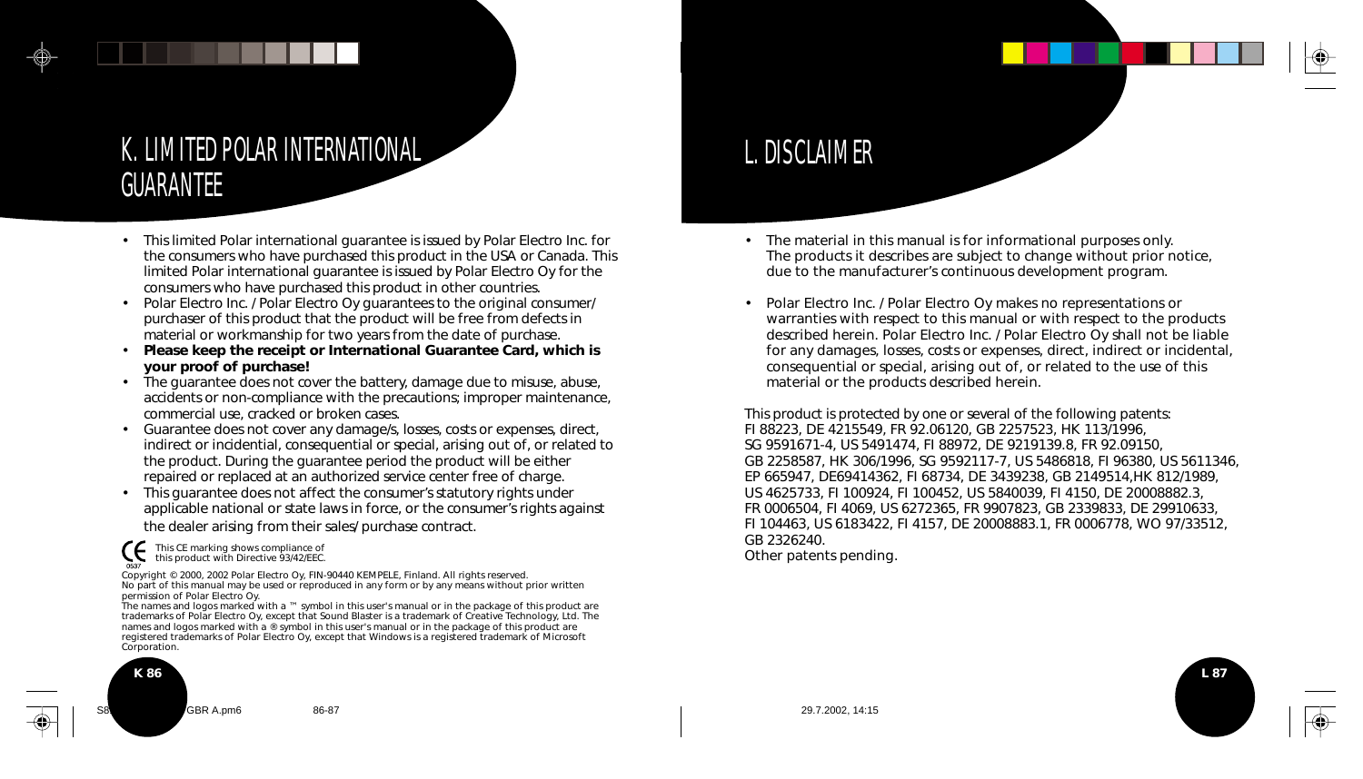## K. LIMITED POLAR INTERNATIONAL GUARANTEE

- This limited Polar international guarantee is issued by Polar Electro Inc. for the consumers who have purchased this product in the USA or Canada. This limited Polar international guarantee is issued by Polar Electro Oy for the consumers who have purchased this product in other countries.
- Polar Electro Inc. / Polar Electro Oy guarantees to the original consumer/ purchaser of this product that the product will be free from defects in material or workmanship for two years from the date of purchase.
- **Please keep the receipt or International Guarantee Card, which is your proof of purchase!**
- The guarantee does not cover the battery, damage due to misuse, abuse, accidents or non-compliance with the precautions; improper maintenance, commercial use, cracked or broken cases.
- Guarantee does not cover any damage/s, losses, costs or expenses, direct, indirect or incidential, consequential or special, arising out of, or related to the product. During the guarantee period the product will be either repaired or replaced at an authorized service center free of charge.
- This guarantee does not affect the consumer's statutory rights under applicable national or state laws in force, or the consumer's rights against the dealer arising from their sales/ purchase contract.

CE. This CE marking shows compliance of this product with Directive 93/42/EEC.

Copyright © 2000, 2002 Polar Electro Oy, FIN-90440 KEMPELE, Finland. All rights reserved. No part of this manual may be used or reproduced in any form or by any means without prior written permission of Polar Electro Oy.

The names and logos marked with a ™ symbol in this user's manual or in the package of this product are trademarks of Polar Electro Oy, except that Sound Blaster is a trademark of Creative Technology, Ltd. The names and logos marked with a ® symbol in this user's manual or in the package of this product are registered trademarks of Polar Electro Oy, except that Windows is a registered trademark of Microsoft Corporation.



# L. DISCLAIMER

- The material in this manual is for informational purposes only. The products it describes are subject to change without prior notice, due to the manufacturer's continuous development program.
- Polar Electro Inc. / Polar Electro Oy makes no representations or warranties with respect to this manual or with respect to the products described herein. Polar Electro Inc. / Polar Electro Oy shall not be liable for any damages, losses, costs or expenses, direct, indirect or incidental, consequential or special, arising out of, or related to the use of this material or the products described herein.

This product is protected by one or several of the following patents: FI 88223, DE 4215549, FR 92.06120, GB 2257523, HK 113/1996, SG 9591671-4, US 5491474, FI 88972, DE 9219139.8, FR 92.09150, GB 2258587, HK 306/1996, SG 9592117-7, US 5486818, FI 96380, US 5611346, EP 665947, DE69414362, FI 68734, DE 3439238, GB 2149514,HK 812/1989, US 4625733, FI 100924, FI 100452, US 5840039, FI 4150, DE 20008882.3, FR 0006504, FI 4069, US 6272365, FR 9907823, GB 2339833, DE 29910633, FI 104463, US 6183422, FI 4157, DE 20008883.1, FR 0006778, WO 97/33512, GB 2326240. Other patents pending.

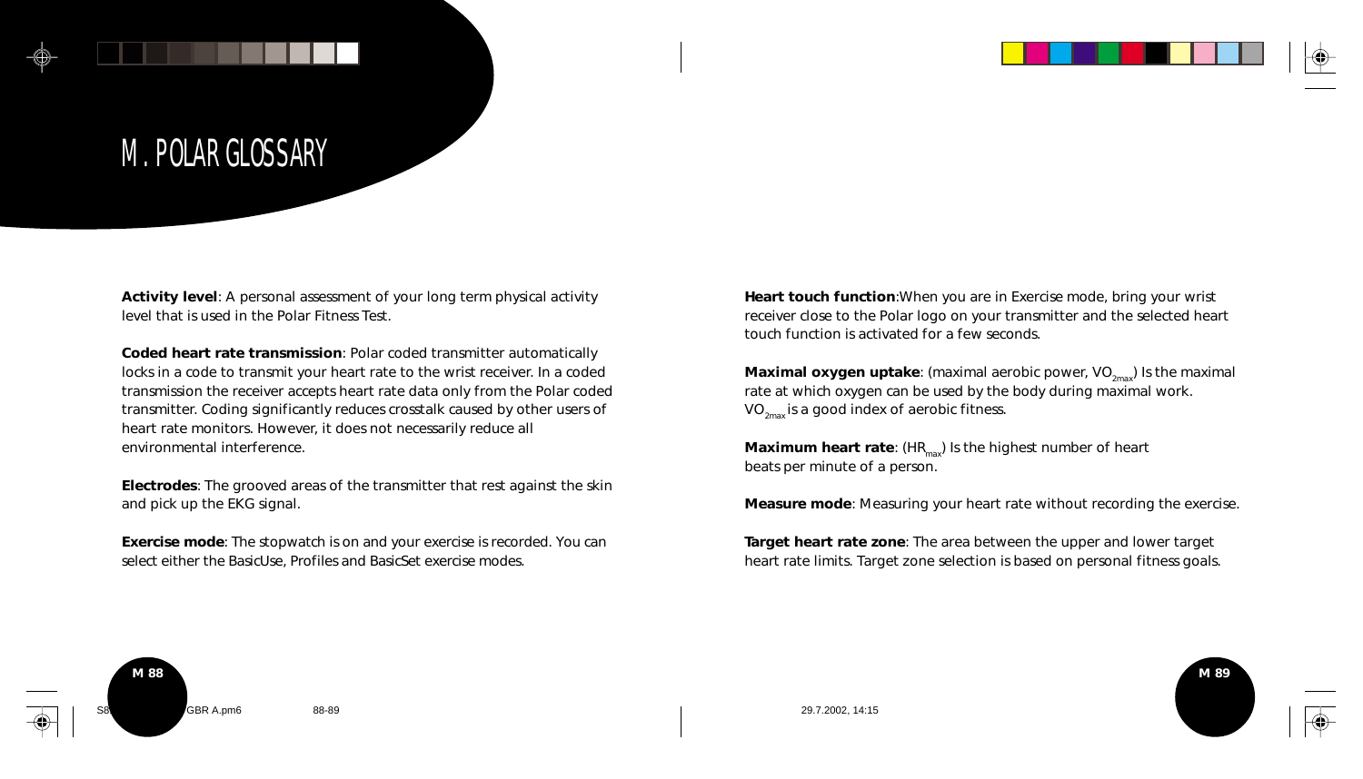

# M. POLAR GLOSSARY

**Activity level**: A personal assessment of your long term physical activity level that is used in the Polar Fitness Test.

**Coded heart rate transmission**: Polar coded transmitter automatically locks in a code to transmit your heart rate to the wrist receiver. In a coded transmission the receiver accepts heart rate data only from the Polar coded transmitter. Coding significantly reduces crosstalk caused by other users of heart rate monitors. However, it does not necessarily reduce all environmental interference.

**Electrodes**: The grooved areas of the transmitter that rest against the skin and pick up the EKG signal.

**Exercise mode**: The stopwatch is on and your exercise is recorded. You can select either the BasicUse, Profiles and BasicSet exercise modes.

**Heart touch function**:When you are in Exercise mode, bring your wrist receiver close to the Polar logo on your transmitter and the selected heart touch function is activated for a few seconds.

**Maximal oxygen uptake**: (maximal aerobic power, VO<sub>2mav</sub>) Is the maximal rate at which oxygen can be used by the body during maximal work.  $VO_{2\text{max}}$  is a good index of aerobic fitness.

**Maximum heart rate:** (HR<sub>max</sub>) Is the highest number of heart beats per minute of a person.

**Measure mode**: Measuring your heart rate without recording the exercise.

**Target heart rate zone**: The area between the upper and lower target heart rate limits. Target zone selection is based on personal fitness goals.



**M 89**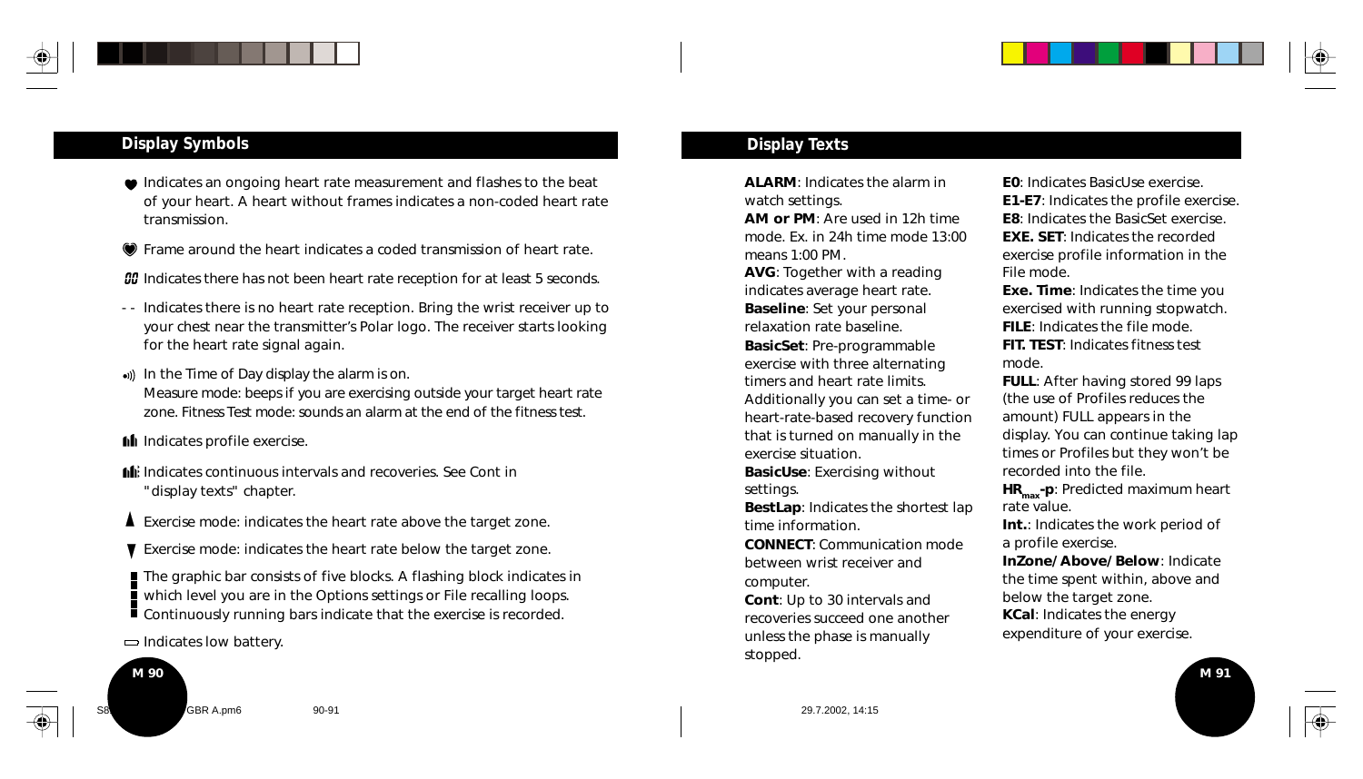

#### **Display Symbols**

- $\bullet$  Indicates an ongoing heart rate measurement and flashes to the beat of your heart. A heart without frames indicates a non-coded heart rate transmission.
- Frame around the heart indicates a coded transmission of heart rate.
- **OD** Indicates there has not been heart rate reception for at least 5 seconds.
- - Indicates there is no heart rate reception. Bring the wrist receiver up to your chest near the transmitter's Polar logo. The receiver starts looking for the heart rate signal again.
- .) In the Time of Day display the alarm is on. Measure mode: beeps if you are exercising outside your target heart rate zone. Fitness Test mode: sounds an alarm at the end of the fitness test.
- **Indicates profile exercise.**
- Indicates continuous intervals and recoveries. See Cont in "display texts" chapter.
- Exercise mode: indicates the heart rate above the target zone.
- Exercise mode: indicates the heart rate below the target zone.
- The graphic bar consists of five blocks. A flashing block indicates in which level you are in the Options settings or File recalling loops. Continuously running bars indicate that the exercise is recorded.
- $\Rightarrow$  Indicates low battery.

# **M 90** S810i manual USA GBR A.pm6 90-91 29.7.2002, 14:15

#### **Display Texts**

**ALARM**: Indicates the alarm in watch settings.

**AM or PM**: Are used in 12h time mode. Ex. in 24h time mode 13:00 means 1:00 PM. **AVG**: Together with a reading indicates average heart rate. **Baseline**: Set your personal

relaxation rate baseline. **BasicSet**: Pre-programmable exercise with three alternating timers and heart rate limits. Additionally you can set a time- or heart-rate-based recovery function that is turned on manually in the exercise situation.

**BasicUse**: Exercising without settings.

**BestLap**: Indicates the shortest lap time information.

**CONNECT**: Communication mode between wrist receiver and computer.

**Cont**: Up to 30 intervals and recoveries succeed one another unless the phase is manually stopped.

**E0**: Indicates BasicUse exercise **E1-E7**: Indicates the profile exercise. **E8**: Indicates the BasicSet exercise. **EXE. SET: Indicates the recorded** exercise profile information in the File mode.

**Exe. Time**: Indicates the time you exercised with running stopwatch. **FILE**: Indicates the file mode. **FIT. TEST**: Indicates fitness test mode.

**FULL:** After having stored 99 laps (the use of Profiles reduces the amount) FULL appears in the display. You can continue taking lap times or Profiles but they won't be recorded into the file.

**HR<sub>max</sub>-p**: Predicted maximum heart rate value.

**Int.**: Indicates the work period of a profile exercise.

**InZone/ Above/ Below**: Indicate the time spent within, above and below the target zone.

**KCal**: Indicates the energy expenditure of your exercise.

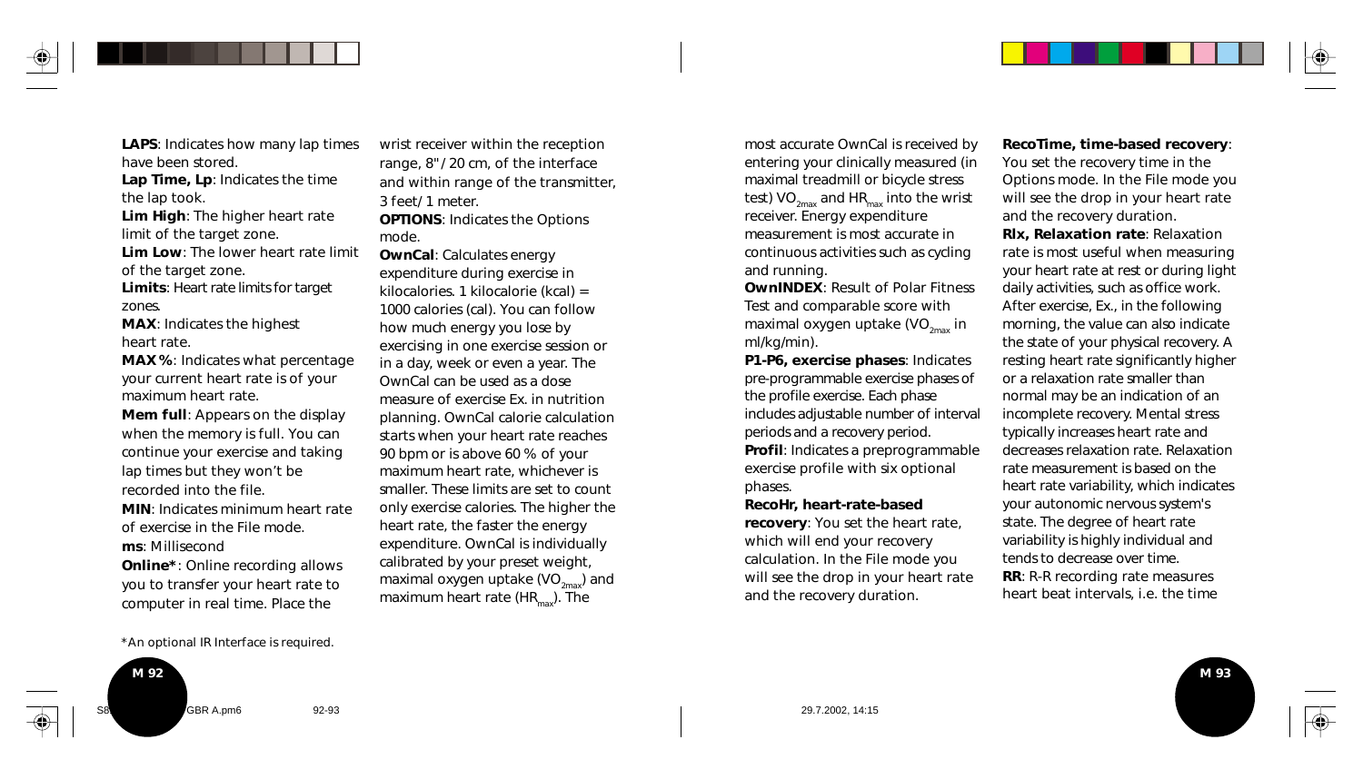**LAPS**: Indicates how many lap times have been stored.

**Lap Time, Lp**: Indicates the time the lap took.

**Lim High**: The higher heart rate limit of the target zone.

**Lim Low**: The lower heart rate limit of the target zone.

**Limits**: Heart rate limits for target zones.

**MAX**: Indicates the highest heart rate.

**MAX %**: Indicates what percentage your current heart rate is of your maximum heart rate.

**Mem full**: Appears on the display when the memory is full. You can continue your exercise and taking lap times but they won't be recorded into the file.

**MIN**: Indicates minimum heart rate of exercise in the File mode. **ms**: Millisecond

**Online\***: Online recording allows you to transfer your heart rate to computer in real time. Place the

wrist receiver within the reception range, 8"/ 20 cm, of the interface and within range of the transmitter, 3 feet/ 1 meter.

**OPTIONS**: Indicates the Options mode.

**OwnCal**: Calculates energy expenditure during exercise in kilocalories. 1 kilocalorie (kcal) = 1000 calories (cal). You can follow how much energy you lose by exercising in one exercise session or in a day, week or even a year. The OwnCal can be used as a dose measure of exercise Ex. in nutrition planning. OwnCal calorie calculation starts when your heart rate reaches 90 bpm or is above 60 % of your maximum heart rate, whichever is smaller. These limits are set to count only exercise calories. The higher the heart rate, the faster the energy expenditure. OwnCal is individually calibrated by your preset weight, maximal oxygen uptake (VO $_{2\text{max}}$ ) and maximum heart rate ( $HR_{\text{max}}$ ). The

most accurate OwnCal is received by entering your clinically measured (in maximal treadmill or bicycle stress test)  $VO_{2max}$  and HR<sub>max</sub> into the wrist receiver. Energy expenditure measurement is most accurate in continuous activities such as cycling and running.

**OwnINDEX**: Result of Polar Fitness Test and comparable score with maximal oxygen uptake (VO $_{2\text{max}}$  in ml/kg/min).

**P1-P6, exercise phases**: Indicates pre-programmable exercise phases of the profile exercise. Each phase includes adjustable number of interval periods and a recovery period. **Profil**: Indicates a preprogrammable exercise profile with six optional

**RecoHr, heart-rate-based**

phases.

**recovery**: You set the heart rate, which will end your recovery calculation. In the File mode you will see the drop in your heart rate and the recovery duration.

**RecoTime, time-based recovery**: You set the recovery time in the Options mode. In the File mode you will see the drop in your heart rate and the recovery duration.

**Rlx, Relaxation rate**: Relaxation rate is most useful when measuring your heart rate at rest or during light daily activities, such as office work. After exercise, Ex., in the following morning, the value can also indicate the state of your physical recovery. A resting heart rate significantly higher or a relaxation rate smaller than normal may be an indication of an incomplete recovery. Mental stress typically increases heart rate and decreases relaxation rate. Relaxation rate measurement is based on the heart rate variability, which indicates your autonomic nervous system's state. The degree of heart rate variability is highly individual and tends to decrease over time. **RR**: R-R recording rate measures heart beat intervals, i.e. the time

**M 93**

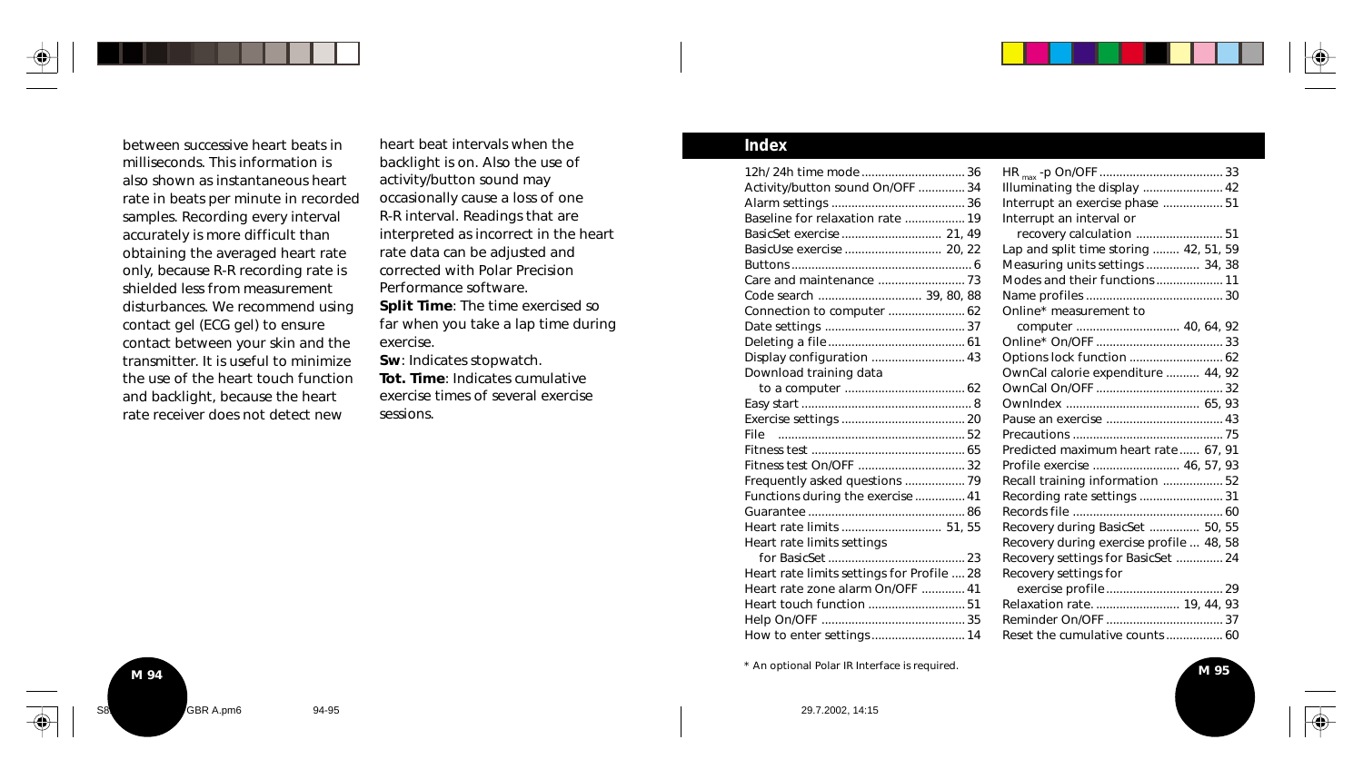between successive heart beats in milliseconds. This information is also shown as instantaneous heart rate in beats per minute in recorded samples. Recording every interval accurately is more difficult than obtaining the averaged heart rate only, because R-R recording rate is shielded less from measurement disturbances. We recommend using contact gel (ECG gel) to ensure contact between your skin and the transmitter. It is useful to minimize the use of the heart touch function and backlight, because the heart rate receiver does not detect new

heart beat intervals when the backlight is on. Also the use of activity/button sound may occasionally cause a loss of one R-R interval. Readings that are interpreted as incorrect in the heart rate data can be adjusted and corrected with Polar Precision Performance software. **Split Time**: The time exercised so far when you take a lap time during exercise.

**Sw**: Indicates stopwatch. **Tot. Time**: Indicates cumulative exercise times of several exercise sessions.

#### **Index**

| 12h/ 24h time mode  36                     |                                          |
|--------------------------------------------|------------------------------------------|
| Activity/button sound On/OFF  34           | Illuminating the display  42             |
|                                            |                                          |
| Baseline for relaxation rate  19           | Interrupt an interval or                 |
|                                            |                                          |
|                                            | Lap and split time storing  42, 51, 59   |
|                                            | Measuring units settings  34, 38         |
|                                            |                                          |
| Code search  39, 80, 88                    |                                          |
| Connection to computer  62                 | Online* measurement to                   |
|                                            | computer  40, 64, 92                     |
|                                            |                                          |
| Display configuration  43                  |                                          |
| Download training data                     | OwnCal calorie expenditure  44, 92       |
|                                            |                                          |
|                                            |                                          |
|                                            |                                          |
|                                            |                                          |
|                                            | Predicted maximum heart rate 67, 91      |
| Fitness test On/OFF  32                    | Profile exercise  46, 57, 93             |
| Frequently asked questions  79             | Recall training information 52           |
| Functions during the exercise  41          |                                          |
|                                            |                                          |
| Heart rate limits  51, 55                  | Recovery during BasicSet  50, 55         |
| Heart rate limits settings                 | Recovery during exercise profile  48, 58 |
|                                            | Recovery settings for BasicSet  24       |
| Heart rate limits settings for Profile  28 | Recovery settings for                    |
| Heart rate zone alarm On/OFF  41           |                                          |
|                                            | Relaxation rate.  19, 44, 93             |
|                                            |                                          |
| How to enter settings  14                  | Reset the cumulative counts  60          |

\* An optional Polar IR Interface is required.